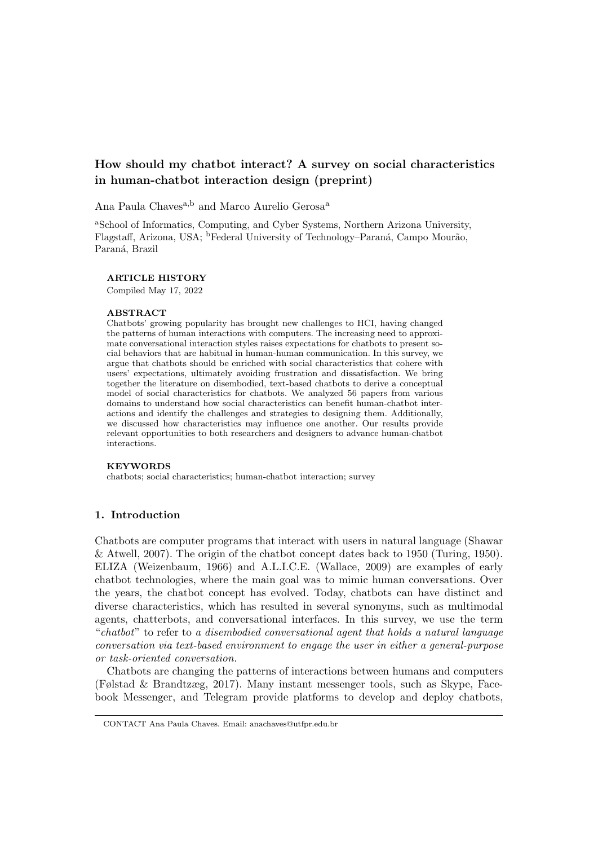# How should my chatbot interact? A survey on social characteristics in human-chatbot interaction design (preprint)

Ana Paula Chaves<sup>a,b</sup> and Marco Aurelio Gerosa<sup>a</sup>

<sup>a</sup>School of Informatics, Computing, and Cyber Systems, Northern Arizona University, Flagstaff, Arizona, USA; <sup>b</sup>Federal University of Technology–Paraná, Campo Mourão, Paraná, Brazil

#### ARTICLE HISTORY

Compiled May 17, 2022

#### ABSTRACT

Chatbots' growing popularity has brought new challenges to HCI, having changed the patterns of human interactions with computers. The increasing need to approximate conversational interaction styles raises expectations for chatbots to present social behaviors that are habitual in human-human communication. In this survey, we argue that chatbots should be enriched with social characteristics that cohere with users' expectations, ultimately avoiding frustration and dissatisfaction. We bring together the literature on disembodied, text-based chatbots to derive a conceptual model of social characteristics for chatbots. We analyzed 56 papers from various domains to understand how social characteristics can benefit human-chatbot interactions and identify the challenges and strategies to designing them. Additionally, we discussed how characteristics may influence one another. Our results provide relevant opportunities to both researchers and designers to advance human-chatbot interactions.

## **KEYWORDS**

chatbots; social characteristics; human-chatbot interaction; survey

# 1. Introduction

Chatbots are computer programs that interact with users in natural language (Shawar & Atwell, 2007). The origin of the chatbot concept dates back to 1950 (Turing, 1950). ELIZA (Weizenbaum, 1966) and A.L.I.C.E. (Wallace, 2009) are examples of early chatbot technologies, where the main goal was to mimic human conversations. Over the years, the chatbot concept has evolved. Today, chatbots can have distinct and diverse characteristics, which has resulted in several synonyms, such as multimodal agents, chatterbots, and conversational interfaces. In this survey, we use the term "chatbot" to refer to a disembodied conversational agent that holds a natural language conversation via text-based environment to engage the user in either a general-purpose or task-oriented conversation.

Chatbots are changing the patterns of interactions between humans and computers (Følstad & Brandtzæg, 2017). Many instant messenger tools, such as Skype, Facebook Messenger, and Telegram provide platforms to develop and deploy chatbots,

CONTACT Ana Paula Chaves. Email: anachaves@utfpr.edu.br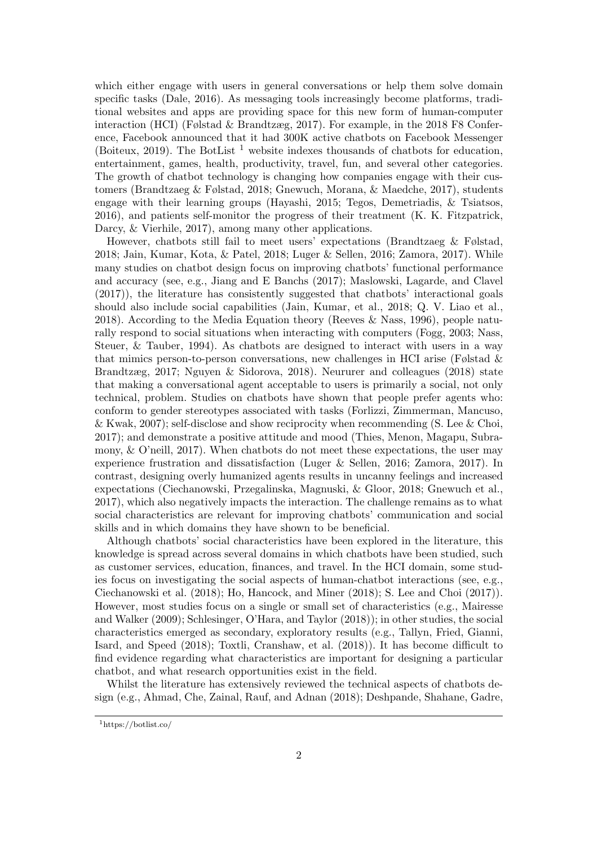which either engage with users in general conversations or help them solve domain specific tasks (Dale, 2016). As messaging tools increasingly become platforms, traditional websites and apps are providing space for this new form of human-computer interaction (HCI) (Følstad & Brandtzæg, 2017). For example, in the 2018 F8 Conference, Facebook announced that it had 300K active chatbots on Facebook Messenger (Boiteux, 2019). The BotList<sup>1</sup> website indexes thousands of chatbots for education, entertainment, games, health, productivity, travel, fun, and several other categories. The growth of chatbot technology is changing how companies engage with their customers (Brandtzaeg & Følstad, 2018; Gnewuch, Morana, & Maedche, 2017), students engage with their learning groups (Hayashi, 2015; Tegos, Demetriadis, & Tsiatsos, 2016), and patients self-monitor the progress of their treatment (K. K. Fitzpatrick, Darcy, & Vierhile, 2017), among many other applications.

However, chatbots still fail to meet users' expectations (Brandtzaeg & Følstad, 2018; Jain, Kumar, Kota, & Patel, 2018; Luger & Sellen, 2016; Zamora, 2017). While many studies on chatbot design focus on improving chatbots' functional performance and accuracy (see, e.g., Jiang and E Banchs (2017); Maslowski, Lagarde, and Clavel (2017)), the literature has consistently suggested that chatbots' interactional goals should also include social capabilities (Jain, Kumar, et al., 2018; Q. V. Liao et al., 2018). According to the Media Equation theory (Reeves & Nass, 1996), people naturally respond to social situations when interacting with computers (Fogg, 2003; Nass, Steuer, & Tauber, 1994). As chatbots are designed to interact with users in a way that mimics person-to-person conversations, new challenges in HCI arise (Følstad  $\&$ Brandtzæg, 2017; Nguyen & Sidorova, 2018). Neururer and colleagues (2018) state that making a conversational agent acceptable to users is primarily a social, not only technical, problem. Studies on chatbots have shown that people prefer agents who: conform to gender stereotypes associated with tasks (Forlizzi, Zimmerman, Mancuso, & Kwak, 2007); self-disclose and show reciprocity when recommending (S. Lee & Choi, 2017); and demonstrate a positive attitude and mood (Thies, Menon, Magapu, Subramony, & O'neill, 2017). When chatbots do not meet these expectations, the user may experience frustration and dissatisfaction (Luger & Sellen, 2016; Zamora, 2017). In contrast, designing overly humanized agents results in uncanny feelings and increased expectations (Ciechanowski, Przegalinska, Magnuski, & Gloor, 2018; Gnewuch et al., 2017), which also negatively impacts the interaction. The challenge remains as to what social characteristics are relevant for improving chatbots' communication and social skills and in which domains they have shown to be beneficial.

Although chatbots' social characteristics have been explored in the literature, this knowledge is spread across several domains in which chatbots have been studied, such as customer services, education, finances, and travel. In the HCI domain, some studies focus on investigating the social aspects of human-chatbot interactions (see, e.g., Ciechanowski et al. (2018); Ho, Hancock, and Miner (2018); S. Lee and Choi (2017)). However, most studies focus on a single or small set of characteristics (e.g., Mairesse and Walker (2009); Schlesinger, O'Hara, and Taylor (2018)); in other studies, the social characteristics emerged as secondary, exploratory results (e.g., Tallyn, Fried, Gianni, Isard, and Speed (2018); Toxtli, Cranshaw, et al. (2018)). It has become difficult to find evidence regarding what characteristics are important for designing a particular chatbot, and what research opportunities exist in the field.

Whilst the literature has extensively reviewed the technical aspects of chatbots design (e.g., Ahmad, Che, Zainal, Rauf, and Adnan (2018); Deshpande, Shahane, Gadre,

<sup>1</sup>https://botlist.co/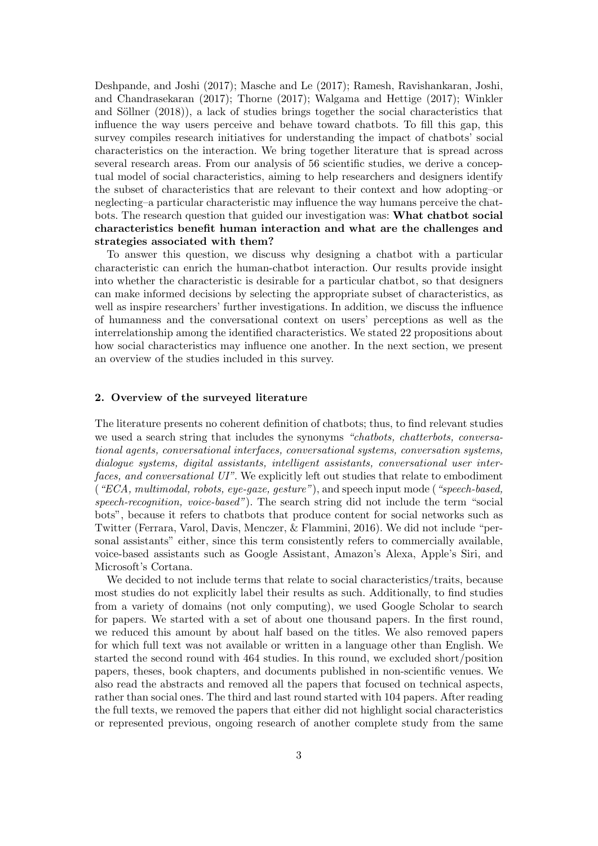Deshpande, and Joshi (2017); Masche and Le (2017); Ramesh, Ravishankaran, Joshi, and Chandrasekaran (2017); Thorne (2017); Walgama and Hettige (2017); Winkler and Söllner  $(2018)$ , a lack of studies brings together the social characteristics that influence the way users perceive and behave toward chatbots. To fill this gap, this survey compiles research initiatives for understanding the impact of chatbots' social characteristics on the interaction. We bring together literature that is spread across several research areas. From our analysis of 56 scientific studies, we derive a conceptual model of social characteristics, aiming to help researchers and designers identify the subset of characteristics that are relevant to their context and how adopting–or neglecting–a particular characteristic may influence the way humans perceive the chatbots. The research question that guided our investigation was: What chatbot social characteristics benefit human interaction and what are the challenges and strategies associated with them?

To answer this question, we discuss why designing a chatbot with a particular characteristic can enrich the human-chatbot interaction. Our results provide insight into whether the characteristic is desirable for a particular chatbot, so that designers can make informed decisions by selecting the appropriate subset of characteristics, as well as inspire researchers' further investigations. In addition, we discuss the influence of humanness and the conversational context on users' perceptions as well as the interrelationship among the identified characteristics. We stated 22 propositions about how social characteristics may influence one another. In the next section, we present an overview of the studies included in this survey.

#### 2. Overview of the surveyed literature

The literature presents no coherent definition of chatbots; thus, to find relevant studies we used a search string that includes the synonyms "chatbots, chatterbots, conversational agents, conversational interfaces, conversational systems, conversation systems, dialogue systems, digital assistants, intelligent assistants, conversational user interfaces, and conversational UI". We explicitly left out studies that relate to embodiment  $(*ECA, multimodal, robots, eye-gaze, gesture"), and speech input mode (**specch-based*,$ speech-recognition, voice-based"). The search string did not include the term "social bots", because it refers to chatbots that produce content for social networks such as Twitter (Ferrara, Varol, Davis, Menczer, & Flammini, 2016). We did not include "personal assistants" either, since this term consistently refers to commercially available, voice-based assistants such as Google Assistant, Amazon's Alexa, Apple's Siri, and Microsoft's Cortana.

We decided to not include terms that relate to social characteristics/traits, because most studies do not explicitly label their results as such. Additionally, to find studies from a variety of domains (not only computing), we used Google Scholar to search for papers. We started with a set of about one thousand papers. In the first round, we reduced this amount by about half based on the titles. We also removed papers for which full text was not available or written in a language other than English. We started the second round with 464 studies. In this round, we excluded short/position papers, theses, book chapters, and documents published in non-scientific venues. We also read the abstracts and removed all the papers that focused on technical aspects, rather than social ones. The third and last round started with 104 papers. After reading the full texts, we removed the papers that either did not highlight social characteristics or represented previous, ongoing research of another complete study from the same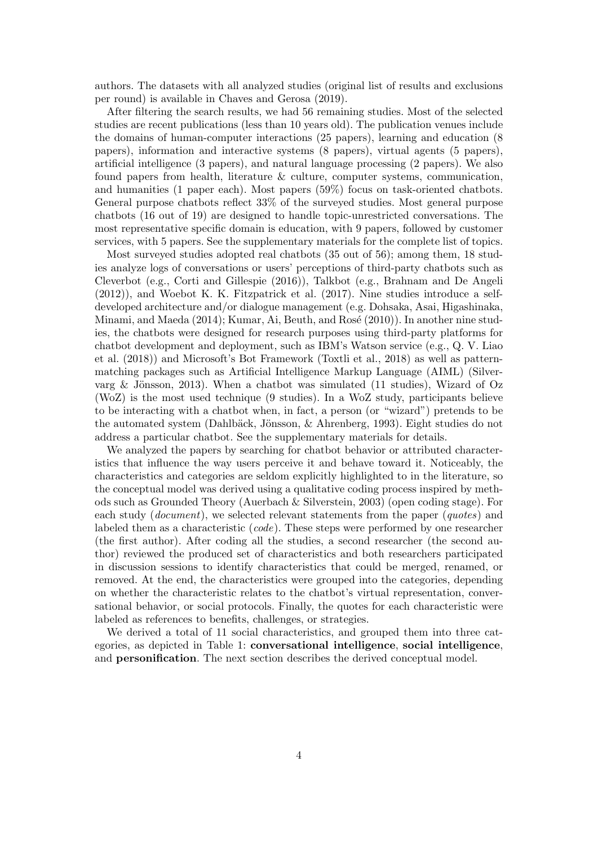authors. The datasets with all analyzed studies (original list of results and exclusions per round) is available in Chaves and Gerosa (2019).

After filtering the search results, we had 56 remaining studies. Most of the selected studies are recent publications (less than 10 years old). The publication venues include the domains of human-computer interactions (25 papers), learning and education (8 papers), information and interactive systems (8 papers), virtual agents (5 papers), artificial intelligence (3 papers), and natural language processing (2 papers). We also found papers from health, literature & culture, computer systems, communication, and humanities (1 paper each). Most papers (59%) focus on task-oriented chatbots. General purpose chatbots reflect 33% of the surveyed studies. Most general purpose chatbots (16 out of 19) are designed to handle topic-unrestricted conversations. The most representative specific domain is education, with 9 papers, followed by customer services, with 5 papers. See the supplementary materials for the complete list of topics.

Most surveyed studies adopted real chatbots (35 out of 56); among them, 18 studies analyze logs of conversations or users' perceptions of third-party chatbots such as Cleverbot (e.g., Corti and Gillespie (2016)), Talkbot (e.g., Brahnam and De Angeli (2012)), and Woebot K. K. Fitzpatrick et al. (2017). Nine studies introduce a selfdeveloped architecture and/or dialogue management (e.g. Dohsaka, Asai, Higashinaka, Minami, and Maeda (2014); Kumar, Ai, Beuth, and Rosé (2010)). In another nine studies, the chatbots were designed for research purposes using third-party platforms for chatbot development and deployment, such as IBM's Watson service (e.g., Q. V. Liao et al. (2018)) and Microsoft's Bot Framework (Toxtli et al., 2018) as well as patternmatching packages such as Artificial Intelligence Markup Language (AIML) (Silvervarg & Jönsson, 2013). When a chatbot was simulated (11 studies), Wizard of Oz (WoZ) is the most used technique (9 studies). In a WoZ study, participants believe to be interacting with a chatbot when, in fact, a person (or "wizard") pretends to be the automated system (Dahlbäck, Jönsson,  $\&$  Ahrenberg, 1993). Eight studies do not address a particular chatbot. See the supplementary materials for details.

We analyzed the papers by searching for chatbot behavior or attributed characteristics that influence the way users perceive it and behave toward it. Noticeably, the characteristics and categories are seldom explicitly highlighted to in the literature, so the conceptual model was derived using a qualitative coding process inspired by methods such as Grounded Theory (Auerbach & Silverstein, 2003) (open coding stage). For each study (*document*), we selected relevant statements from the paper (*quotes*) and labeled them as a characteristic (code). These steps were performed by one researcher (the first author). After coding all the studies, a second researcher (the second author) reviewed the produced set of characteristics and both researchers participated in discussion sessions to identify characteristics that could be merged, renamed, or removed. At the end, the characteristics were grouped into the categories, depending on whether the characteristic relates to the chatbot's virtual representation, conversational behavior, or social protocols. Finally, the quotes for each characteristic were labeled as references to benefits, challenges, or strategies.

We derived a total of 11 social characteristics, and grouped them into three categories, as depicted in Table 1: conversational intelligence, social intelligence, and personification. The next section describes the derived conceptual model.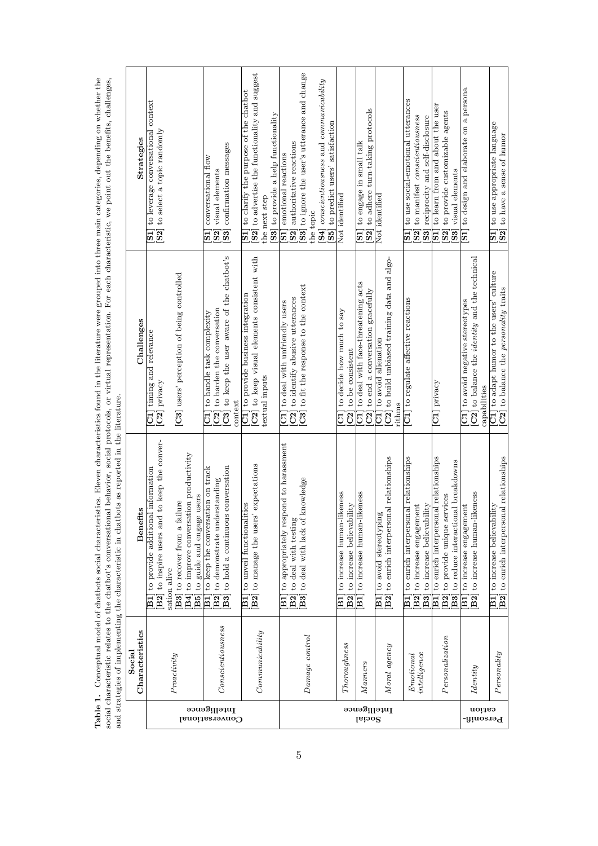|                        | Socia             | and strategies of implementing the characteristic in chatbots as reported in the literature.       |                                                                                    |                                                                                                    |
|------------------------|-------------------|----------------------------------------------------------------------------------------------------|------------------------------------------------------------------------------------|----------------------------------------------------------------------------------------------------|
|                        | Characteristics   | fits<br>Benet                                                                                      | Challenges                                                                         | Strategies                                                                                         |
|                        |                   | d to keep the conver-<br>to provide additional information<br>B2] to inspire users an<br>$\rm \Xi$ | C1] timing and relevance<br>[C2] privacy                                           | to leverage conversational context<br>[S2] to select a topic randomly<br>$\Xi$                     |
|                        |                   | sation alive                                                                                       |                                                                                    |                                                                                                    |
| Conversational         | Proactivity       | [B4] to improve conversation productivity<br>[B3] to recover from a failure                        | [C3] users' perception of being controlled                                         |                                                                                                    |
|                        |                   | B5] to guide and engage users                                                                      |                                                                                    |                                                                                                    |
|                        |                   | to keep the conversation on track<br>to demonstrate understanding<br> B2 <br>$\Xi$                 | C2 to harden the conversation<br>to handle task complexity<br>$\overline{\rm d}$   | conversational flow<br>visual elements<br>[ <sub>S2</sub> ]<br>$\overline{\textbf{S}}$             |
| Intelligence           | Conscientiousness | is conversation<br>B <sub>3</sub> to hold a continuou                                              | C3] to keep the user aware of the chatbot's                                        | [S3] confirmation messages                                                                         |
|                        |                   |                                                                                                    | context                                                                            |                                                                                                    |
|                        |                   | [B2] to manage the users' expectations<br>lities<br>to unveil functional<br>$\boxed{B1}$           | C2] to keep visual elements consistent with<br>C1] to provide business integration | [S2] to advertise the functionality and suggest<br>[S1] to clarify the purpose of the chatbot      |
|                        | Commanicality     |                                                                                                    | textual inputs                                                                     | the next step                                                                                      |
|                        |                   |                                                                                                    |                                                                                    | [S3] to provide a help functionality                                                               |
|                        |                   | to appropriately respond to harassment<br>$\Xi$                                                    | C1] to deal with unfriendly users                                                  | [S <sub>1</sub> ] emotional reactions                                                              |
|                        |                   | to deal with testing<br>[B2]                                                                       | C2 to identify abusive utterances                                                  | [S2] authoritative reactions                                                                       |
|                        | Damage control    | [B3] to deal with lack of knowledge                                                                | C3] to fit the response to the context                                             | [S3] to ignore the user's utterance and change                                                     |
|                        |                   |                                                                                                    |                                                                                    | the topic                                                                                          |
|                        |                   |                                                                                                    |                                                                                    | $[84]$ conscientiousness and communicability                                                       |
|                        |                   |                                                                                                    |                                                                                    | S5 to predict users' satisfaction                                                                  |
|                        | Thoroughness      | to increase human-likeness<br>$\Xi$                                                                | to decide how much to say<br>$\overline{\vec{c}}$                                  | Not identified                                                                                     |
|                        |                   | to increase believability<br>B2                                                                    | C2] to be consistent                                                               |                                                                                                    |
|                        | <i>Manners</i>    | likeness<br>to increase human-<br>$\boxed{\text{B}}$                                               | C1] to deal with face-threatening acts                                             | to engage in small talk<br>$\overline{\phantom{1}}$                                                |
| Intelligence<br>Social |                   |                                                                                                    | $C2$ ] to end a conversation gracefully                                            | [S2] to adhere turn-taking protocols                                                               |
|                        |                   | $\frac{8}{2}$<br>to avoid stereotypin<br>$\overline{\Xi}$                                          | C1] to avoid alienation                                                            | Not identified                                                                                     |
|                        | Moral agency      | [B2] to enrich interpersonal relationships                                                         | C2 to build unbiased training data and algo-                                       |                                                                                                    |
|                        |                   |                                                                                                    | rithms                                                                             |                                                                                                    |
|                        | Emotional         | to enrich interpersonal relationships<br>$_{\rm B1}$                                               | [C1] to regulate affective reactions                                               | to use social-emotional utterances<br>$\Xi$                                                        |
|                        | intellingence     | B2] to increase engagement                                                                         |                                                                                    | S2 to manifest conscientiousness                                                                   |
|                        |                   | to increase believability<br> B3                                                                   |                                                                                    | [83] reciprocity and self-disclosure                                                               |
|                        |                   | to enrich interpersonal relationships<br>$_{\rm{B1}}$                                              | $[CI]$ privacy                                                                     | [S1] to learn from and about the user                                                              |
|                        | Personalization   | to provide unique services<br>$[{\rm B2}]$                                                         |                                                                                    | [S2] to provide customizable agents                                                                |
|                        |                   | <b>B3</b> to reduce interactional breakdowns                                                       |                                                                                    | <b>S3</b> visual elements                                                                          |
|                        |                   | to increase engagement<br>$_{\rm{B1}}$                                                             | C1] to avoid negative stereotypes                                                  | [S1] to design and elaborate on a persona                                                          |
|                        | Identity          | likeness<br>B <sub>2</sub> to increase human-                                                      | [C2] to balance the <i>identity</i> and the technical                              |                                                                                                    |
| cation                 |                   |                                                                                                    | capabilities                                                                       |                                                                                                    |
| <b>Personifi-</b>      | Personality       | vility<br>to increase believal<br>$_{\rm{B1}}$                                                     | C1] to adapt humor to the users' culture                                           | to use appropriate language<br>$[51]$ to use appropriate langua<br>$[52]$ to have a sense of humor |
|                        |                   | to enrich interpersonal relationships<br>$[B2]$                                                    | C2 to balance the personality traits                                               |                                                                                                    |

Table 1. Conceptual model of chatbots social characteristics. Eleven characteristics found in the literature were grouped into three main categories, depending on whether the social characteristic relates to the chatbot's Table 1. Conceptual model of chatbots social characteristics. Eleven characteristics found in the literature were grouped into three main categories, depending on whether the social characteristic relates to the chatbot's conversational behavior, social protocols, or virtual representation. For each characteristic, we point out the benefits, challenges,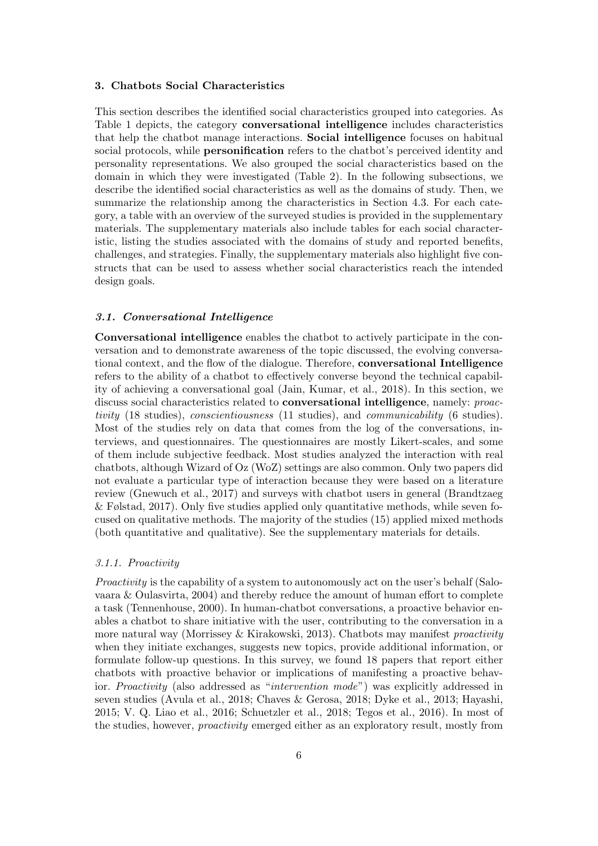# 3. Chatbots Social Characteristics

This section describes the identified social characteristics grouped into categories. As Table 1 depicts, the category conversational intelligence includes characteristics that help the chatbot manage interactions. Social intelligence focuses on habitual social protocols, while **personification** refers to the chatbot's perceived identity and personality representations. We also grouped the social characteristics based on the domain in which they were investigated (Table 2). In the following subsections, we describe the identified social characteristics as well as the domains of study. Then, we summarize the relationship among the characteristics in Section 4.3. For each category, a table with an overview of the surveyed studies is provided in the supplementary materials. The supplementary materials also include tables for each social characteristic, listing the studies associated with the domains of study and reported benefits, challenges, and strategies. Finally, the supplementary materials also highlight five constructs that can be used to assess whether social characteristics reach the intended design goals.

### 3.1. Conversational Intelligence

Conversational intelligence enables the chatbot to actively participate in the conversation and to demonstrate awareness of the topic discussed, the evolving conversational context, and the flow of the dialogue. Therefore, conversational Intelligence refers to the ability of a chatbot to effectively converse beyond the technical capability of achieving a conversational goal (Jain, Kumar, et al., 2018). In this section, we discuss social characteristics related to conversational intelligence, namely: proactivity (18 studies), conscientiousness (11 studies), and communicability (6 studies). Most of the studies rely on data that comes from the log of the conversations, interviews, and questionnaires. The questionnaires are mostly Likert-scales, and some of them include subjective feedback. Most studies analyzed the interaction with real chatbots, although Wizard of Oz (WoZ) settings are also common. Only two papers did not evaluate a particular type of interaction because they were based on a literature review (Gnewuch et al., 2017) and surveys with chatbot users in general (Brandtzaeg & Følstad, 2017). Only five studies applied only quantitative methods, while seven focused on qualitative methods. The majority of the studies (15) applied mixed methods (both quantitative and qualitative). See the supplementary materials for details.

#### 3.1.1. Proactivity

Proactivity is the capability of a system to autonomously act on the user's behalf (Salovaara & Oulasvirta, 2004) and thereby reduce the amount of human effort to complete a task (Tennenhouse, 2000). In human-chatbot conversations, a proactive behavior enables a chatbot to share initiative with the user, contributing to the conversation in a more natural way (Morrissey & Kirakowski, 2013). Chatbots may manifest *proactivity* when they initiate exchanges, suggests new topics, provide additional information, or formulate follow-up questions. In this survey, we found 18 papers that report either chatbots with proactive behavior or implications of manifesting a proactive behavior. Proactivity (also addressed as "intervention mode") was explicitly addressed in seven studies (Avula et al., 2018; Chaves & Gerosa, 2018; Dyke et al., 2013; Hayashi, 2015; V. Q. Liao et al., 2016; Schuetzler et al., 2018; Tegos et al., 2016). In most of the studies, however, proactivity emerged either as an exploratory result, mostly from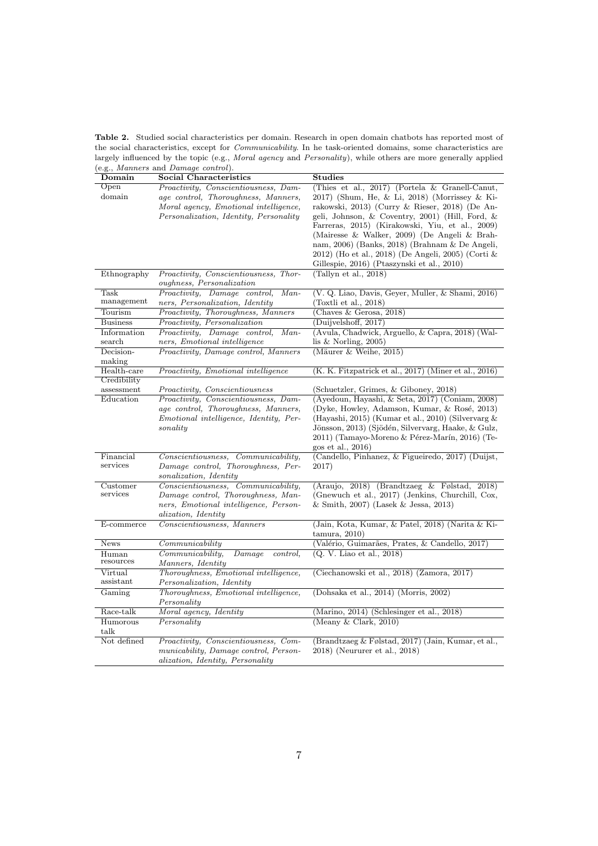Table 2. Studied social characteristics per domain. Research in open domain chatbots has reported most of the social characteristics, except for Communicability. In he task-oriented domains, some characteristics are largely influenced by the topic (e.g., *Moral agency* and *Personality*), while others are more generally applied (e.g., Manners and Damage control).

| Domain                | <b>Social Characteristics</b>                                                                                                                    | <b>Studies</b>                                                                                                                                                                                                                                                                                                                                                                                              |
|-----------------------|--------------------------------------------------------------------------------------------------------------------------------------------------|-------------------------------------------------------------------------------------------------------------------------------------------------------------------------------------------------------------------------------------------------------------------------------------------------------------------------------------------------------------------------------------------------------------|
| Open                  | Proactivity, Conscientiousness, Dam-                                                                                                             | (Thies et al., 2017) (Portela & Granell-Canut,                                                                                                                                                                                                                                                                                                                                                              |
| domain                | age control, Thoroughness, Manners,<br>Moral agency, Emotional intelligence,<br>Personalization, Identity, Personality                           | 2017) (Shum, He, & Li, 2018) (Morrissey & Ki-<br>rakowski, 2013) (Curry & Rieser, 2018) (De An-<br>geli, Johnson, & Coventry, 2001) (Hill, Ford, &<br>Farreras, 2015) (Kirakowski, Yiu, et al., 2009)<br>(Mairesse & Walker, 2009) (De Angeli & Brah-<br>nam, 2006) (Banks, 2018) (Brahnam & De Angeli,<br>2012) (Ho et al., 2018) (De Angeli, 2005) (Corti &<br>Gillespie, 2016) (Ptaszynski et al., 2010) |
| Ethnography           | Proactivity, Conscientiousness, Thor-<br>oughness, Personalization                                                                               | (Tallyn et al., 2018)                                                                                                                                                                                                                                                                                                                                                                                       |
| Task                  | Proactivity, Damage control,<br>$Man-$                                                                                                           | (V. Q. Liao, Davis, Geyer, Muller, & Shami, 2016)                                                                                                                                                                                                                                                                                                                                                           |
| management            | ners, Personalization, Identity                                                                                                                  | (Toxtli et al., 2018)                                                                                                                                                                                                                                                                                                                                                                                       |
| Tourism               | Proactivity, Thoroughness, Manners                                                                                                               | (Chaves $&$ Gerosa, 2018)                                                                                                                                                                                                                                                                                                                                                                                   |
| <b>Business</b>       | Proactivity, Personalization                                                                                                                     | (Duijvelshoff, 2017)                                                                                                                                                                                                                                                                                                                                                                                        |
| Information           | Proactivity, Damage control,<br>$Man-$                                                                                                           | (Avula, Chadwick, Arguello, & Capra, 2018) (Wal-                                                                                                                                                                                                                                                                                                                                                            |
| search                | ners, Emotional intelligence                                                                                                                     | lis $&$ Norling, 2005)                                                                                                                                                                                                                                                                                                                                                                                      |
| Decision-<br>making   | Proactivity, Damage control, Manners                                                                                                             | (Mäurer $&$ Weihe, 2015)                                                                                                                                                                                                                                                                                                                                                                                    |
| Health-care           | Proactivity, Emotional intelligence                                                                                                              | (K. K. Fitzpatrick et al., 2017) (Miner et al., 2016)                                                                                                                                                                                                                                                                                                                                                       |
| Credibility           |                                                                                                                                                  |                                                                                                                                                                                                                                                                                                                                                                                                             |
| assessment            | Proactivity, Conscientiousness                                                                                                                   | (Schuetzler, Grimes, & Giboney, 2018)                                                                                                                                                                                                                                                                                                                                                                       |
| Education             | Proactivity, Conscientiousness, Dam-<br>age control, Thoroughness, Manners,<br><i>Emotional intelligence, Identity, Per-</i><br>sonality         | (Ayedoun, Hayashi, & Seta, 2017) (Coniam, 2008)<br>(Dyke, Howley, Adamson, Kumar, & Rosé, 2013)<br>(Hayashi, 2015) (Kumar et al., 2010) (Silvervarg $\&$<br>Jönsson, 2013) (Sjödén, Silvervarg, Haake, & Gulz,<br>2011) (Tamayo-Moreno & Pérez-Marín, 2016) (Te-<br>gos et al., 2016)                                                                                                                       |
| Financial<br>services | Conscientiousness, Communicability,<br>Damage control, Thoroughness, Per-<br>sonalization, Identity                                              | (Candello, Pinhanez, & Figueiredo, 2017) (Duijst,<br>2017)                                                                                                                                                                                                                                                                                                                                                  |
| Customer<br>services  | Conscientiousness, Communicability,<br>Damage control, Thoroughness, Man-<br>ners, Emotional intelligence, Person-<br><i>alization, Identity</i> | (Araujo, 2018) (Brandtzaeg & Følstad, 2018)<br>(Gnewuch et al., 2017) (Jenkins, Churchill, Cox,<br>& Smith, 2007) (Lasek & Jessa, 2013)                                                                                                                                                                                                                                                                     |
| E-commerce            | Conscientiousness, Manners                                                                                                                       | (Jain, Kota, Kumar, & Patel, 2018) (Narita & Ki-<br>tammura, 2010)                                                                                                                                                                                                                                                                                                                                          |
| <b>News</b>           | $\n  Communicability\n$                                                                                                                          | (Valério, Guimarães, Prates, & Candello, 2017)                                                                                                                                                                                                                                                                                                                                                              |
| Human<br>resources    | Communicability,<br>Damage<br>control,<br><i>Manners, Identity</i>                                                                               | (Q. V. Liao et al., 2018)                                                                                                                                                                                                                                                                                                                                                                                   |
| Virtual<br>assistant  | Thoroughness, Emotional intelligence,<br>Personalization, Identity                                                                               | (Ciechanowski et al., 2018) (Zamora, 2017)                                                                                                                                                                                                                                                                                                                                                                  |
| Gaming                | Thoroughness, Emotional intelligence,<br>Personality                                                                                             | (Dohsaka et al., 2014) (Morris, 2002)                                                                                                                                                                                                                                                                                                                                                                       |
| Race-talk             | Moral agency, Identity                                                                                                                           | (Marino, 2014) (Schlesinger et al., 2018)                                                                                                                                                                                                                                                                                                                                                                   |
| Humorous<br>talk      | Personality                                                                                                                                      | (Meany $&$ Clark, 2010)                                                                                                                                                                                                                                                                                                                                                                                     |
| Not defined           | Proactivity, Conscientiousness, Com-<br>municability, Damage control, Person-<br><i>alization, Identity, Personality</i>                         | (Brandtzaeg & Følstad, 2017) (Jain, Kumar, et al.,<br>2018) (Neururer et al., 2018)                                                                                                                                                                                                                                                                                                                         |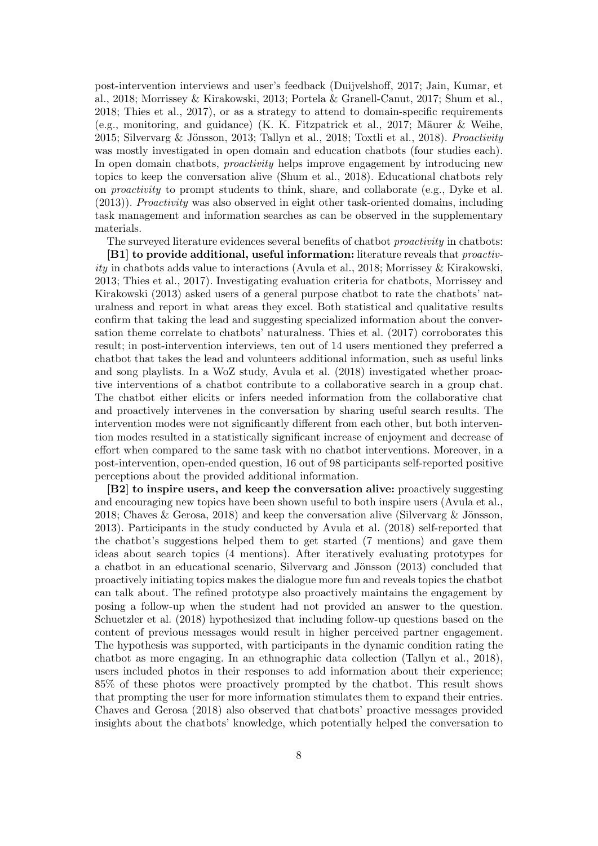post-intervention interviews and user's feedback (Duijvelshoff, 2017; Jain, Kumar, et al., 2018; Morrissey & Kirakowski, 2013; Portela & Granell-Canut, 2017; Shum et al., 2018; Thies et al., 2017), or as a strategy to attend to domain-specific requirements (e.g., monitoring, and guidance) (K. K. Fitzpatrick et al., 2017; Mäurer & Weihe, 2015; Silvervarg & Jönsson, 2013; Tallyn et al., 2018; Toxtli et al., 2018). Proactivity was mostly investigated in open domain and education chatbots (four studies each). In open domain chatbots, proactivity helps improve engagement by introducing new topics to keep the conversation alive (Shum et al., 2018). Educational chatbots rely on proactivity to prompt students to think, share, and collaborate (e.g., Dyke et al. (2013)). Proactivity was also observed in eight other task-oriented domains, including task management and information searches as can be observed in the supplementary materials.

The surveyed literature evidences several benefits of chatbot *proactivity* in chatbots:

[B1] to provide additional, useful information: literature reveals that *proactiv*ity in chatbots adds value to interactions (Avula et al., 2018; Morrissey  $\&$  Kirakowski, 2013; Thies et al., 2017). Investigating evaluation criteria for chatbots, Morrissey and Kirakowski (2013) asked users of a general purpose chatbot to rate the chatbots' naturalness and report in what areas they excel. Both statistical and qualitative results confirm that taking the lead and suggesting specialized information about the conversation theme correlate to chatbots' naturalness. Thies et al. (2017) corroborates this result; in post-intervention interviews, ten out of 14 users mentioned they preferred a chatbot that takes the lead and volunteers additional information, such as useful links and song playlists. In a WoZ study, Avula et al. (2018) investigated whether proactive interventions of a chatbot contribute to a collaborative search in a group chat. The chatbot either elicits or infers needed information from the collaborative chat and proactively intervenes in the conversation by sharing useful search results. The intervention modes were not significantly different from each other, but both intervention modes resulted in a statistically significant increase of enjoyment and decrease of effort when compared to the same task with no chatbot interventions. Moreover, in a post-intervention, open-ended question, 16 out of 98 participants self-reported positive perceptions about the provided additional information.

[B2] to inspire users, and keep the conversation alive: proactively suggesting and encouraging new topics have been shown useful to both inspire users (Avula et al., 2018; Chaves & Gerosa, 2018) and keep the conversation alive (Silvervarg & Jönsson, 2013). Participants in the study conducted by Avula et al. (2018) self-reported that the chatbot's suggestions helped them to get started (7 mentions) and gave them ideas about search topics (4 mentions). After iteratively evaluating prototypes for a chatbot in an educational scenario, Silvervarg and Jönsson (2013) concluded that proactively initiating topics makes the dialogue more fun and reveals topics the chatbot can talk about. The refined prototype also proactively maintains the engagement by posing a follow-up when the student had not provided an answer to the question. Schuetzler et al. (2018) hypothesized that including follow-up questions based on the content of previous messages would result in higher perceived partner engagement. The hypothesis was supported, with participants in the dynamic condition rating the chatbot as more engaging. In an ethnographic data collection (Tallyn et al., 2018), users included photos in their responses to add information about their experience; 85% of these photos were proactively prompted by the chatbot. This result shows that prompting the user for more information stimulates them to expand their entries. Chaves and Gerosa (2018) also observed that chatbots' proactive messages provided insights about the chatbots' knowledge, which potentially helped the conversation to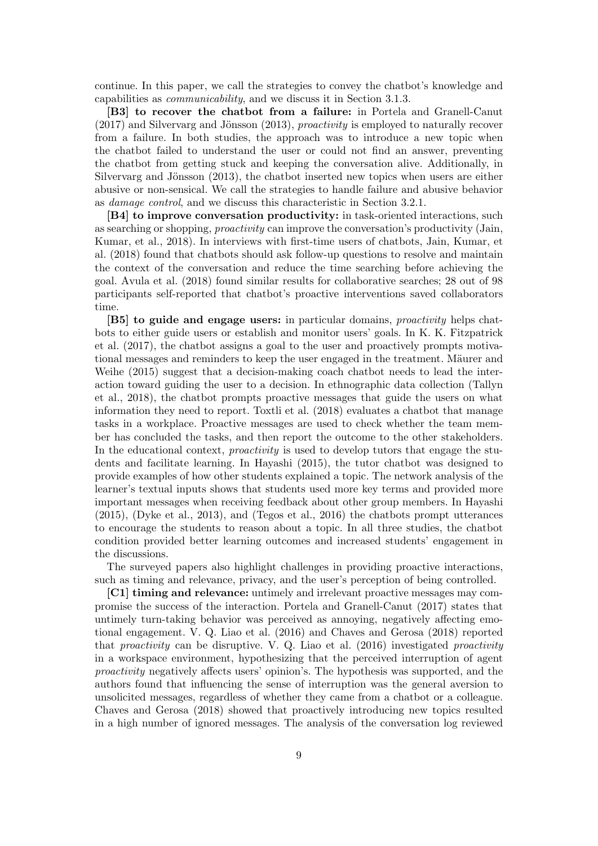continue. In this paper, we call the strategies to convey the chatbot's knowledge and capabilities as communicability, and we discuss it in Section 3.1.3.

[B3] to recover the chatbot from a failure: in Portela and Granell-Canut  $(2017)$  and Silvervarg and Jönsson  $(2013)$ , *proactivity* is employed to naturally recover from a failure. In both studies, the approach was to introduce a new topic when the chatbot failed to understand the user or could not find an answer, preventing the chatbot from getting stuck and keeping the conversation alive. Additionally, in Silvervarg and Jönsson  $(2013)$ , the chatbot inserted new topics when users are either abusive or non-sensical. We call the strategies to handle failure and abusive behavior as damage control, and we discuss this characteristic in Section 3.2.1.

[B4] to improve conversation productivity: in task-oriented interactions, such as searching or shopping, proactivity can improve the conversation's productivity (Jain, Kumar, et al., 2018). In interviews with first-time users of chatbots, Jain, Kumar, et al. (2018) found that chatbots should ask follow-up questions to resolve and maintain the context of the conversation and reduce the time searching before achieving the goal. Avula et al. (2018) found similar results for collaborative searches; 28 out of 98 participants self-reported that chatbot's proactive interventions saved collaborators time.

[B5] to guide and engage users: in particular domains, *proactivity* helps chatbots to either guide users or establish and monitor users' goals. In K. K. Fitzpatrick et al. (2017), the chatbot assigns a goal to the user and proactively prompts motivational messages and reminders to keep the user engaged in the treatment. Mäurer and Weihe (2015) suggest that a decision-making coach chatbot needs to lead the interaction toward guiding the user to a decision. In ethnographic data collection (Tallyn et al., 2018), the chatbot prompts proactive messages that guide the users on what information they need to report. Toxtli et al. (2018) evaluates a chatbot that manage tasks in a workplace. Proactive messages are used to check whether the team member has concluded the tasks, and then report the outcome to the other stakeholders. In the educational context, *proactivity* is used to develop tutors that engage the students and facilitate learning. In Hayashi (2015), the tutor chatbot was designed to provide examples of how other students explained a topic. The network analysis of the learner's textual inputs shows that students used more key terms and provided more important messages when receiving feedback about other group members. In Hayashi (2015), (Dyke et al., 2013), and (Tegos et al., 2016) the chatbots prompt utterances to encourage the students to reason about a topic. In all three studies, the chatbot condition provided better learning outcomes and increased students' engagement in the discussions.

The surveyed papers also highlight challenges in providing proactive interactions, such as timing and relevance, privacy, and the user's perception of being controlled.

[C1] timing and relevance: untimely and irrelevant proactive messages may compromise the success of the interaction. Portela and Granell-Canut (2017) states that untimely turn-taking behavior was perceived as annoying, negatively affecting emotional engagement. V. Q. Liao et al. (2016) and Chaves and Gerosa (2018) reported that *proactivity* can be disruptive. V. Q. Liao et al.  $(2016)$  investigated *proactivity* in a workspace environment, hypothesizing that the perceived interruption of agent proactivity negatively affects users' opinion's. The hypothesis was supported, and the authors found that influencing the sense of interruption was the general aversion to unsolicited messages, regardless of whether they came from a chatbot or a colleague. Chaves and Gerosa (2018) showed that proactively introducing new topics resulted in a high number of ignored messages. The analysis of the conversation log reviewed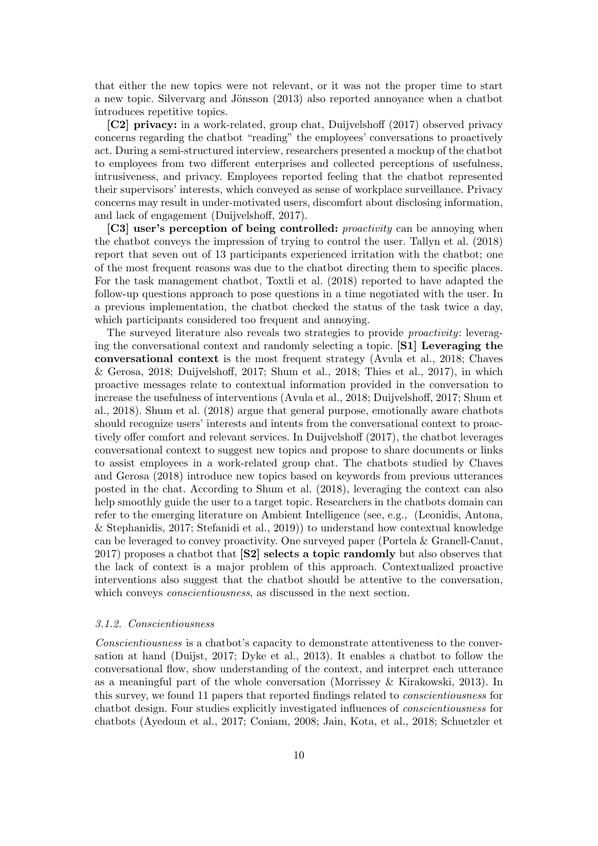that either the new topics were not relevant, or it was not the proper time to start a new topic. Silvervarg and Jönsson (2013) also reported annoyance when a chatbot introduces repetitive topics.

[C2] privacy: in a work-related, group chat, Duijvelshoff (2017) observed privacy concerns regarding the chatbot "reading" the employees' conversations to proactively act. During a semi-structured interview, researchers presented a mockup of the chatbot to employees from two different enterprises and collected perceptions of usefulness, intrusiveness, and privacy. Employees reported feeling that the chatbot represented their supervisors' interests, which conveyed as sense of workplace surveillance. Privacy concerns may result in under-motivated users, discomfort about disclosing information, and lack of engagement (Duijvelshoff, 2017).

[C3] user's perception of being controlled: *proactivity* can be annoying when the chatbot conveys the impression of trying to control the user. Tallyn et al. (2018) report that seven out of 13 participants experienced irritation with the chatbot; one of the most frequent reasons was due to the chatbot directing them to specific places. For the task management chatbot, Toxtli et al. (2018) reported to have adapted the follow-up questions approach to pose questions in a time negotiated with the user. In a previous implementation, the chatbot checked the status of the task twice a day, which participants considered too frequent and annoying.

The surveyed literature also reveals two strategies to provide *proactivity*: leveraging the conversational context and randomly selecting a topic. [S1] Leveraging the conversational context is the most frequent strategy (Avula et al., 2018; Chaves & Gerosa, 2018; Duijvelshoff, 2017; Shum et al., 2018; Thies et al., 2017), in which proactive messages relate to contextual information provided in the conversation to increase the usefulness of interventions (Avula et al., 2018; Duijvelshoff, 2017; Shum et al., 2018). Shum et al. (2018) argue that general purpose, emotionally aware chatbots should recognize users' interests and intents from the conversational context to proactively offer comfort and relevant services. In Duijvelshoff (2017), the chatbot leverages conversational context to suggest new topics and propose to share documents or links to assist employees in a work-related group chat. The chatbots studied by Chaves and Gerosa (2018) introduce new topics based on keywords from previous utterances posted in the chat. According to Shum et al. (2018), leveraging the context can also help smoothly guide the user to a target topic. Researchers in the chatbots domain can refer to the emerging literature on Ambient Intelligence (see, e.g., (Leonidis, Antona, & Stephanidis, 2017; Stefanidi et al., 2019)) to understand how contextual knowledge can be leveraged to convey proactivity. One surveyed paper (Portela & Granell-Canut, 2017) proposes a chatbot that [S2] selects a topic randomly but also observes that the lack of context is a major problem of this approach. Contextualized proactive interventions also suggest that the chatbot should be attentive to the conversation, which conveys *conscientiousness*, as discussed in the next section.

#### 3.1.2. Conscientiousness

Conscientiousness is a chatbot's capacity to demonstrate attentiveness to the conversation at hand (Duijst, 2017; Dyke et al., 2013). It enables a chatbot to follow the conversational flow, show understanding of the context, and interpret each utterance as a meaningful part of the whole conversation (Morrissey & Kirakowski, 2013). In this survey, we found 11 papers that reported findings related to conscientiousness for chatbot design. Four studies explicitly investigated influences of conscientiousness for chatbots (Ayedoun et al., 2017; Coniam, 2008; Jain, Kota, et al., 2018; Schuetzler et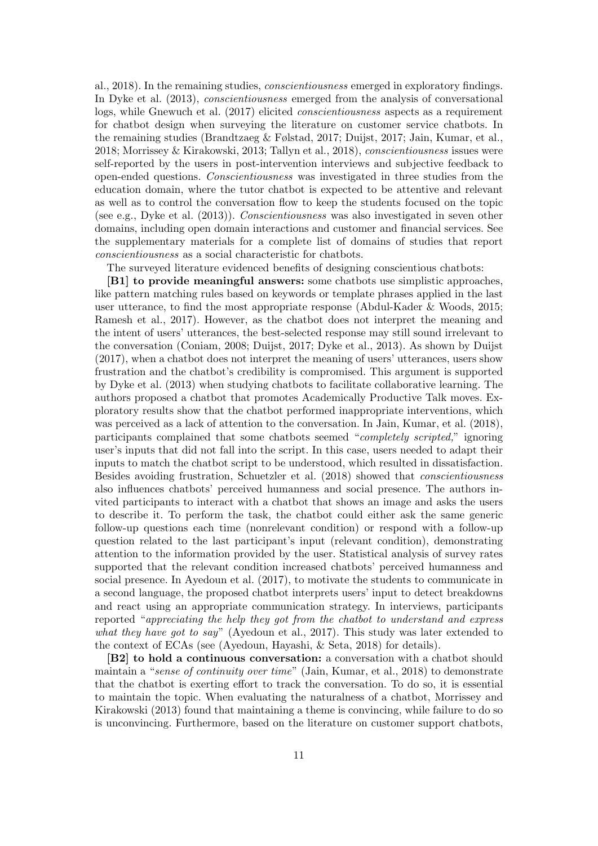al., 2018). In the remaining studies, conscientiousness emerged in exploratory findings. In Dyke et al. (2013), conscientiousness emerged from the analysis of conversational logs, while Gnewuch et al. (2017) elicited conscientiousness aspects as a requirement for chatbot design when surveying the literature on customer service chatbots. In the remaining studies (Brandtzaeg & Følstad, 2017; Duijst, 2017; Jain, Kumar, et al., 2018; Morrissey & Kirakowski, 2013; Tallyn et al., 2018), conscientiousness issues were self-reported by the users in post-intervention interviews and subjective feedback to open-ended questions. Conscientiousness was investigated in three studies from the education domain, where the tutor chatbot is expected to be attentive and relevant as well as to control the conversation flow to keep the students focused on the topic (see e.g., Dyke et al. (2013)). Conscientiousness was also investigated in seven other domains, including open domain interactions and customer and financial services. See the supplementary materials for a complete list of domains of studies that report conscientiousness as a social characteristic for chatbots.

The surveyed literature evidenced benefits of designing conscientious chatbots:

[B1] to provide meaningful answers: some chatbots use simplistic approaches, like pattern matching rules based on keywords or template phrases applied in the last user utterance, to find the most appropriate response (Abdul-Kader & Woods, 2015; Ramesh et al., 2017). However, as the chatbot does not interpret the meaning and the intent of users' utterances, the best-selected response may still sound irrelevant to the conversation (Coniam, 2008; Duijst, 2017; Dyke et al., 2013). As shown by Duijst (2017), when a chatbot does not interpret the meaning of users' utterances, users show frustration and the chatbot's credibility is compromised. This argument is supported by Dyke et al. (2013) when studying chatbots to facilitate collaborative learning. The authors proposed a chatbot that promotes Academically Productive Talk moves. Exploratory results show that the chatbot performed inappropriate interventions, which was perceived as a lack of attention to the conversation. In Jain, Kumar, et al. (2018), participants complained that some chatbots seemed "completely scripted," ignoring user's inputs that did not fall into the script. In this case, users needed to adapt their inputs to match the chatbot script to be understood, which resulted in dissatisfaction. Besides avoiding frustration, Schuetzler et al. (2018) showed that conscientiousness also influences chatbots' perceived humanness and social presence. The authors invited participants to interact with a chatbot that shows an image and asks the users to describe it. To perform the task, the chatbot could either ask the same generic follow-up questions each time (nonrelevant condition) or respond with a follow-up question related to the last participant's input (relevant condition), demonstrating attention to the information provided by the user. Statistical analysis of survey rates supported that the relevant condition increased chatbots' perceived humanness and social presence. In Ayedoun et al. (2017), to motivate the students to communicate in a second language, the proposed chatbot interprets users' input to detect breakdowns and react using an appropriate communication strategy. In interviews, participants reported "appreciating the help they got from the chatbot to understand and express what they have got to say" (Ayedoun et al., 2017). This study was later extended to the context of ECAs (see (Ayedoun, Hayashi, & Seta, 2018) for details).

[B2] to hold a continuous conversation: a conversation with a chatbot should maintain a "sense of continuity over time" (Jain, Kumar, et al., 2018) to demonstrate that the chatbot is exerting effort to track the conversation. To do so, it is essential to maintain the topic. When evaluating the naturalness of a chatbot, Morrissey and Kirakowski (2013) found that maintaining a theme is convincing, while failure to do so is unconvincing. Furthermore, based on the literature on customer support chatbots,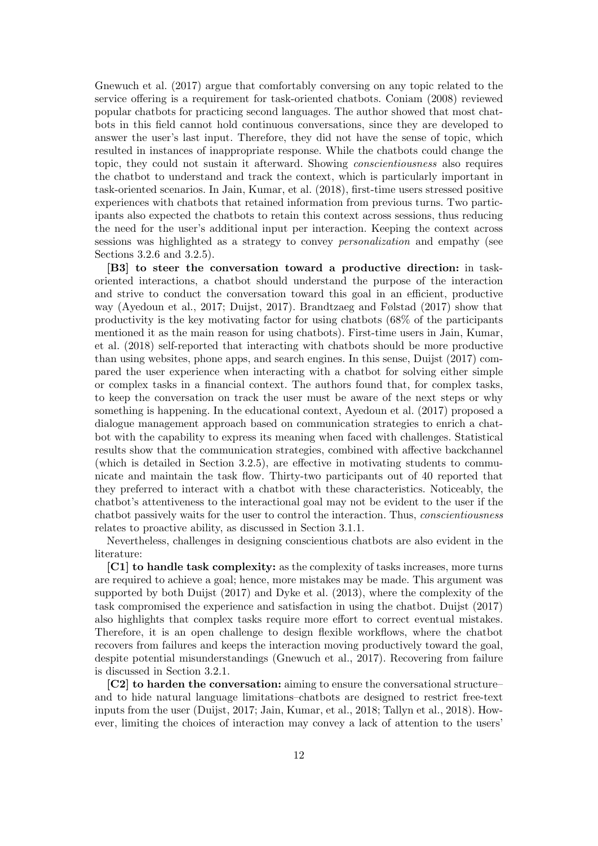Gnewuch et al. (2017) argue that comfortably conversing on any topic related to the service offering is a requirement for task-oriented chatbots. Coniam (2008) reviewed popular chatbots for practicing second languages. The author showed that most chatbots in this field cannot hold continuous conversations, since they are developed to answer the user's last input. Therefore, they did not have the sense of topic, which resulted in instances of inappropriate response. While the chatbots could change the topic, they could not sustain it afterward. Showing conscientiousness also requires the chatbot to understand and track the context, which is particularly important in task-oriented scenarios. In Jain, Kumar, et al. (2018), first-time users stressed positive experiences with chatbots that retained information from previous turns. Two participants also expected the chatbots to retain this context across sessions, thus reducing the need for the user's additional input per interaction. Keeping the context across sessions was highlighted as a strategy to convey personalization and empathy (see Sections 3.2.6 and 3.2.5).

[B3] to steer the conversation toward a productive direction: in taskoriented interactions, a chatbot should understand the purpose of the interaction and strive to conduct the conversation toward this goal in an efficient, productive way (Ayedoun et al., 2017; Duijst, 2017). Brandtzaeg and Følstad (2017) show that productivity is the key motivating factor for using chatbots (68% of the participants mentioned it as the main reason for using chatbots). First-time users in Jain, Kumar, et al. (2018) self-reported that interacting with chatbots should be more productive than using websites, phone apps, and search engines. In this sense, Duijst (2017) compared the user experience when interacting with a chatbot for solving either simple or complex tasks in a financial context. The authors found that, for complex tasks, to keep the conversation on track the user must be aware of the next steps or why something is happening. In the educational context, Ayedoun et al. (2017) proposed a dialogue management approach based on communication strategies to enrich a chatbot with the capability to express its meaning when faced with challenges. Statistical results show that the communication strategies, combined with affective backchannel (which is detailed in Section 3.2.5), are effective in motivating students to communicate and maintain the task flow. Thirty-two participants out of 40 reported that they preferred to interact with a chatbot with these characteristics. Noticeably, the chatbot's attentiveness to the interactional goal may not be evident to the user if the chatbot passively waits for the user to control the interaction. Thus, conscientiousness relates to proactive ability, as discussed in Section 3.1.1.

Nevertheless, challenges in designing conscientious chatbots are also evident in the literature:

[C1] to handle task complexity: as the complexity of tasks increases, more turns are required to achieve a goal; hence, more mistakes may be made. This argument was supported by both Duijst (2017) and Dyke et al. (2013), where the complexity of the task compromised the experience and satisfaction in using the chatbot. Duijst (2017) also highlights that complex tasks require more effort to correct eventual mistakes. Therefore, it is an open challenge to design flexible workflows, where the chatbot recovers from failures and keeps the interaction moving productively toward the goal, despite potential misunderstandings (Gnewuch et al., 2017). Recovering from failure is discussed in Section 3.2.1.

[C2] to harden the conversation: aiming to ensure the conversational structure– and to hide natural language limitations–chatbots are designed to restrict free-text inputs from the user (Duijst, 2017; Jain, Kumar, et al., 2018; Tallyn et al., 2018). However, limiting the choices of interaction may convey a lack of attention to the users'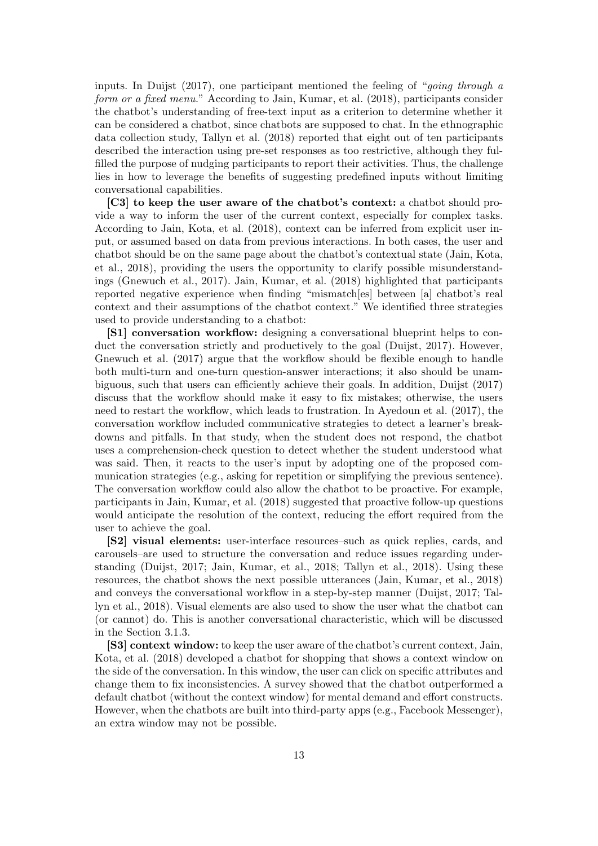inputs. In Duijst  $(2017)$ , one participant mentioned the feeling of "*going through a* form or a fixed menu." According to Jain, Kumar, et al. (2018), participants consider the chatbot's understanding of free-text input as a criterion to determine whether it can be considered a chatbot, since chatbots are supposed to chat. In the ethnographic data collection study, Tallyn et al. (2018) reported that eight out of ten participants described the interaction using pre-set responses as too restrictive, although they fulfilled the purpose of nudging participants to report their activities. Thus, the challenge lies in how to leverage the benefits of suggesting predefined inputs without limiting conversational capabilities.

[C3] to keep the user aware of the chatbot's context: a chatbot should provide a way to inform the user of the current context, especially for complex tasks. According to Jain, Kota, et al. (2018), context can be inferred from explicit user input, or assumed based on data from previous interactions. In both cases, the user and chatbot should be on the same page about the chatbot's contextual state (Jain, Kota, et al., 2018), providing the users the opportunity to clarify possible misunderstandings (Gnewuch et al., 2017). Jain, Kumar, et al. (2018) highlighted that participants reported negative experience when finding "mismatch[es] between [a] chatbot's real context and their assumptions of the chatbot context." We identified three strategies used to provide understanding to a chatbot:

[S1] conversation workflow: designing a conversational blueprint helps to conduct the conversation strictly and productively to the goal (Duijst, 2017). However, Gnewuch et al. (2017) argue that the workflow should be flexible enough to handle both multi-turn and one-turn question-answer interactions; it also should be unambiguous, such that users can efficiently achieve their goals. In addition, Duijst (2017) discuss that the workflow should make it easy to fix mistakes; otherwise, the users need to restart the workflow, which leads to frustration. In Ayedoun et al. (2017), the conversation workflow included communicative strategies to detect a learner's breakdowns and pitfalls. In that study, when the student does not respond, the chatbot uses a comprehension-check question to detect whether the student understood what was said. Then, it reacts to the user's input by adopting one of the proposed communication strategies (e.g., asking for repetition or simplifying the previous sentence). The conversation workflow could also allow the chatbot to be proactive. For example, participants in Jain, Kumar, et al. (2018) suggested that proactive follow-up questions would anticipate the resolution of the context, reducing the effort required from the user to achieve the goal.

[S2] visual elements: user-interface resources–such as quick replies, cards, and carousels–are used to structure the conversation and reduce issues regarding understanding (Duijst, 2017; Jain, Kumar, et al., 2018; Tallyn et al., 2018). Using these resources, the chatbot shows the next possible utterances (Jain, Kumar, et al., 2018) and conveys the conversational workflow in a step-by-step manner (Duijst, 2017; Tallyn et al., 2018). Visual elements are also used to show the user what the chatbot can (or cannot) do. This is another conversational characteristic, which will be discussed in the Section 3.1.3.

[S3] context window: to keep the user aware of the chatbot's current context, Jain, Kota, et al. (2018) developed a chatbot for shopping that shows a context window on the side of the conversation. In this window, the user can click on specific attributes and change them to fix inconsistencies. A survey showed that the chatbot outperformed a default chatbot (without the context window) for mental demand and effort constructs. However, when the chatbots are built into third-party apps (e.g., Facebook Messenger), an extra window may not be possible.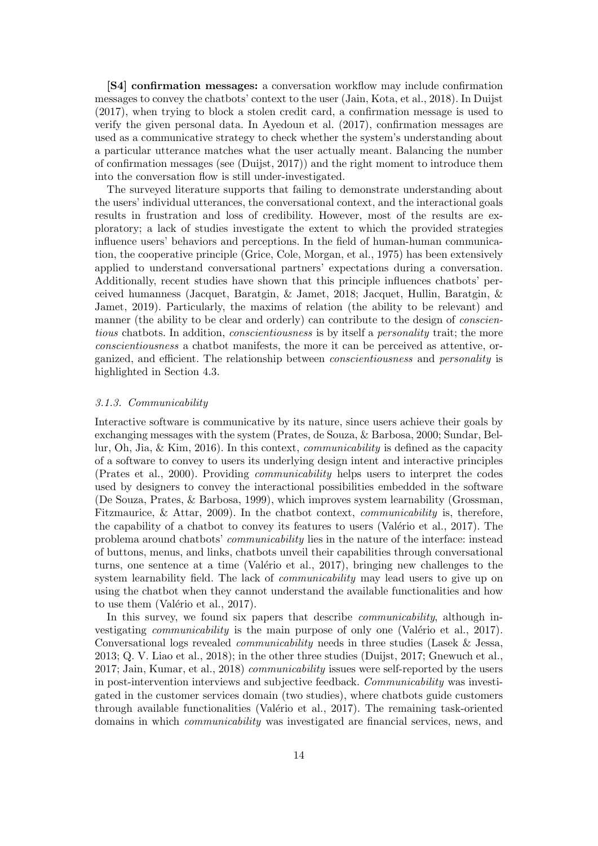[S4] confirmation messages: a conversation workflow may include confirmation messages to convey the chatbots' context to the user (Jain, Kota, et al., 2018). In Duijst (2017), when trying to block a stolen credit card, a confirmation message is used to verify the given personal data. In Ayedoun et al. (2017), confirmation messages are used as a communicative strategy to check whether the system's understanding about a particular utterance matches what the user actually meant. Balancing the number of confirmation messages (see (Duijst, 2017)) and the right moment to introduce them into the conversation flow is still under-investigated.

The surveyed literature supports that failing to demonstrate understanding about the users' individual utterances, the conversational context, and the interactional goals results in frustration and loss of credibility. However, most of the results are exploratory; a lack of studies investigate the extent to which the provided strategies influence users' behaviors and perceptions. In the field of human-human communication, the cooperative principle (Grice, Cole, Morgan, et al., 1975) has been extensively applied to understand conversational partners' expectations during a conversation. Additionally, recent studies have shown that this principle influences chatbots' perceived humanness (Jacquet, Baratgin, & Jamet, 2018; Jacquet, Hullin, Baratgin, & Jamet, 2019). Particularly, the maxims of relation (the ability to be relevant) and manner (the ability to be clear and orderly) can contribute to the design of *conscien*tious chatbots. In addition, *conscientiousness* is by itself a *personality* trait; the more conscientiousness a chatbot manifests, the more it can be perceived as attentive, organized, and efficient. The relationship between conscientiousness and personality is highlighted in Section 4.3.

## 3.1.3. Communicability

Interactive software is communicative by its nature, since users achieve their goals by exchanging messages with the system (Prates, de Souza, & Barbosa, 2000; Sundar, Bellur, Oh, Jia, & Kim, 2016). In this context, communicability is defined as the capacity of a software to convey to users its underlying design intent and interactive principles (Prates et al., 2000). Providing communicability helps users to interpret the codes used by designers to convey the interactional possibilities embedded in the software (De Souza, Prates, & Barbosa, 1999), which improves system learnability (Grossman, Fitzmaurice, & Attar, 2009). In the chatbot context, communicability is, therefore, the capability of a chatbot to convey its features to users (Valério et al.,  $2017$ ). The problema around chatbots' communicability lies in the nature of the interface: instead of buttons, menus, and links, chatbots unveil their capabilities through conversational turns, one sentence at a time (Valério et al.,  $2017$ ), bringing new challenges to the system learnability field. The lack of *communicability* may lead users to give up on using the chatbot when they cannot understand the available functionalities and how to use them (Valério et al.,  $2017$ ).

In this survey, we found six papers that describe *communicability*, although investigating *communicability* is the main purpose of only one (Valério et al., 2017). Conversational logs revealed communicability needs in three studies (Lasek & Jessa, 2013; Q. V. Liao et al., 2018); in the other three studies (Duijst, 2017; Gnewuch et al., 2017; Jain, Kumar, et al., 2018) communicability issues were self-reported by the users in post-intervention interviews and subjective feedback. Communicability was investigated in the customer services domain (two studies), where chatbots guide customers through available functionalities (Valério et al., 2017). The remaining task-oriented domains in which communicability was investigated are financial services, news, and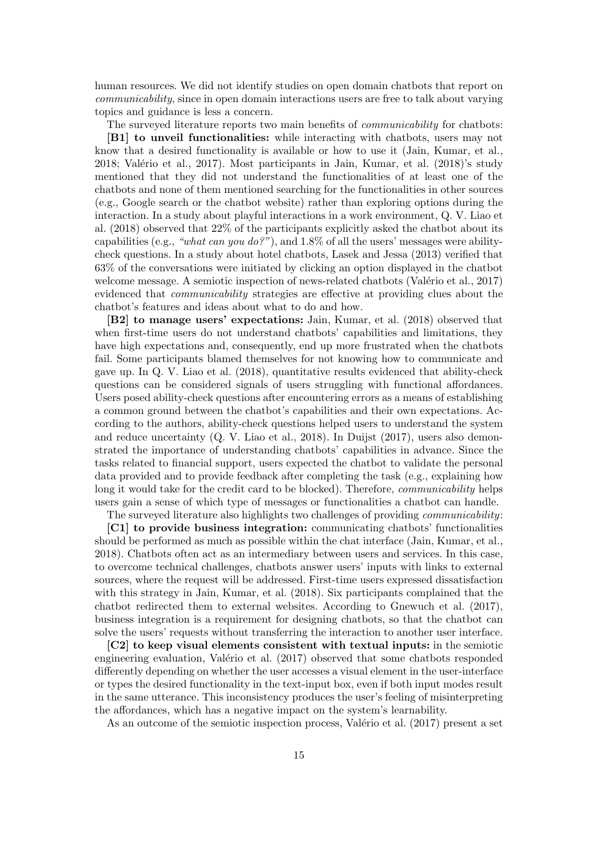human resources. We did not identify studies on open domain chatbots that report on communicability, since in open domain interactions users are free to talk about varying topics and guidance is less a concern.

The surveyed literature reports two main benefits of *communicability* for chatbots: [B1] to unveil functionalities: while interacting with chatbots, users may not know that a desired functionality is available or how to use it (Jain, Kumar, et al.,  $2018$ ; Valério et al.,  $2017$ ). Most participants in Jain, Kumar, et al.  $(2018)$ 's study mentioned that they did not understand the functionalities of at least one of the chatbots and none of them mentioned searching for the functionalities in other sources (e.g., Google search or the chatbot website) rather than exploring options during the interaction. In a study about playful interactions in a work environment, Q. V. Liao et al. (2018) observed that 22% of the participants explicitly asked the chatbot about its capabilities (e.g., "what can you do?"), and 1.8% of all the users' messages were abilitycheck questions. In a study about hotel chatbots, Lasek and Jessa (2013) verified that 63% of the conversations were initiated by clicking an option displayed in the chatbot welcome message. A semiotic inspection of news-related chatbots (Valério et al., 2017) evidenced that communicability strategies are effective at providing clues about the chatbot's features and ideas about what to do and how.

[B2] to manage users' expectations: Jain, Kumar, et al. (2018) observed that when first-time users do not understand chatbots' capabilities and limitations, they have high expectations and, consequently, end up more frustrated when the chatbots fail. Some participants blamed themselves for not knowing how to communicate and gave up. In Q. V. Liao et al. (2018), quantitative results evidenced that ability-check questions can be considered signals of users struggling with functional affordances. Users posed ability-check questions after encountering errors as a means of establishing a common ground between the chatbot's capabilities and their own expectations. According to the authors, ability-check questions helped users to understand the system and reduce uncertainty (Q. V. Liao et al., 2018). In Duijst (2017), users also demonstrated the importance of understanding chatbots' capabilities in advance. Since the tasks related to financial support, users expected the chatbot to validate the personal data provided and to provide feedback after completing the task (e.g., explaining how long it would take for the credit card to be blocked). Therefore, *communicability* helps users gain a sense of which type of messages or functionalities a chatbot can handle.

The surveyed literature also highlights two challenges of providing communicability:

[C1] to provide business integration: communicating chatbots' functionalities should be performed as much as possible within the chat interface (Jain, Kumar, et al., 2018). Chatbots often act as an intermediary between users and services. In this case, to overcome technical challenges, chatbots answer users' inputs with links to external sources, where the request will be addressed. First-time users expressed dissatisfaction with this strategy in Jain, Kumar, et al. (2018). Six participants complained that the chatbot redirected them to external websites. According to Gnewuch et al. (2017), business integration is a requirement for designing chatbots, so that the chatbot can solve the users' requests without transferring the interaction to another user interface.

[C2] to keep visual elements consistent with textual inputs: in the semiotic engineering evaluation, Valério et al.  $(2017)$  observed that some chatbots responded differently depending on whether the user accesses a visual element in the user-interface or types the desired functionality in the text-input box, even if both input modes result in the same utterance. This inconsistency produces the user's feeling of misinterpreting the affordances, which has a negative impact on the system's learnability.

As an outcome of the semiotic inspection process, Valério et al. (2017) present a set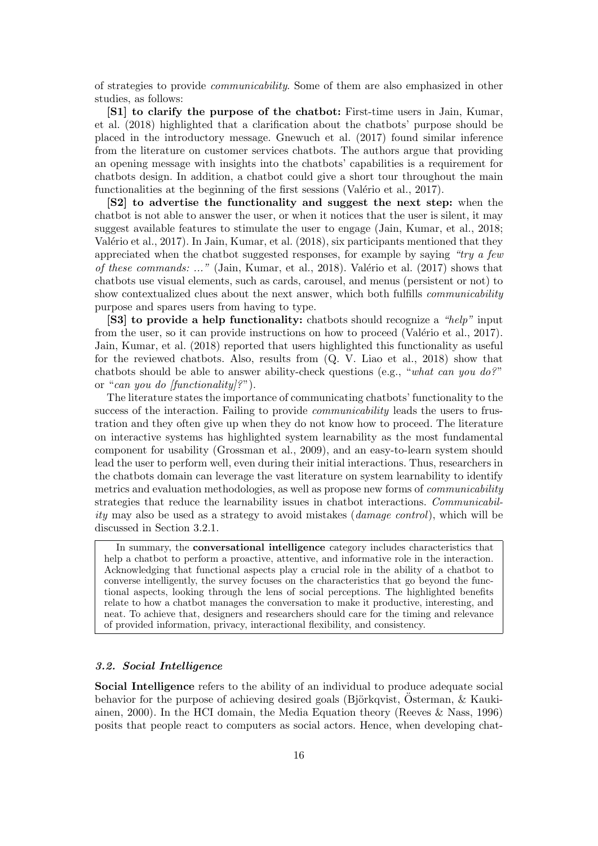of strategies to provide communicability. Some of them are also emphasized in other studies, as follows:

[S1] to clarify the purpose of the chatbot: First-time users in Jain, Kumar, et al. (2018) highlighted that a clarification about the chatbots' purpose should be placed in the introductory message. Gnewuch et al. (2017) found similar inference from the literature on customer services chatbots. The authors argue that providing an opening message with insights into the chatbots' capabilities is a requirement for chatbots design. In addition, a chatbot could give a short tour throughout the main functionalities at the beginning of the first sessions (Valério et al., 2017).

[S2] to advertise the functionality and suggest the next step: when the chatbot is not able to answer the user, or when it notices that the user is silent, it may suggest available features to stimulate the user to engage (Jain, Kumar, et al., 2018; Valério et al., 2017). In Jain, Kumar, et al.  $(2018)$ , six participants mentioned that they appreciated when the chatbot suggested responses, for example by saying " $try\ a\ few$ of these commands: ..." (Jain, Kumar, et al., 2018). Valério et al. (2017) shows that chatbots use visual elements, such as cards, carousel, and menus (persistent or not) to show contextualized clues about the next answer, which both fulfills *communicability* purpose and spares users from having to type.

[S3] to provide a help functionality: chatbots should recognize a "help" input from the user, so it can provide instructions on how to proceed (Valério et al., 2017). Jain, Kumar, et al. (2018) reported that users highlighted this functionality as useful for the reviewed chatbots. Also, results from (Q. V. Liao et al., 2018) show that chatbots should be able to answer ability-check questions (e.g., "what can you do?" or "can you do  $[\text{functionality}]\textsuperscript{?}$ ".

The literature states the importance of communicating chatbots' functionality to the success of the interaction. Failing to provide *communicability* leads the users to frustration and they often give up when they do not know how to proceed. The literature on interactive systems has highlighted system learnability as the most fundamental component for usability (Grossman et al., 2009), and an easy-to-learn system should lead the user to perform well, even during their initial interactions. Thus, researchers in the chatbots domain can leverage the vast literature on system learnability to identify metrics and evaluation methodologies, as well as propose new forms of communicability strategies that reduce the learnability issues in chatbot interactions. Communicability may also be used as a strategy to avoid mistakes (damage control), which will be discussed in Section 3.2.1.

In summary, the conversational intelligence category includes characteristics that help a chatbot to perform a proactive, attentive, and informative role in the interaction. Acknowledging that functional aspects play a crucial role in the ability of a chatbot to converse intelligently, the survey focuses on the characteristics that go beyond the functional aspects, looking through the lens of social perceptions. The highlighted benefits relate to how a chatbot manages the conversation to make it productive, interesting, and neat. To achieve that, designers and researchers should care for the timing and relevance of provided information, privacy, interactional flexibility, and consistency.

# 3.2. Social Intelligence

Social Intelligence refers to the ability of an individual to produce adequate social behavior for the purpose of achieving desired goals (Björkqvist, Osterman,  $\&$  Kaukiainen, 2000). In the HCI domain, the Media Equation theory (Reeves & Nass, 1996) posits that people react to computers as social actors. Hence, when developing chat-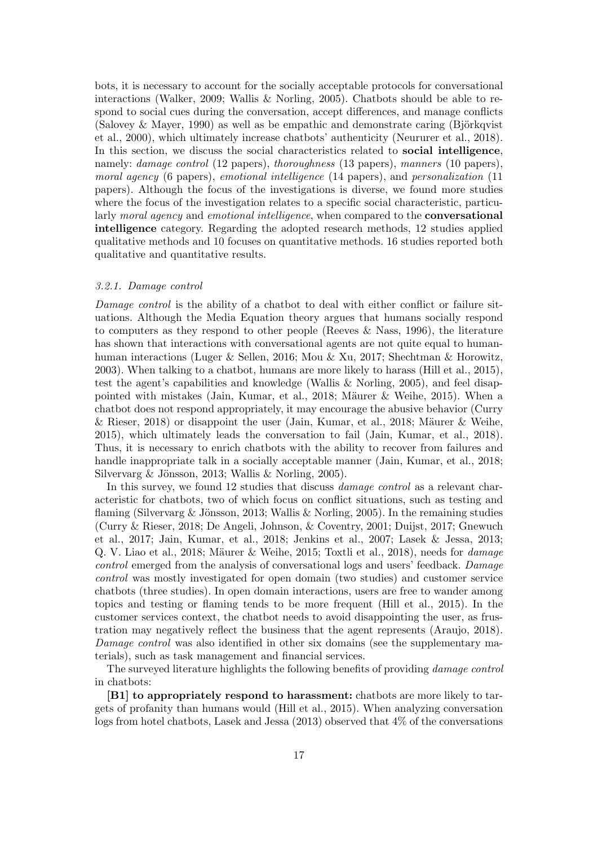bots, it is necessary to account for the socially acceptable protocols for conversational interactions (Walker, 2009; Wallis & Norling, 2005). Chatbots should be able to respond to social cues during the conversation, accept differences, and manage conflicts (Salovey & Mayer, 1990) as well as be empathic and demonstrate caring (Björkqvist) et al., 2000), which ultimately increase chatbots' authenticity (Neururer et al., 2018). In this section, we discuss the social characteristics related to social intelligence, namely: *damage control* (12 papers), *thoroughness* (13 papers), *manners* (10 papers), moral agency (6 papers), emotional intelligence (14 papers), and personalization (11 papers). Although the focus of the investigations is diverse, we found more studies where the focus of the investigation relates to a specific social characteristic, particularly moral agency and emotional intelligence, when compared to the **conversational** intelligence category. Regarding the adopted research methods, 12 studies applied qualitative methods and 10 focuses on quantitative methods. 16 studies reported both qualitative and quantitative results.

## 3.2.1. Damage control

Damage control is the ability of a chatbot to deal with either conflict or failure situations. Although the Media Equation theory argues that humans socially respond to computers as they respond to other people (Reeves & Nass, 1996), the literature has shown that interactions with conversational agents are not quite equal to humanhuman interactions (Luger & Sellen, 2016; Mou & Xu, 2017; Shechtman & Horowitz, 2003). When talking to a chatbot, humans are more likely to harass (Hill et al., 2015), test the agent's capabilities and knowledge (Wallis & Norling, 2005), and feel disappointed with mistakes (Jain, Kumar, et al., 2018; Mäurer & Weihe, 2015). When a chatbot does not respond appropriately, it may encourage the abusive behavior (Curry & Rieser, 2018) or disappoint the user (Jain, Kumar, et al., 2018; Mäurer & Weihe, 2015), which ultimately leads the conversation to fail (Jain, Kumar, et al., 2018). Thus, it is necessary to enrich chatbots with the ability to recover from failures and handle inappropriate talk in a socially acceptable manner (Jain, Kumar, et al., 2018; Silvervarg & Jönsson, 2013; Wallis & Norling, 2005).

In this survey, we found 12 studies that discuss *damage control* as a relevant characteristic for chatbots, two of which focus on conflict situations, such as testing and flaming (Silvervarg & Jönsson, 2013; Wallis & Norling, 2005). In the remaining studies (Curry & Rieser, 2018; De Angeli, Johnson, & Coventry, 2001; Duijst, 2017; Gnewuch et al., 2017; Jain, Kumar, et al., 2018; Jenkins et al., 2007; Lasek & Jessa, 2013; Q. V. Liao et al., 2018; Mäurer & Weihe, 2015; Toxtli et al., 2018), needs for  $\theta$  damage control emerged from the analysis of conversational logs and users' feedback. Damage control was mostly investigated for open domain (two studies) and customer service chatbots (three studies). In open domain interactions, users are free to wander among topics and testing or flaming tends to be more frequent (Hill et al., 2015). In the customer services context, the chatbot needs to avoid disappointing the user, as frustration may negatively reflect the business that the agent represents (Araujo, 2018). Damage control was also identified in other six domains (see the supplementary materials), such as task management and financial services.

The surveyed literature highlights the following benefits of providing damage control in chatbots:

[B1] to appropriately respond to harassment: chatbots are more likely to targets of profanity than humans would (Hill et al., 2015). When analyzing conversation logs from hotel chatbots, Lasek and Jessa (2013) observed that 4% of the conversations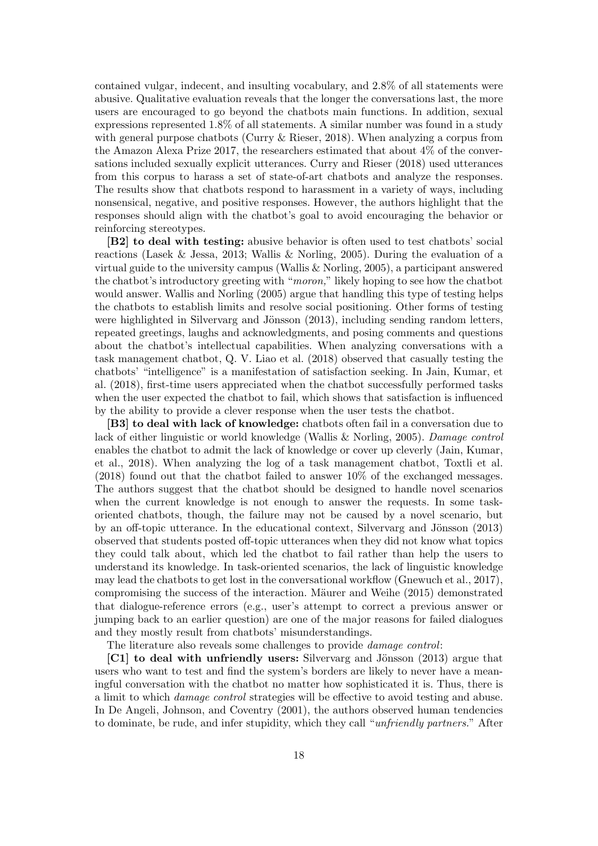contained vulgar, indecent, and insulting vocabulary, and 2.8% of all statements were abusive. Qualitative evaluation reveals that the longer the conversations last, the more users are encouraged to go beyond the chatbots main functions. In addition, sexual expressions represented 1.8% of all statements. A similar number was found in a study with general purpose chatbots (Curry  $\&$  Rieser, 2018). When analyzing a corpus from the Amazon Alexa Prize 2017, the researchers estimated that about 4% of the conversations included sexually explicit utterances. Curry and Rieser (2018) used utterances from this corpus to harass a set of state-of-art chatbots and analyze the responses. The results show that chatbots respond to harassment in a variety of ways, including nonsensical, negative, and positive responses. However, the authors highlight that the responses should align with the chatbot's goal to avoid encouraging the behavior or reinforcing stereotypes.

[B2] to deal with testing: abusive behavior is often used to test chatbots' social reactions (Lasek & Jessa, 2013; Wallis & Norling, 2005). During the evaluation of a virtual guide to the university campus (Wallis & Norling, 2005), a participant answered the chatbot's introductory greeting with "moron," likely hoping to see how the chatbot would answer. Wallis and Norling (2005) argue that handling this type of testing helps the chatbots to establish limits and resolve social positioning. Other forms of testing were highlighted in Silvervarg and Jönsson  $(2013)$ , including sending random letters, repeated greetings, laughs and acknowledgments, and posing comments and questions about the chatbot's intellectual capabilities. When analyzing conversations with a task management chatbot, Q. V. Liao et al. (2018) observed that casually testing the chatbots' "intelligence" is a manifestation of satisfaction seeking. In Jain, Kumar, et al. (2018), first-time users appreciated when the chatbot successfully performed tasks when the user expected the chatbot to fail, which shows that satisfaction is influenced by the ability to provide a clever response when the user tests the chatbot.

[B3] to deal with lack of knowledge: chatbots often fail in a conversation due to lack of either linguistic or world knowledge (Wallis & Norling, 2005). Damage control enables the chatbot to admit the lack of knowledge or cover up cleverly (Jain, Kumar, et al., 2018). When analyzing the log of a task management chatbot, Toxtli et al. (2018) found out that the chatbot failed to answer 10% of the exchanged messages. The authors suggest that the chatbot should be designed to handle novel scenarios when the current knowledge is not enough to answer the requests. In some taskoriented chatbots, though, the failure may not be caused by a novel scenario, but by an off-topic utterance. In the educational context, Silvervarg and Jönsson (2013) observed that students posted off-topic utterances when they did not know what topics they could talk about, which led the chatbot to fail rather than help the users to understand its knowledge. In task-oriented scenarios, the lack of linguistic knowledge may lead the chatbots to get lost in the conversational workflow (Gnewuch et al., 2017), compromising the success of the interaction. Mäurer and Weihe (2015) demonstrated that dialogue-reference errors (e.g., user's attempt to correct a previous answer or jumping back to an earlier question) are one of the major reasons for failed dialogues and they mostly result from chatbots' misunderstandings.

The literature also reveals some challenges to provide damage control:

 $\left[ \text{C1} \right]$  to deal with unfriendly users: Silvervarg and Jönsson (2013) argue that users who want to test and find the system's borders are likely to never have a meaningful conversation with the chatbot no matter how sophisticated it is. Thus, there is a limit to which damage control strategies will be effective to avoid testing and abuse. In De Angeli, Johnson, and Coventry (2001), the authors observed human tendencies to dominate, be rude, and infer stupidity, which they call "unfriendly partners." After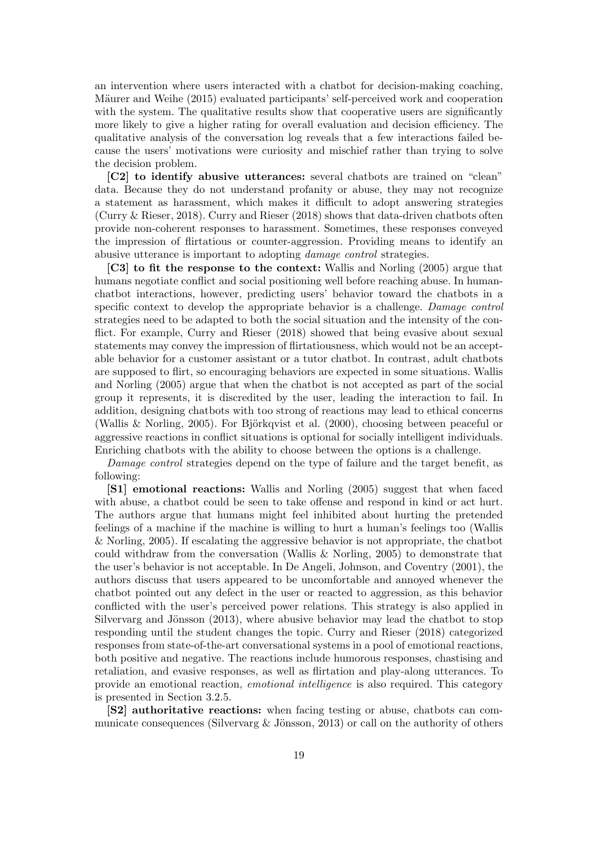an intervention where users interacted with a chatbot for decision-making coaching, Mäurer and Weihe (2015) evaluated participants' self-perceived work and cooperation with the system. The qualitative results show that cooperative users are significantly more likely to give a higher rating for overall evaluation and decision efficiency. The qualitative analysis of the conversation log reveals that a few interactions failed because the users' motivations were curiosity and mischief rather than trying to solve the decision problem.

[C2] to identify abusive utterances: several chatbots are trained on "clean" data. Because they do not understand profanity or abuse, they may not recognize a statement as harassment, which makes it difficult to adopt answering strategies (Curry & Rieser, 2018). Curry and Rieser (2018) shows that data-driven chatbots often provide non-coherent responses to harassment. Sometimes, these responses conveyed the impression of flirtatious or counter-aggression. Providing means to identify an abusive utterance is important to adopting damage control strategies.

[C3] to fit the response to the context: Wallis and Norling (2005) argue that humans negotiate conflict and social positioning well before reaching abuse. In humanchatbot interactions, however, predicting users' behavior toward the chatbots in a specific context to develop the appropriate behavior is a challenge. Damage control strategies need to be adapted to both the social situation and the intensity of the conflict. For example, Curry and Rieser (2018) showed that being evasive about sexual statements may convey the impression of flirtatiousness, which would not be an acceptable behavior for a customer assistant or a tutor chatbot. In contrast, adult chatbots are supposed to flirt, so encouraging behaviors are expected in some situations. Wallis and Norling (2005) argue that when the chatbot is not accepted as part of the social group it represents, it is discredited by the user, leading the interaction to fail. In addition, designing chatbots with too strong of reactions may lead to ethical concerns (Wallis & Norling, 2005). For Björkqvist et al.  $(2000)$ , choosing between peaceful or aggressive reactions in conflict situations is optional for socially intelligent individuals. Enriching chatbots with the ability to choose between the options is a challenge.

Damage control strategies depend on the type of failure and the target benefit, as following:

[S1] emotional reactions: Wallis and Norling (2005) suggest that when faced with abuse, a chatbot could be seen to take offense and respond in kind or act hurt. The authors argue that humans might feel inhibited about hurting the pretended feelings of a machine if the machine is willing to hurt a human's feelings too (Wallis & Norling, 2005). If escalating the aggressive behavior is not appropriate, the chatbot could withdraw from the conversation (Wallis & Norling, 2005) to demonstrate that the user's behavior is not acceptable. In De Angeli, Johnson, and Coventry (2001), the authors discuss that users appeared to be uncomfortable and annoyed whenever the chatbot pointed out any defect in the user or reacted to aggression, as this behavior conflicted with the user's perceived power relations. This strategy is also applied in Silvervarg and Jönsson  $(2013)$ , where abusive behavior may lead the chatbot to stop responding until the student changes the topic. Curry and Rieser (2018) categorized responses from state-of-the-art conversational systems in a pool of emotional reactions, both positive and negative. The reactions include humorous responses, chastising and retaliation, and evasive responses, as well as flirtation and play-along utterances. To provide an emotional reaction, emotional intelligence is also required. This category is presented in Section 3.2.5.

[S2] authoritative reactions: when facing testing or abuse, chatbots can communicate consequences (Silvervarg  $\&$  Jönsson, 2013) or call on the authority of others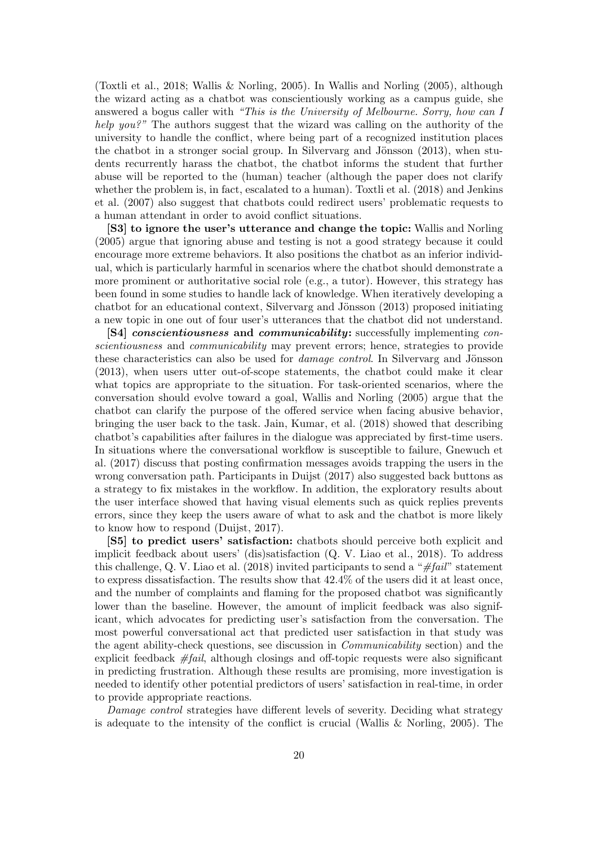(Toxtli et al., 2018; Wallis & Norling, 2005). In Wallis and Norling (2005), although the wizard acting as a chatbot was conscientiously working as a campus guide, she answered a bogus caller with "This is the University of Melbourne. Sorry, how can I help you?" The authors suggest that the wizard was calling on the authority of the university to handle the conflict, where being part of a recognized institution places the chatbot in a stronger social group. In Silvervarg and Jönsson  $(2013)$ , when students recurrently harass the chatbot, the chatbot informs the student that further abuse will be reported to the (human) teacher (although the paper does not clarify whether the problem is, in fact, escalated to a human). Toxtli et al. (2018) and Jenkins et al. (2007) also suggest that chatbots could redirect users' problematic requests to a human attendant in order to avoid conflict situations.

[S3] to ignore the user's utterance and change the topic: Wallis and Norling (2005) argue that ignoring abuse and testing is not a good strategy because it could encourage more extreme behaviors. It also positions the chatbot as an inferior individual, which is particularly harmful in scenarios where the chatbot should demonstrate a more prominent or authoritative social role (e.g., a tutor). However, this strategy has been found in some studies to handle lack of knowledge. When iteratively developing a chatbot for an educational context, Silvervarg and Jönsson  $(2013)$  proposed initiating a new topic in one out of four user's utterances that the chatbot did not understand.

**[S4]** conscientiousness and communicability: successfully implementing conscientiousness and communicability may prevent errors; hence, strategies to provide these characteristics can also be used for *damage control*. In Silvervarg and Jönsson (2013), when users utter out-of-scope statements, the chatbot could make it clear what topics are appropriate to the situation. For task-oriented scenarios, where the conversation should evolve toward a goal, Wallis and Norling (2005) argue that the chatbot can clarify the purpose of the offered service when facing abusive behavior, bringing the user back to the task. Jain, Kumar, et al. (2018) showed that describing chatbot's capabilities after failures in the dialogue was appreciated by first-time users. In situations where the conversational workflow is susceptible to failure, Gnewuch et al. (2017) discuss that posting confirmation messages avoids trapping the users in the wrong conversation path. Participants in Duijst (2017) also suggested back buttons as a strategy to fix mistakes in the workflow. In addition, the exploratory results about the user interface showed that having visual elements such as quick replies prevents errors, since they keep the users aware of what to ask and the chatbot is more likely to know how to respond (Duijst, 2017).

[S5] to predict users' satisfaction: chatbots should perceive both explicit and implicit feedback about users' (dis)satisfaction (Q. V. Liao et al., 2018). To address this challenge, Q. V. Liao et al. (2018) invited participants to send a " $\#fail$ " statement to express dissatisfaction. The results show that 42.4% of the users did it at least once, and the number of complaints and flaming for the proposed chatbot was significantly lower than the baseline. However, the amount of implicit feedback was also significant, which advocates for predicting user's satisfaction from the conversation. The most powerful conversational act that predicted user satisfaction in that study was the agent ability-check questions, see discussion in Communicability section) and the explicit feedback  $#fail$ , although closings and off-topic requests were also significant in predicting frustration. Although these results are promising, more investigation is needed to identify other potential predictors of users' satisfaction in real-time, in order to provide appropriate reactions.

Damage control strategies have different levels of severity. Deciding what strategy is adequate to the intensity of the conflict is crucial (Wallis & Norling, 2005). The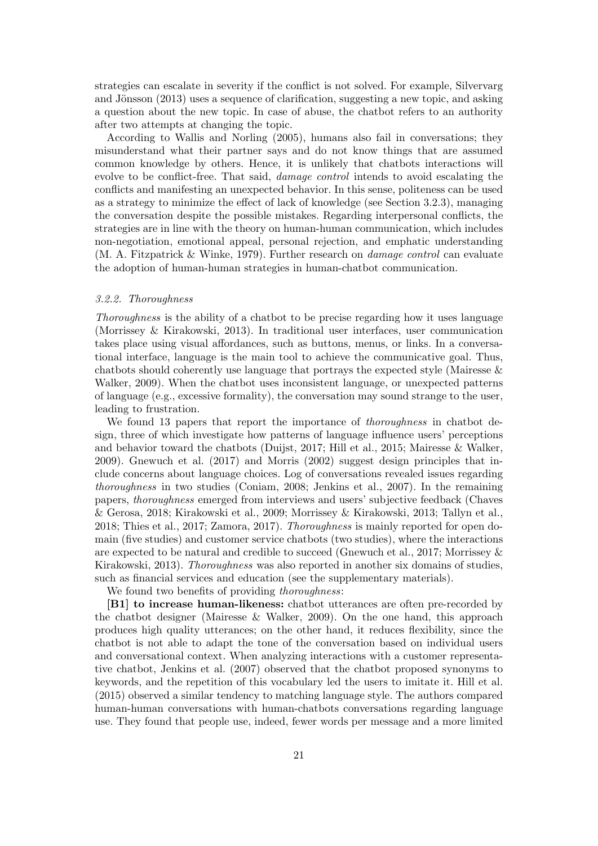strategies can escalate in severity if the conflict is not solved. For example, Silvervarg and Jönsson  $(2013)$  uses a sequence of clarification, suggesting a new topic, and asking a question about the new topic. In case of abuse, the chatbot refers to an authority after two attempts at changing the topic.

According to Wallis and Norling (2005), humans also fail in conversations; they misunderstand what their partner says and do not know things that are assumed common knowledge by others. Hence, it is unlikely that chatbots interactions will evolve to be conflict-free. That said, damage control intends to avoid escalating the conflicts and manifesting an unexpected behavior. In this sense, politeness can be used as a strategy to minimize the effect of lack of knowledge (see Section 3.2.3), managing the conversation despite the possible mistakes. Regarding interpersonal conflicts, the strategies are in line with the theory on human-human communication, which includes non-negotiation, emotional appeal, personal rejection, and emphatic understanding  $(M. A. Fitz$ patrick & Winke, 1979). Further research on *damage control* can evaluate the adoption of human-human strategies in human-chatbot communication.

#### 3.2.2. Thoroughness

Thoroughness is the ability of a chatbot to be precise regarding how it uses language (Morrissey & Kirakowski, 2013). In traditional user interfaces, user communication takes place using visual affordances, such as buttons, menus, or links. In a conversational interface, language is the main tool to achieve the communicative goal. Thus, chatbots should coherently use language that portrays the expected style (Mairesse & Walker, 2009). When the chatbot uses inconsistent language, or unexpected patterns of language (e.g., excessive formality), the conversation may sound strange to the user, leading to frustration.

We found 13 papers that report the importance of *thoroughness* in chatbot design, three of which investigate how patterns of language influence users' perceptions and behavior toward the chatbots (Duijst, 2017; Hill et al., 2015; Mairesse & Walker, 2009). Gnewuch et al. (2017) and Morris (2002) suggest design principles that include concerns about language choices. Log of conversations revealed issues regarding thoroughness in two studies (Coniam, 2008; Jenkins et al., 2007). In the remaining papers, thoroughness emerged from interviews and users' subjective feedback (Chaves & Gerosa, 2018; Kirakowski et al., 2009; Morrissey & Kirakowski, 2013; Tallyn et al., 2018; Thies et al., 2017; Zamora, 2017). Thoroughness is mainly reported for open domain (five studies) and customer service chatbots (two studies), where the interactions are expected to be natural and credible to succeed (Gnewuch et al., 2017; Morrissey & Kirakowski, 2013). Thoroughness was also reported in another six domains of studies, such as financial services and education (see the supplementary materials).

We found two benefits of providing *thoroughness*:

[B1] to increase human-likeness: chatbot utterances are often pre-recorded by the chatbot designer (Mairesse & Walker, 2009). On the one hand, this approach produces high quality utterances; on the other hand, it reduces flexibility, since the chatbot is not able to adapt the tone of the conversation based on individual users and conversational context. When analyzing interactions with a customer representative chatbot, Jenkins et al. (2007) observed that the chatbot proposed synonyms to keywords, and the repetition of this vocabulary led the users to imitate it. Hill et al. (2015) observed a similar tendency to matching language style. The authors compared human-human conversations with human-chatbots conversations regarding language use. They found that people use, indeed, fewer words per message and a more limited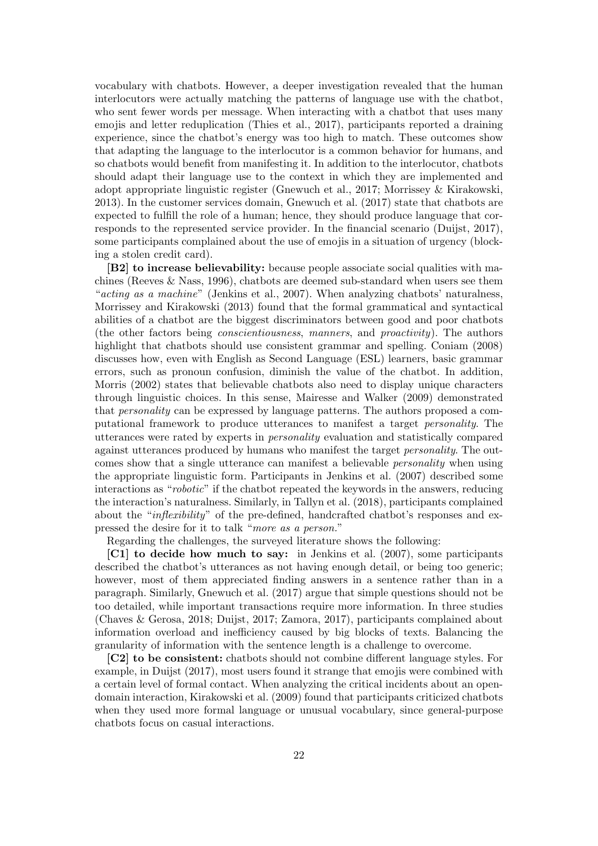vocabulary with chatbots. However, a deeper investigation revealed that the human interlocutors were actually matching the patterns of language use with the chatbot, who sent fewer words per message. When interacting with a chatbot that uses many emojis and letter reduplication (Thies et al., 2017), participants reported a draining experience, since the chatbot's energy was too high to match. These outcomes show that adapting the language to the interlocutor is a common behavior for humans, and so chatbots would benefit from manifesting it. In addition to the interlocutor, chatbots should adapt their language use to the context in which they are implemented and adopt appropriate linguistic register (Gnewuch et al., 2017; Morrissey & Kirakowski, 2013). In the customer services domain, Gnewuch et al. (2017) state that chatbots are expected to fulfill the role of a human; hence, they should produce language that corresponds to the represented service provider. In the financial scenario (Duijst, 2017), some participants complained about the use of emojis in a situation of urgency (blocking a stolen credit card).

[B2] to increase believability: because people associate social qualities with machines (Reeves  $\&$  Nass, 1996), chatbots are deemed sub-standard when users see them "acting as a machine" (Jenkins et al., 2007). When analyzing chatbots' naturalness, Morrissey and Kirakowski (2013) found that the formal grammatical and syntactical abilities of a chatbot are the biggest discriminators between good and poor chatbots (the other factors being conscientiousness, manners, and proactivity). The authors highlight that chatbots should use consistent grammar and spelling. Coniam (2008) discusses how, even with English as Second Language (ESL) learners, basic grammar errors, such as pronoun confusion, diminish the value of the chatbot. In addition, Morris (2002) states that believable chatbots also need to display unique characters through linguistic choices. In this sense, Mairesse and Walker (2009) demonstrated that personality can be expressed by language patterns. The authors proposed a computational framework to produce utterances to manifest a target personality. The utterances were rated by experts in personality evaluation and statistically compared against utterances produced by humans who manifest the target personality. The outcomes show that a single utterance can manifest a believable personality when using the appropriate linguistic form. Participants in Jenkins et al. (2007) described some interactions as "robotic" if the chatbot repeated the keywords in the answers, reducing the interaction's naturalness. Similarly, in Tallyn et al. (2018), participants complained about the "*inflexibility*" of the pre-defined, handcrafted chatbot's responses and expressed the desire for it to talk "more as a person."

Regarding the challenges, the surveyed literature shows the following:

[C1] to decide how much to say: in Jenkins et al. (2007), some participants described the chatbot's utterances as not having enough detail, or being too generic; however, most of them appreciated finding answers in a sentence rather than in a paragraph. Similarly, Gnewuch et al. (2017) argue that simple questions should not be too detailed, while important transactions require more information. In three studies (Chaves & Gerosa, 2018; Duijst, 2017; Zamora, 2017), participants complained about information overload and inefficiency caused by big blocks of texts. Balancing the granularity of information with the sentence length is a challenge to overcome.

[C2] to be consistent: chatbots should not combine different language styles. For example, in Duijst (2017), most users found it strange that emojis were combined with a certain level of formal contact. When analyzing the critical incidents about an opendomain interaction, Kirakowski et al. (2009) found that participants criticized chatbots when they used more formal language or unusual vocabulary, since general-purpose chatbots focus on casual interactions.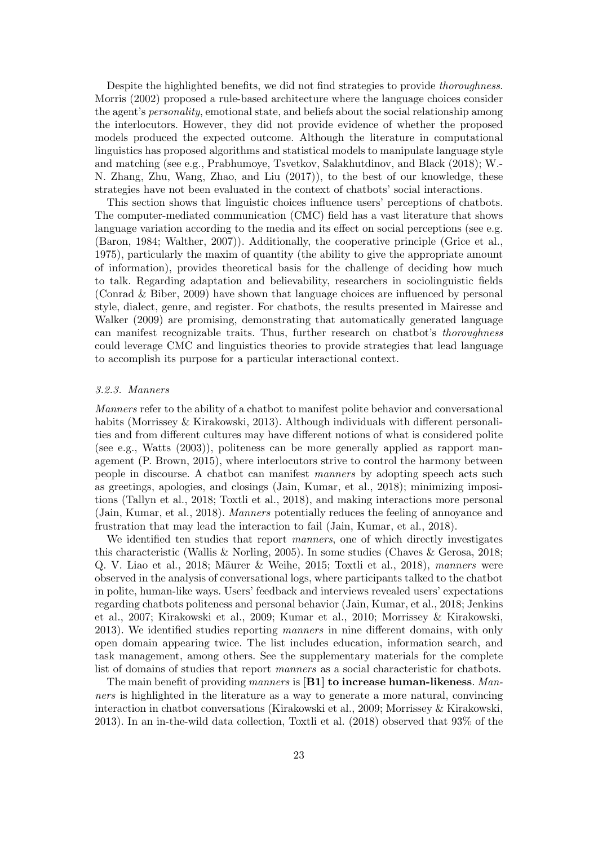Despite the highlighted benefits, we did not find strategies to provide thoroughness. Morris (2002) proposed a rule-based architecture where the language choices consider the agent's personality, emotional state, and beliefs about the social relationship among the interlocutors. However, they did not provide evidence of whether the proposed models produced the expected outcome. Although the literature in computational linguistics has proposed algorithms and statistical models to manipulate language style and matching (see e.g., Prabhumoye, Tsvetkov, Salakhutdinov, and Black (2018); W.- N. Zhang, Zhu, Wang, Zhao, and Liu (2017)), to the best of our knowledge, these strategies have not been evaluated in the context of chatbots' social interactions.

This section shows that linguistic choices influence users' perceptions of chatbots. The computer-mediated communication (CMC) field has a vast literature that shows language variation according to the media and its effect on social perceptions (see e.g. (Baron, 1984; Walther, 2007)). Additionally, the cooperative principle (Grice et al., 1975), particularly the maxim of quantity (the ability to give the appropriate amount of information), provides theoretical basis for the challenge of deciding how much to talk. Regarding adaptation and believability, researchers in sociolinguistic fields (Conrad & Biber, 2009) have shown that language choices are influenced by personal style, dialect, genre, and register. For chatbots, the results presented in Mairesse and Walker (2009) are promising, demonstrating that automatically generated language can manifest recognizable traits. Thus, further research on chatbot's thoroughness could leverage CMC and linguistics theories to provide strategies that lead language to accomplish its purpose for a particular interactional context.

## 3.2.3. Manners

Manners refer to the ability of a chatbot to manifest polite behavior and conversational habits (Morrissey & Kirakowski, 2013). Although individuals with different personalities and from different cultures may have different notions of what is considered polite (see e.g., Watts (2003)), politeness can be more generally applied as rapport management (P. Brown, 2015), where interlocutors strive to control the harmony between people in discourse. A chatbot can manifest manners by adopting speech acts such as greetings, apologies, and closings (Jain, Kumar, et al., 2018); minimizing impositions (Tallyn et al., 2018; Toxtli et al., 2018), and making interactions more personal (Jain, Kumar, et al., 2018). Manners potentially reduces the feeling of annoyance and frustration that may lead the interaction to fail (Jain, Kumar, et al., 2018).

We identified ten studies that report *manners*, one of which directly investigates this characteristic (Wallis & Norling, 2005). In some studies (Chaves & Gerosa, 2018; Q. V. Liao et al., 2018; Mäurer & Weihe, 2015; Toxtli et al., 2018), manners were observed in the analysis of conversational logs, where participants talked to the chatbot in polite, human-like ways. Users' feedback and interviews revealed users' expectations regarding chatbots politeness and personal behavior (Jain, Kumar, et al., 2018; Jenkins et al., 2007; Kirakowski et al., 2009; Kumar et al., 2010; Morrissey & Kirakowski, 2013). We identified studies reporting manners in nine different domains, with only open domain appearing twice. The list includes education, information search, and task management, among others. See the supplementary materials for the complete list of domains of studies that report manners as a social characteristic for chatbots.

The main benefit of providing manners is  $[B1]$  to increase human-likeness. Manners is highlighted in the literature as a way to generate a more natural, convincing interaction in chatbot conversations (Kirakowski et al., 2009; Morrissey & Kirakowski, 2013). In an in-the-wild data collection, Toxtli et al. (2018) observed that 93% of the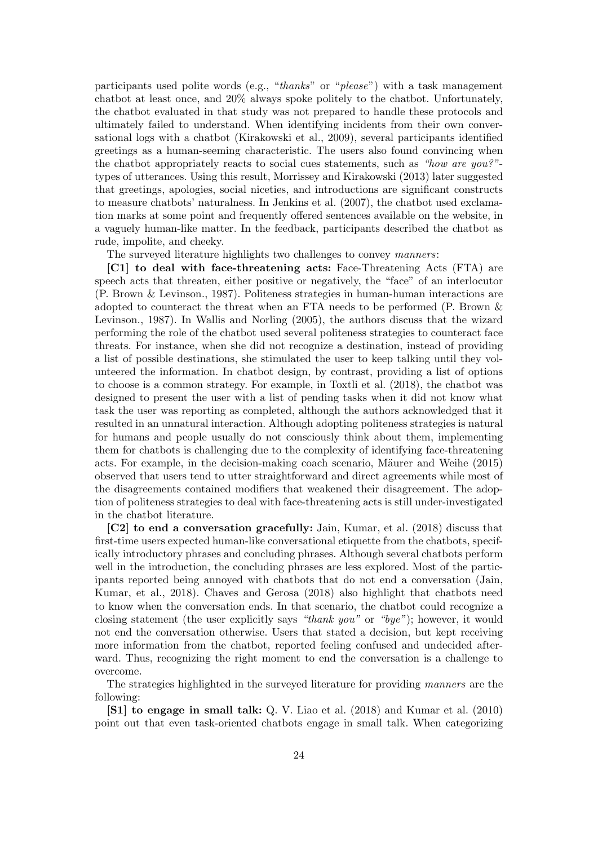participants used polite words (e.g., "thanks" or "please") with a task management chatbot at least once, and 20% always spoke politely to the chatbot. Unfortunately, the chatbot evaluated in that study was not prepared to handle these protocols and ultimately failed to understand. When identifying incidents from their own conversational logs with a chatbot (Kirakowski et al., 2009), several participants identified greetings as a human-seeming characteristic. The users also found convincing when the chatbot appropriately reacts to social cues statements, such as "how are you?"types of utterances. Using this result, Morrissey and Kirakowski (2013) later suggested that greetings, apologies, social niceties, and introductions are significant constructs to measure chatbots' naturalness. In Jenkins et al. (2007), the chatbot used exclamation marks at some point and frequently offered sentences available on the website, in a vaguely human-like matter. In the feedback, participants described the chatbot as rude, impolite, and cheeky.

The surveyed literature highlights two challenges to convey manners:

[C1] to deal with face-threatening acts: Face-Threatening Acts (FTA) are speech acts that threaten, either positive or negatively, the "face" of an interlocutor (P. Brown & Levinson., 1987). Politeness strategies in human-human interactions are adopted to counteract the threat when an FTA needs to be performed (P. Brown & Levinson., 1987). In Wallis and Norling (2005), the authors discuss that the wizard performing the role of the chatbot used several politeness strategies to counteract face threats. For instance, when she did not recognize a destination, instead of providing a list of possible destinations, she stimulated the user to keep talking until they volunteered the information. In chatbot design, by contrast, providing a list of options to choose is a common strategy. For example, in Toxtli et al. (2018), the chatbot was designed to present the user with a list of pending tasks when it did not know what task the user was reporting as completed, although the authors acknowledged that it resulted in an unnatural interaction. Although adopting politeness strategies is natural for humans and people usually do not consciously think about them, implementing them for chatbots is challenging due to the complexity of identifying face-threatening acts. For example, in the decision-making coach scenario, Mäurer and Weihe (2015) observed that users tend to utter straightforward and direct agreements while most of the disagreements contained modifiers that weakened their disagreement. The adoption of politeness strategies to deal with face-threatening acts is still under-investigated in the chatbot literature.

[C2] to end a conversation gracefully: Jain, Kumar, et al. (2018) discuss that first-time users expected human-like conversational etiquette from the chatbots, specifically introductory phrases and concluding phrases. Although several chatbots perform well in the introduction, the concluding phrases are less explored. Most of the participants reported being annoyed with chatbots that do not end a conversation (Jain, Kumar, et al., 2018). Chaves and Gerosa (2018) also highlight that chatbots need to know when the conversation ends. In that scenario, the chatbot could recognize a closing statement (the user explicitly says "thank you" or "bye"); however, it would not end the conversation otherwise. Users that stated a decision, but kept receiving more information from the chatbot, reported feeling confused and undecided afterward. Thus, recognizing the right moment to end the conversation is a challenge to overcome.

The strategies highlighted in the surveyed literature for providing manners are the following:

[S1] to engage in small talk: Q. V. Liao et al. (2018) and Kumar et al. (2010) point out that even task-oriented chatbots engage in small talk. When categorizing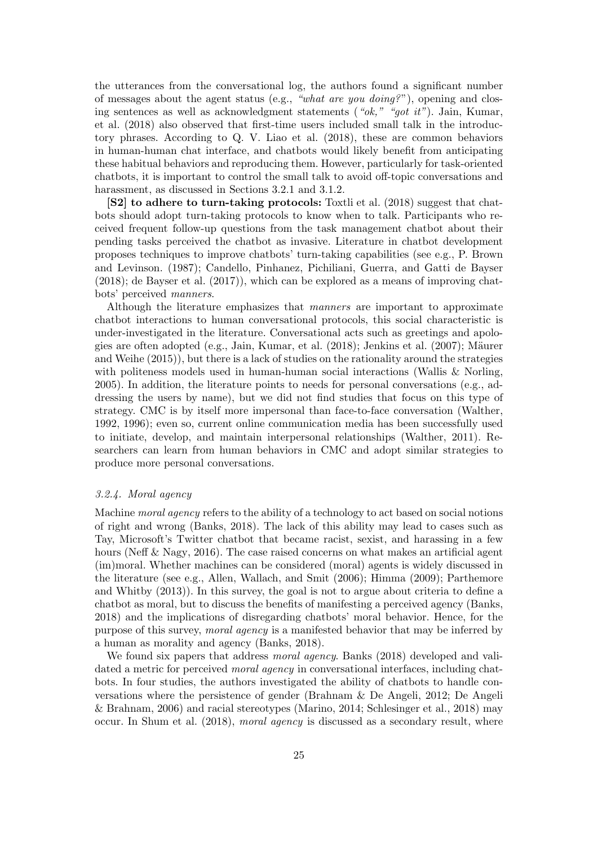the utterances from the conversational log, the authors found a significant number of messages about the agent status (e.g., "what are you doing?"), opening and closing sentences as well as acknowledgment statements ("ok," "got it"). Jain, Kumar, et al. (2018) also observed that first-time users included small talk in the introductory phrases. According to Q. V. Liao et al. (2018), these are common behaviors in human-human chat interface, and chatbots would likely benefit from anticipating these habitual behaviors and reproducing them. However, particularly for task-oriented chatbots, it is important to control the small talk to avoid off-topic conversations and harassment, as discussed in Sections 3.2.1 and 3.1.2.

[S2] to adhere to turn-taking protocols: Toxtli et al. (2018) suggest that chatbots should adopt turn-taking protocols to know when to talk. Participants who received frequent follow-up questions from the task management chatbot about their pending tasks perceived the chatbot as invasive. Literature in chatbot development proposes techniques to improve chatbots' turn-taking capabilities (see e.g., P. Brown and Levinson. (1987); Candello, Pinhanez, Pichiliani, Guerra, and Gatti de Bayser (2018); de Bayser et al. (2017)), which can be explored as a means of improving chatbots' perceived manners.

Although the literature emphasizes that manners are important to approximate chatbot interactions to human conversational protocols, this social characteristic is under-investigated in the literature. Conversational acts such as greetings and apologies are often adopted (e.g., Jain, Kumar, et al.  $(2018)$ ; Jenkins et al.  $(2007)$ ; Mäurer and Weihe (2015)), but there is a lack of studies on the rationality around the strategies with politeness models used in human-human social interactions (Wallis & Norling, 2005). In addition, the literature points to needs for personal conversations (e.g., addressing the users by name), but we did not find studies that focus on this type of strategy. CMC is by itself more impersonal than face-to-face conversation (Walther, 1992, 1996); even so, current online communication media has been successfully used to initiate, develop, and maintain interpersonal relationships (Walther, 2011). Researchers can learn from human behaviors in CMC and adopt similar strategies to produce more personal conversations.

#### 3.2.4. Moral agency

Machine moral agency refers to the ability of a technology to act based on social notions of right and wrong (Banks, 2018). The lack of this ability may lead to cases such as Tay, Microsoft's Twitter chatbot that became racist, sexist, and harassing in a few hours (Neff & Nagy, 2016). The case raised concerns on what makes an artificial agent (im)moral. Whether machines can be considered (moral) agents is widely discussed in the literature (see e.g., Allen, Wallach, and Smit (2006); Himma (2009); Parthemore and Whitby (2013)). In this survey, the goal is not to argue about criteria to define a chatbot as moral, but to discuss the benefits of manifesting a perceived agency (Banks, 2018) and the implications of disregarding chatbots' moral behavior. Hence, for the purpose of this survey, moral agency is a manifested behavior that may be inferred by a human as morality and agency (Banks, 2018).

We found six papers that address *moral agency*. Banks (2018) developed and validated a metric for perceived *moral agency* in conversational interfaces, including chatbots. In four studies, the authors investigated the ability of chatbots to handle conversations where the persistence of gender (Brahnam & De Angeli, 2012; De Angeli & Brahnam, 2006) and racial stereotypes (Marino, 2014; Schlesinger et al., 2018) may occur. In Shum et al. (2018), moral agency is discussed as a secondary result, where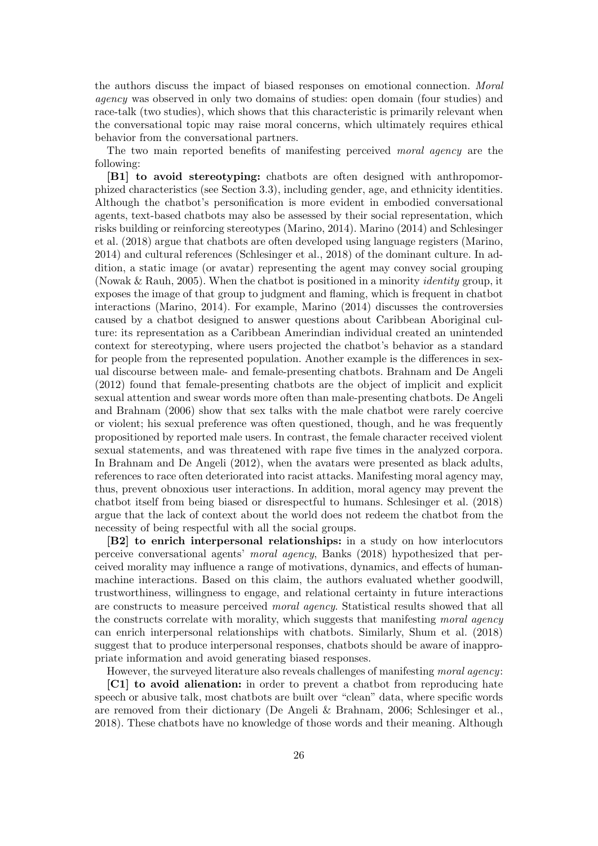the authors discuss the impact of biased responses on emotional connection. Moral agency was observed in only two domains of studies: open domain (four studies) and race-talk (two studies), which shows that this characteristic is primarily relevant when the conversational topic may raise moral concerns, which ultimately requires ethical behavior from the conversational partners.

The two main reported benefits of manifesting perceived moral agency are the following:

[B1] to avoid stereotyping: chatbots are often designed with anthropomorphized characteristics (see Section 3.3), including gender, age, and ethnicity identities. Although the chatbot's personification is more evident in embodied conversational agents, text-based chatbots may also be assessed by their social representation, which risks building or reinforcing stereotypes (Marino, 2014). Marino (2014) and Schlesinger et al. (2018) argue that chatbots are often developed using language registers (Marino, 2014) and cultural references (Schlesinger et al., 2018) of the dominant culture. In addition, a static image (or avatar) representing the agent may convey social grouping (Nowak & Rauh, 2005). When the chatbot is positioned in a minority *identity* group, it exposes the image of that group to judgment and flaming, which is frequent in chatbot interactions (Marino, 2014). For example, Marino (2014) discusses the controversies caused by a chatbot designed to answer questions about Caribbean Aboriginal culture: its representation as a Caribbean Amerindian individual created an unintended context for stereotyping, where users projected the chatbot's behavior as a standard for people from the represented population. Another example is the differences in sexual discourse between male- and female-presenting chatbots. Brahnam and De Angeli (2012) found that female-presenting chatbots are the object of implicit and explicit sexual attention and swear words more often than male-presenting chatbots. De Angeli and Brahnam (2006) show that sex talks with the male chatbot were rarely coercive or violent; his sexual preference was often questioned, though, and he was frequently propositioned by reported male users. In contrast, the female character received violent sexual statements, and was threatened with rape five times in the analyzed corpora. In Brahnam and De Angeli (2012), when the avatars were presented as black adults, references to race often deteriorated into racist attacks. Manifesting moral agency may, thus, prevent obnoxious user interactions. In addition, moral agency may prevent the chatbot itself from being biased or disrespectful to humans. Schlesinger et al. (2018) argue that the lack of context about the world does not redeem the chatbot from the necessity of being respectful with all the social groups.

[B2] to enrich interpersonal relationships: in a study on how interlocutors perceive conversational agents' moral agency, Banks (2018) hypothesized that perceived morality may influence a range of motivations, dynamics, and effects of humanmachine interactions. Based on this claim, the authors evaluated whether goodwill, trustworthiness, willingness to engage, and relational certainty in future interactions are constructs to measure perceived moral agency. Statistical results showed that all the constructs correlate with morality, which suggests that manifesting moral agency can enrich interpersonal relationships with chatbots. Similarly, Shum et al. (2018) suggest that to produce interpersonal responses, chatbots should be aware of inappropriate information and avoid generating biased responses.

However, the surveyed literature also reveals challenges of manifesting moral agency:

[C1] to avoid alienation: in order to prevent a chatbot from reproducing hate speech or abusive talk, most chatbots are built over "clean" data, where specific words are removed from their dictionary (De Angeli & Brahnam, 2006; Schlesinger et al., 2018). These chatbots have no knowledge of those words and their meaning. Although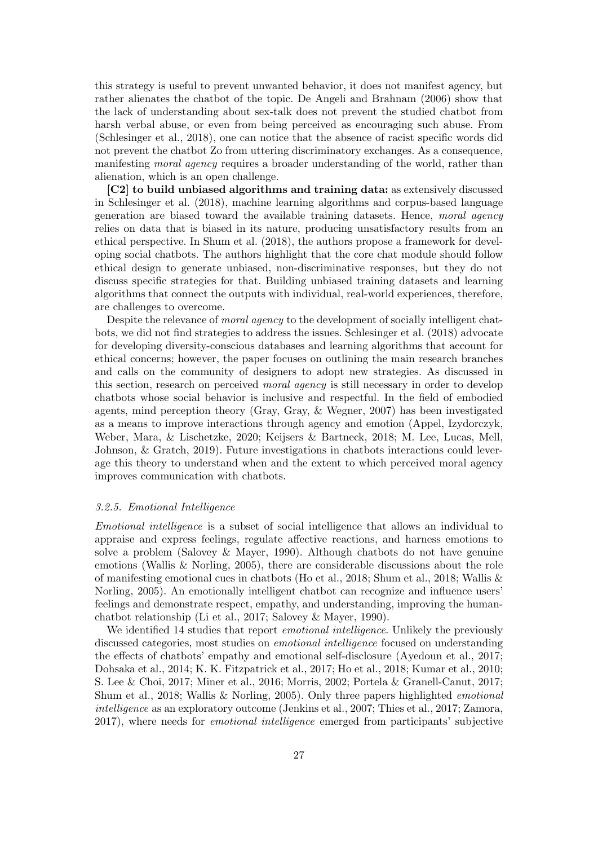this strategy is useful to prevent unwanted behavior, it does not manifest agency, but rather alienates the chatbot of the topic. De Angeli and Brahnam (2006) show that the lack of understanding about sex-talk does not prevent the studied chatbot from harsh verbal abuse, or even from being perceived as encouraging such abuse. From (Schlesinger et al., 2018), one can notice that the absence of racist specific words did not prevent the chatbot Zo from uttering discriminatory exchanges. As a consequence, manifesting *moral agency* requires a broader understanding of the world, rather than alienation, which is an open challenge.

[C2] to build unbiased algorithms and training data: as extensively discussed in Schlesinger et al. (2018), machine learning algorithms and corpus-based language generation are biased toward the available training datasets. Hence, moral agency relies on data that is biased in its nature, producing unsatisfactory results from an ethical perspective. In Shum et al. (2018), the authors propose a framework for developing social chatbots. The authors highlight that the core chat module should follow ethical design to generate unbiased, non-discriminative responses, but they do not discuss specific strategies for that. Building unbiased training datasets and learning algorithms that connect the outputs with individual, real-world experiences, therefore, are challenges to overcome.

Despite the relevance of moral agency to the development of socially intelligent chatbots, we did not find strategies to address the issues. Schlesinger et al. (2018) advocate for developing diversity-conscious databases and learning algorithms that account for ethical concerns; however, the paper focuses on outlining the main research branches and calls on the community of designers to adopt new strategies. As discussed in this section, research on perceived *moral agency* is still necessary in order to develop chatbots whose social behavior is inclusive and respectful. In the field of embodied agents, mind perception theory (Gray, Gray, & Wegner, 2007) has been investigated as a means to improve interactions through agency and emotion (Appel, Izydorczyk, Weber, Mara, & Lischetzke, 2020; Keijsers & Bartneck, 2018; M. Lee, Lucas, Mell, Johnson, & Gratch, 2019). Future investigations in chatbots interactions could leverage this theory to understand when and the extent to which perceived moral agency improves communication with chatbots.

#### 3.2.5. Emotional Intelligence

Emotional intelligence is a subset of social intelligence that allows an individual to appraise and express feelings, regulate affective reactions, and harness emotions to solve a problem (Salovey & Mayer, 1990). Although chatbots do not have genuine emotions (Wallis & Norling, 2005), there are considerable discussions about the role of manifesting emotional cues in chatbots (Ho et al., 2018; Shum et al., 2018; Wallis & Norling, 2005). An emotionally intelligent chatbot can recognize and influence users' feelings and demonstrate respect, empathy, and understanding, improving the humanchatbot relationship (Li et al., 2017; Salovey & Mayer, 1990).

We identified 14 studies that report *emotional intelligence*. Unlikely the previously discussed categories, most studies on emotional intelligence focused on understanding the effects of chatbots' empathy and emotional self-disclosure (Ayedoun et al., 2017; Dohsaka et al., 2014; K. K. Fitzpatrick et al., 2017; Ho et al., 2018; Kumar et al., 2010; S. Lee & Choi, 2017; Miner et al., 2016; Morris, 2002; Portela & Granell-Canut, 2017; Shum et al., 2018; Wallis & Norling, 2005). Only three papers highlighted emotional intelligence as an exploratory outcome (Jenkins et al., 2007; Thies et al., 2017; Zamora, 2017), where needs for emotional intelligence emerged from participants' subjective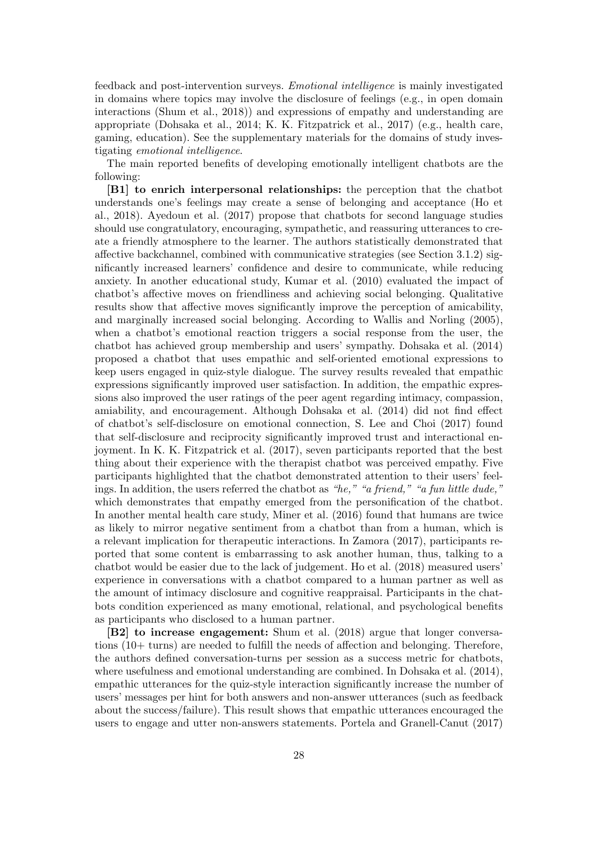feedback and post-intervention surveys. Emotional intelligence is mainly investigated in domains where topics may involve the disclosure of feelings (e.g., in open domain interactions (Shum et al., 2018)) and expressions of empathy and understanding are appropriate (Dohsaka et al., 2014; K. K. Fitzpatrick et al., 2017) (e.g., health care, gaming, education). See the supplementary materials for the domains of study investigating emotional intelligence.

The main reported benefits of developing emotionally intelligent chatbots are the following:

[B1] to enrich interpersonal relationships: the perception that the chatbot understands one's feelings may create a sense of belonging and acceptance (Ho et al., 2018). Ayedoun et al. (2017) propose that chatbots for second language studies should use congratulatory, encouraging, sympathetic, and reassuring utterances to create a friendly atmosphere to the learner. The authors statistically demonstrated that affective backchannel, combined with communicative strategies (see Section 3.1.2) significantly increased learners' confidence and desire to communicate, while reducing anxiety. In another educational study, Kumar et al. (2010) evaluated the impact of chatbot's affective moves on friendliness and achieving social belonging. Qualitative results show that affective moves significantly improve the perception of amicability, and marginally increased social belonging. According to Wallis and Norling (2005), when a chatbot's emotional reaction triggers a social response from the user, the chatbot has achieved group membership and users' sympathy. Dohsaka et al. (2014) proposed a chatbot that uses empathic and self-oriented emotional expressions to keep users engaged in quiz-style dialogue. The survey results revealed that empathic expressions significantly improved user satisfaction. In addition, the empathic expressions also improved the user ratings of the peer agent regarding intimacy, compassion, amiability, and encouragement. Although Dohsaka et al. (2014) did not find effect of chatbot's self-disclosure on emotional connection, S. Lee and Choi (2017) found that self-disclosure and reciprocity significantly improved trust and interactional enjoyment. In K. K. Fitzpatrick et al. (2017), seven participants reported that the best thing about their experience with the therapist chatbot was perceived empathy. Five participants highlighted that the chatbot demonstrated attention to their users' feelings. In addition, the users referred the chatbot as "he," "a friend," "a fun little dude," which demonstrates that empathy emerged from the personification of the chatbot. In another mental health care study, Miner et al. (2016) found that humans are twice as likely to mirror negative sentiment from a chatbot than from a human, which is a relevant implication for therapeutic interactions. In Zamora (2017), participants reported that some content is embarrassing to ask another human, thus, talking to a chatbot would be easier due to the lack of judgement. Ho et al. (2018) measured users' experience in conversations with a chatbot compared to a human partner as well as the amount of intimacy disclosure and cognitive reappraisal. Participants in the chatbots condition experienced as many emotional, relational, and psychological benefits as participants who disclosed to a human partner.

[B2] to increase engagement: Shum et al. (2018) argue that longer conversations (10+ turns) are needed to fulfill the needs of affection and belonging. Therefore, the authors defined conversation-turns per session as a success metric for chatbots, where usefulness and emotional understanding are combined. In Dohsaka et al. (2014), empathic utterances for the quiz-style interaction significantly increase the number of users' messages per hint for both answers and non-answer utterances (such as feedback about the success/failure). This result shows that empathic utterances encouraged the users to engage and utter non-answers statements. Portela and Granell-Canut (2017)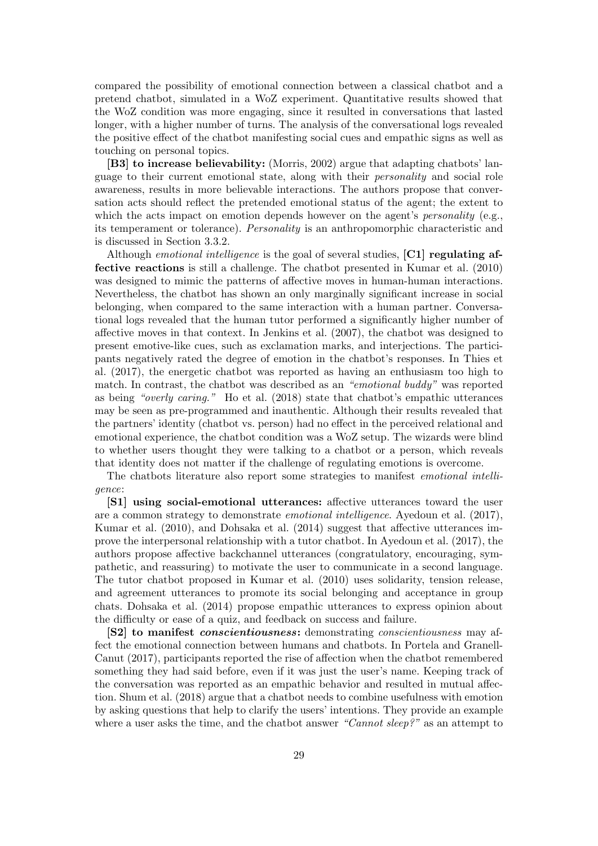compared the possibility of emotional connection between a classical chatbot and a pretend chatbot, simulated in a WoZ experiment. Quantitative results showed that the WoZ condition was more engaging, since it resulted in conversations that lasted longer, with a higher number of turns. The analysis of the conversational logs revealed the positive effect of the chatbot manifesting social cues and empathic signs as well as touching on personal topics.

[B3] to increase believability: (Morris, 2002) argue that adapting chatbots' language to their current emotional state, along with their personality and social role awareness, results in more believable interactions. The authors propose that conversation acts should reflect the pretended emotional status of the agent; the extent to which the acts impact on emotion depends however on the agent's *personality* (e.g., its temperament or tolerance). Personality is an anthropomorphic characteristic and is discussed in Section 3.3.2.

Although *emotional intelligence* is the goal of several studies,  $\mathbf{[C1]}$  regulating affective reactions is still a challenge. The chatbot presented in Kumar et al. (2010) was designed to mimic the patterns of affective moves in human-human interactions. Nevertheless, the chatbot has shown an only marginally significant increase in social belonging, when compared to the same interaction with a human partner. Conversational logs revealed that the human tutor performed a significantly higher number of affective moves in that context. In Jenkins et al. (2007), the chatbot was designed to present emotive-like cues, such as exclamation marks, and interjections. The participants negatively rated the degree of emotion in the chatbot's responses. In Thies et al. (2017), the energetic chatbot was reported as having an enthusiasm too high to match. In contrast, the chatbot was described as an "emotional buddy" was reported as being "overly caring." Ho et al. (2018) state that chatbot's empathic utterances may be seen as pre-programmed and inauthentic. Although their results revealed that the partners' identity (chatbot vs. person) had no effect in the perceived relational and emotional experience, the chatbot condition was a WoZ setup. The wizards were blind to whether users thought they were talking to a chatbot or a person, which reveals that identity does not matter if the challenge of regulating emotions is overcome.

The chatbots literature also report some strategies to manifest emotional intelligence:

[S1] using social-emotional utterances: affective utterances toward the user are a common strategy to demonstrate emotional intelligence. Ayedoun et al. (2017), Kumar et al. (2010), and Dohsaka et al. (2014) suggest that affective utterances improve the interpersonal relationship with a tutor chatbot. In Ayedoun et al. (2017), the authors propose affective backchannel utterances (congratulatory, encouraging, sympathetic, and reassuring) to motivate the user to communicate in a second language. The tutor chatbot proposed in Kumar et al. (2010) uses solidarity, tension release, and agreement utterances to promote its social belonging and acceptance in group chats. Dohsaka et al. (2014) propose empathic utterances to express opinion about the difficulty or ease of a quiz, and feedback on success and failure.

[S2] to manifest *conscientiousness*: demonstrating *conscientiousness* may affect the emotional connection between humans and chatbots. In Portela and Granell-Canut (2017), participants reported the rise of affection when the chatbot remembered something they had said before, even if it was just the user's name. Keeping track of the conversation was reported as an empathic behavior and resulted in mutual affection. Shum et al. (2018) argue that a chatbot needs to combine usefulness with emotion by asking questions that help to clarify the users' intentions. They provide an example where a user asks the time, and the chatbot answer "Cannot sleep?" as an attempt to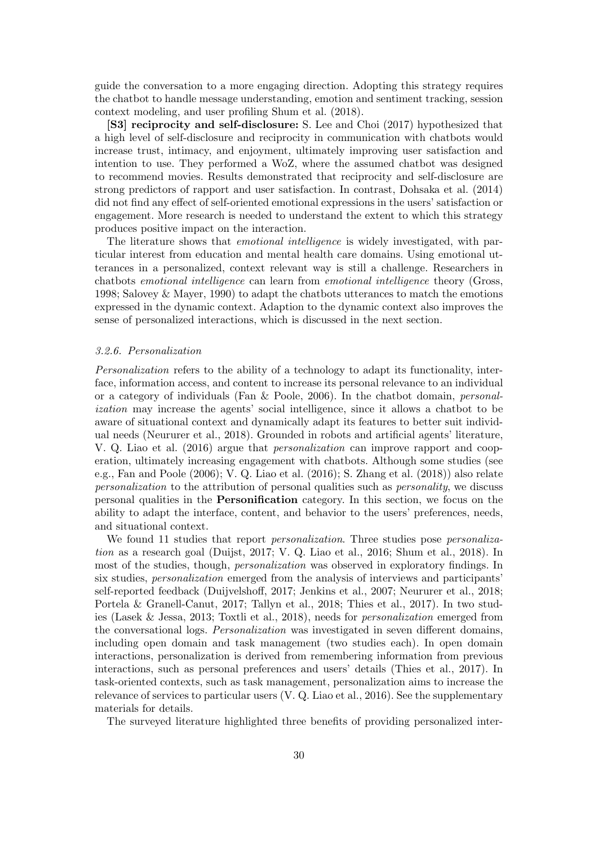guide the conversation to a more engaging direction. Adopting this strategy requires the chatbot to handle message understanding, emotion and sentiment tracking, session context modeling, and user profiling Shum et al. (2018).

[S3] reciprocity and self-disclosure: S. Lee and Choi (2017) hypothesized that a high level of self-disclosure and reciprocity in communication with chatbots would increase trust, intimacy, and enjoyment, ultimately improving user satisfaction and intention to use. They performed a WoZ, where the assumed chatbot was designed to recommend movies. Results demonstrated that reciprocity and self-disclosure are strong predictors of rapport and user satisfaction. In contrast, Dohsaka et al. (2014) did not find any effect of self-oriented emotional expressions in the users' satisfaction or engagement. More research is needed to understand the extent to which this strategy produces positive impact on the interaction.

The literature shows that *emotional intelligence* is widely investigated, with particular interest from education and mental health care domains. Using emotional utterances in a personalized, context relevant way is still a challenge. Researchers in chatbots emotional intelligence can learn from emotional intelligence theory (Gross, 1998; Salovey & Mayer, 1990) to adapt the chatbots utterances to match the emotions expressed in the dynamic context. Adaption to the dynamic context also improves the sense of personalized interactions, which is discussed in the next section.

## 3.2.6. Personalization

Personalization refers to the ability of a technology to adapt its functionality, interface, information access, and content to increase its personal relevance to an individual or a category of individuals (Fan & Poole, 2006). In the chatbot domain, personalization may increase the agents' social intelligence, since it allows a chatbot to be aware of situational context and dynamically adapt its features to better suit individual needs (Neururer et al., 2018). Grounded in robots and artificial agents' literature, V. Q. Liao et al. (2016) argue that personalization can improve rapport and cooperation, ultimately increasing engagement with chatbots. Although some studies (see e.g., Fan and Poole (2006); V. Q. Liao et al. (2016); S. Zhang et al. (2018)) also relate personalization to the attribution of personal qualities such as personality, we discuss personal qualities in the Personification category. In this section, we focus on the ability to adapt the interface, content, and behavior to the users' preferences, needs, and situational context.

We found 11 studies that report *personalization*. Three studies pose *personaliza*tion as a research goal (Duijst, 2017; V. Q. Liao et al., 2016; Shum et al., 2018). In most of the studies, though, personalization was observed in exploratory findings. In six studies, personalization emerged from the analysis of interviews and participants' self-reported feedback (Duijvelshoff, 2017; Jenkins et al., 2007; Neururer et al., 2018; Portela & Granell-Canut, 2017; Tallyn et al., 2018; Thies et al., 2017). In two studies (Lasek & Jessa, 2013; Toxtli et al., 2018), needs for personalization emerged from the conversational logs. Personalization was investigated in seven different domains, including open domain and task management (two studies each). In open domain interactions, personalization is derived from remembering information from previous interactions, such as personal preferences and users' details (Thies et al., 2017). In task-oriented contexts, such as task management, personalization aims to increase the relevance of services to particular users (V. Q. Liao et al., 2016). See the supplementary materials for details.

The surveyed literature highlighted three benefits of providing personalized inter-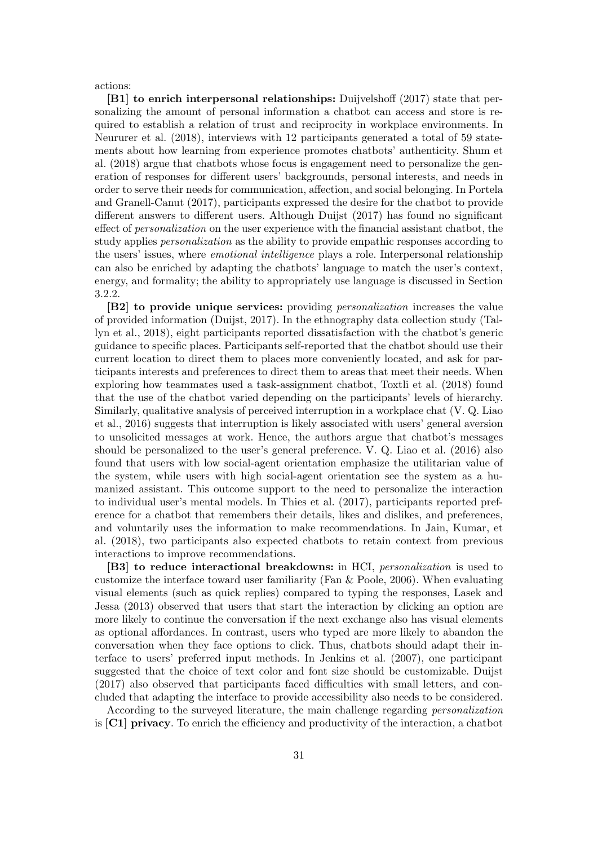actions:

[B1] to enrich interpersonal relationships: Duijvelshoff (2017) state that personalizing the amount of personal information a chatbot can access and store is required to establish a relation of trust and reciprocity in workplace environments. In Neururer et al. (2018), interviews with 12 participants generated a total of 59 statements about how learning from experience promotes chatbots' authenticity. Shum et al. (2018) argue that chatbots whose focus is engagement need to personalize the generation of responses for different users' backgrounds, personal interests, and needs in order to serve their needs for communication, affection, and social belonging. In Portela and Granell-Canut (2017), participants expressed the desire for the chatbot to provide different answers to different users. Although Duijst (2017) has found no significant effect of personalization on the user experience with the financial assistant chatbot, the study applies personalization as the ability to provide empathic responses according to the users' issues, where *emotional intelligence* plays a role. Interpersonal relationship can also be enriched by adapting the chatbots' language to match the user's context, energy, and formality; the ability to appropriately use language is discussed in Section 3.2.2.

[B2] to provide unique services: providing *personalization* increases the value of provided information (Duijst, 2017). In the ethnography data collection study (Tallyn et al., 2018), eight participants reported dissatisfaction with the chatbot's generic guidance to specific places. Participants self-reported that the chatbot should use their current location to direct them to places more conveniently located, and ask for participants interests and preferences to direct them to areas that meet their needs. When exploring how teammates used a task-assignment chatbot, Toxtli et al. (2018) found that the use of the chatbot varied depending on the participants' levels of hierarchy. Similarly, qualitative analysis of perceived interruption in a workplace chat (V. Q. Liao et al., 2016) suggests that interruption is likely associated with users' general aversion to unsolicited messages at work. Hence, the authors argue that chatbot's messages should be personalized to the user's general preference. V. Q. Liao et al. (2016) also found that users with low social-agent orientation emphasize the utilitarian value of the system, while users with high social-agent orientation see the system as a humanized assistant. This outcome support to the need to personalize the interaction to individual user's mental models. In Thies et al. (2017), participants reported preference for a chatbot that remembers their details, likes and dislikes, and preferences, and voluntarily uses the information to make recommendations. In Jain, Kumar, et al. (2018), two participants also expected chatbots to retain context from previous interactions to improve recommendations.

[B3] to reduce interactional breakdowns: in HCI, *personalization* is used to customize the interface toward user familiarity (Fan & Poole, 2006). When evaluating visual elements (such as quick replies) compared to typing the responses, Lasek and Jessa (2013) observed that users that start the interaction by clicking an option are more likely to continue the conversation if the next exchange also has visual elements as optional affordances. In contrast, users who typed are more likely to abandon the conversation when they face options to click. Thus, chatbots should adapt their interface to users' preferred input methods. In Jenkins et al. (2007), one participant suggested that the choice of text color and font size should be customizable. Duijst (2017) also observed that participants faced difficulties with small letters, and concluded that adapting the interface to provide accessibility also needs to be considered.

According to the surveyed literature, the main challenge regarding personalization is [C1] privacy. To enrich the efficiency and productivity of the interaction, a chatbot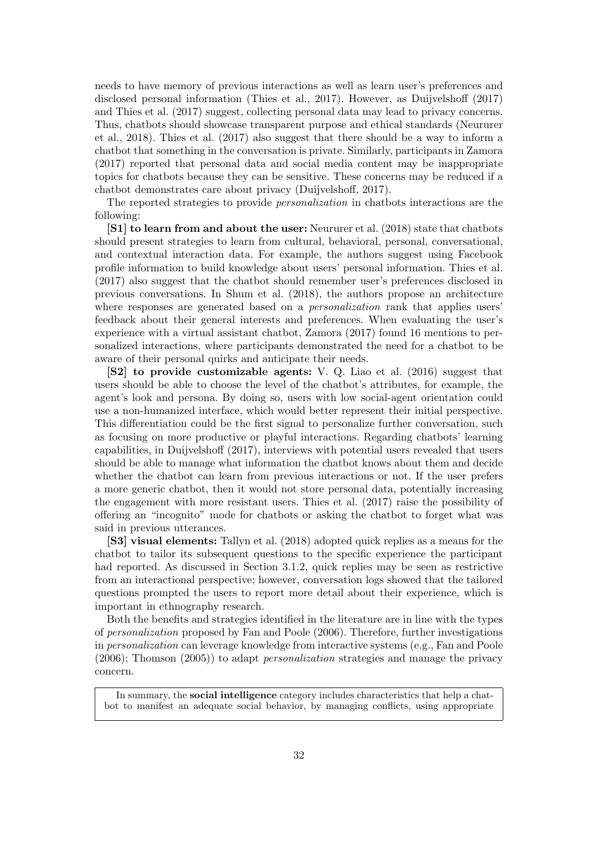needs to have memory of previous interactions as well as learn user's preferences and disclosed personal information (Thies et al., 2017). However, as Duijvelshoff (2017) and Thies et al. (2017) suggest, collecting personal data may lead to privacy concerns. Thus, chatbots should showcase transparent purpose and ethical standards (Neururer et al., 2018). Thies et al. (2017) also suggest that there should be a way to inform a chatbot that something in the conversation is private. Similarly, participants in Zamora (2017) reported that personal data and social media content may be inappropriate topics for chatbots because they can be sensitive. These concerns may be reduced if a chatbot demonstrates care about privacy (Duijvelshoff, 2017).

The reported strategies to provide personalization in chatbots interactions are the following:

[S1] to learn from and about the user: Neururer et al. (2018) state that chatbots should present strategies to learn from cultural, behavioral, personal, conversational, and contextual interaction data. For example, the authors suggest using Facebook profile information to build knowledge about users' personal information. Thies et al. (2017) also suggest that the chatbot should remember user's preferences disclosed in previous conversations. In Shum et al. (2018), the authors propose an architecture where responses are generated based on a *personalization* rank that applies users' feedback about their general interests and preferences. When evaluating the user's experience with a virtual assistant chatbot, Zamora (2017) found 16 mentions to personalized interactions, where participants demonstrated the need for a chatbot to be aware of their personal quirks and anticipate their needs.

[S2] to provide customizable agents: V. Q. Liao et al. (2016) suggest that users should be able to choose the level of the chatbot's attributes, for example, the agent's look and persona. By doing so, users with low social-agent orientation could use a non-humanized interface, which would better represent their initial perspective. This differentiation could be the first signal to personalize further conversation, such as focusing on more productive or playful interactions. Regarding chatbots' learning capabilities, in Duijvelshoff (2017), interviews with potential users revealed that users should be able to manage what information the chatbot knows about them and decide whether the chatbot can learn from previous interactions or not. If the user prefers a more generic chatbot, then it would not store personal data, potentially increasing the engagement with more resistant users. Thies et al. (2017) raise the possibility of offering an "incognito" mode for chatbots or asking the chatbot to forget what was said in previous utterances.

[S3] visual elements: Tallyn et al. (2018) adopted quick replies as a means for the chatbot to tailor its subsequent questions to the specific experience the participant had reported. As discussed in Section 3.1.2, quick replies may be seen as restrictive from an interactional perspective; however, conversation logs showed that the tailored questions prompted the users to report more detail about their experience, which is important in ethnography research.

Both the benefits and strategies identified in the literature are in line with the types of personalization proposed by Fan and Poole (2006). Therefore, further investigations in personalization can leverage knowledge from interactive systems (e.g., Fan and Poole (2006); Thomson (2005)) to adapt personalization strategies and manage the privacy concern.

In summary, the social intelligence category includes characteristics that help a chatbot to manifest an adequate social behavior, by managing conflicts, using appropriate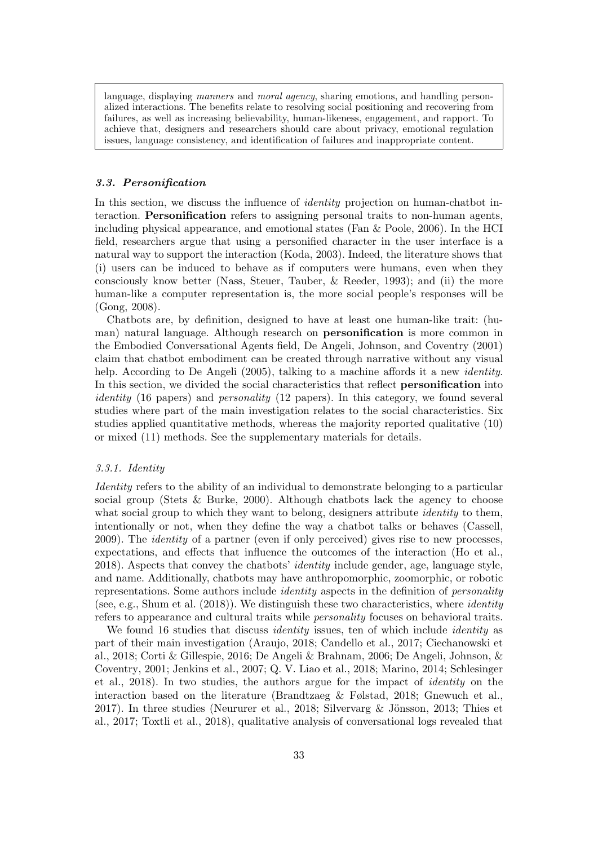language, displaying manners and moral agency, sharing emotions, and handling personalized interactions. The benefits relate to resolving social positioning and recovering from failures, as well as increasing believability, human-likeness, engagement, and rapport. To achieve that, designers and researchers should care about privacy, emotional regulation issues, language consistency, and identification of failures and inappropriate content.

## 3.3. Personification

In this section, we discuss the influence of *identity* projection on human-chatbot interaction. Personification refers to assigning personal traits to non-human agents, including physical appearance, and emotional states (Fan & Poole, 2006). In the HCI field, researchers argue that using a personified character in the user interface is a natural way to support the interaction (Koda, 2003). Indeed, the literature shows that (i) users can be induced to behave as if computers were humans, even when they consciously know better (Nass, Steuer, Tauber, & Reeder, 1993); and (ii) the more human-like a computer representation is, the more social people's responses will be (Gong, 2008).

Chatbots are, by definition, designed to have at least one human-like trait: (human) natural language. Although research on personification is more common in the Embodied Conversational Agents field, De Angeli, Johnson, and Coventry (2001) claim that chatbot embodiment can be created through narrative without any visual help. According to De Angeli (2005), talking to a machine affords it a new *identity*. In this section, we divided the social characteristics that reflect personification into identity (16 papers) and *personality* (12 papers). In this category, we found several studies where part of the main investigation relates to the social characteristics. Six studies applied quantitative methods, whereas the majority reported qualitative (10) or mixed (11) methods. See the supplementary materials for details.

# 3.3.1. Identity

Identity refers to the ability of an individual to demonstrate belonging to a particular social group (Stets & Burke, 2000). Although chatbots lack the agency to choose what social group to which they want to belong, designers attribute *identity* to them, intentionally or not, when they define the way a chatbot talks or behaves (Cassell, 2009). The identity of a partner (even if only perceived) gives rise to new processes, expectations, and effects that influence the outcomes of the interaction (Ho et al., 2018). Aspects that convey the chatbots' identity include gender, age, language style, and name. Additionally, chatbots may have anthropomorphic, zoomorphic, or robotic representations. Some authors include *identity* aspects in the definition of *personality* (see, e.g., Shum et al. (2018)). We distinguish these two characteristics, where identity refers to appearance and cultural traits while personality focuses on behavioral traits.

We found 16 studies that discuss *identity* issues, ten of which include *identity* as part of their main investigation (Araujo, 2018; Candello et al., 2017; Ciechanowski et al., 2018; Corti & Gillespie, 2016; De Angeli & Brahnam, 2006; De Angeli, Johnson, & Coventry, 2001; Jenkins et al., 2007; Q. V. Liao et al., 2018; Marino, 2014; Schlesinger et al., 2018). In two studies, the authors argue for the impact of identity on the interaction based on the literature (Brandtzaeg & Følstad, 2018; Gnewuch et al., 2017). In three studies (Neururer et al., 2018; Silvervarg  $\&$  Jönsson, 2013; Thies et al., 2017; Toxtli et al., 2018), qualitative analysis of conversational logs revealed that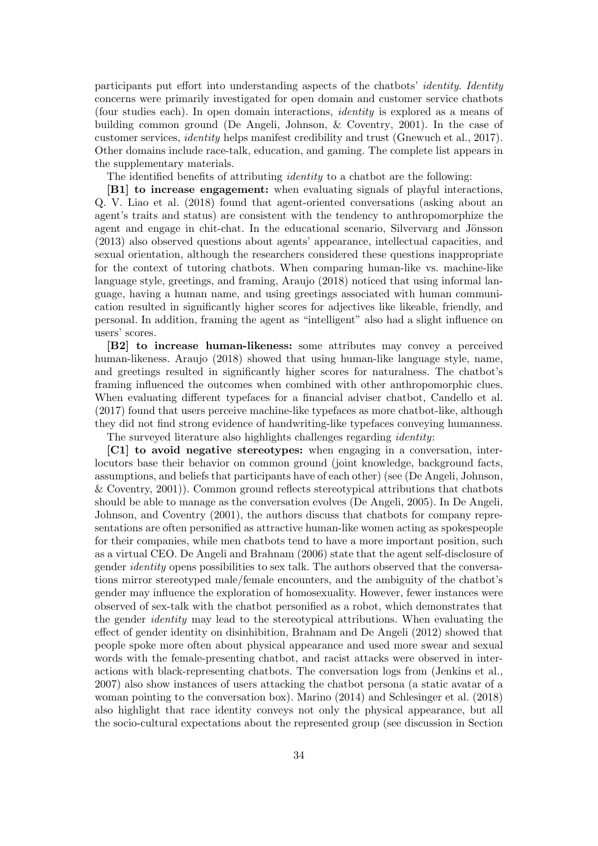participants put effort into understanding aspects of the chatbots' identity. Identity concerns were primarily investigated for open domain and customer service chatbots (four studies each). In open domain interactions, identity is explored as a means of building common ground (De Angeli, Johnson, & Coventry, 2001). In the case of customer services, identity helps manifest credibility and trust (Gnewuch et al., 2017). Other domains include race-talk, education, and gaming. The complete list appears in the supplementary materials.

The identified benefits of attributing *identity* to a chatbot are the following:

[B1] to increase engagement: when evaluating signals of playful interactions, Q. V. Liao et al. (2018) found that agent-oriented conversations (asking about an agent's traits and status) are consistent with the tendency to anthropomorphize the agent and engage in chit-chat. In the educational scenario, Silvervarg and Jönsson (2013) also observed questions about agents' appearance, intellectual capacities, and sexual orientation, although the researchers considered these questions inappropriate for the context of tutoring chatbots. When comparing human-like vs. machine-like language style, greetings, and framing, Araujo (2018) noticed that using informal language, having a human name, and using greetings associated with human communication resulted in significantly higher scores for adjectives like likeable, friendly, and personal. In addition, framing the agent as "intelligent" also had a slight influence on users' scores.

[B2] to increase human-likeness: some attributes may convey a perceived human-likeness. Araujo (2018) showed that using human-like language style, name, and greetings resulted in significantly higher scores for naturalness. The chatbot's framing influenced the outcomes when combined with other anthropomorphic clues. When evaluating different typefaces for a financial adviser chatbot, Candello et al. (2017) found that users perceive machine-like typefaces as more chatbot-like, although they did not find strong evidence of handwriting-like typefaces conveying humanness.

The surveyed literature also highlights challenges regarding identity:

[C1] to avoid negative stereotypes: when engaging in a conversation, interlocutors base their behavior on common ground (joint knowledge, background facts, assumptions, and beliefs that participants have of each other) (see (De Angeli, Johnson, & Coventry, 2001)). Common ground reflects stereotypical attributions that chatbots should be able to manage as the conversation evolves (De Angeli, 2005). In De Angeli, Johnson, and Coventry (2001), the authors discuss that chatbots for company representations are often personified as attractive human-like women acting as spokespeople for their companies, while men chatbots tend to have a more important position, such as a virtual CEO. De Angeli and Brahnam (2006) state that the agent self-disclosure of gender identity opens possibilities to sex talk. The authors observed that the conversations mirror stereotyped male/female encounters, and the ambiguity of the chatbot's gender may influence the exploration of homosexuality. However, fewer instances were observed of sex-talk with the chatbot personified as a robot, which demonstrates that the gender identity may lead to the stereotypical attributions. When evaluating the effect of gender identity on disinhibition, Brahnam and De Angeli (2012) showed that people spoke more often about physical appearance and used more swear and sexual words with the female-presenting chatbot, and racist attacks were observed in interactions with black-representing chatbots. The conversation logs from (Jenkins et al., 2007) also show instances of users attacking the chatbot persona (a static avatar of a woman pointing to the conversation box). Marino (2014) and Schlesinger et al. (2018) also highlight that race identity conveys not only the physical appearance, but all the socio-cultural expectations about the represented group (see discussion in Section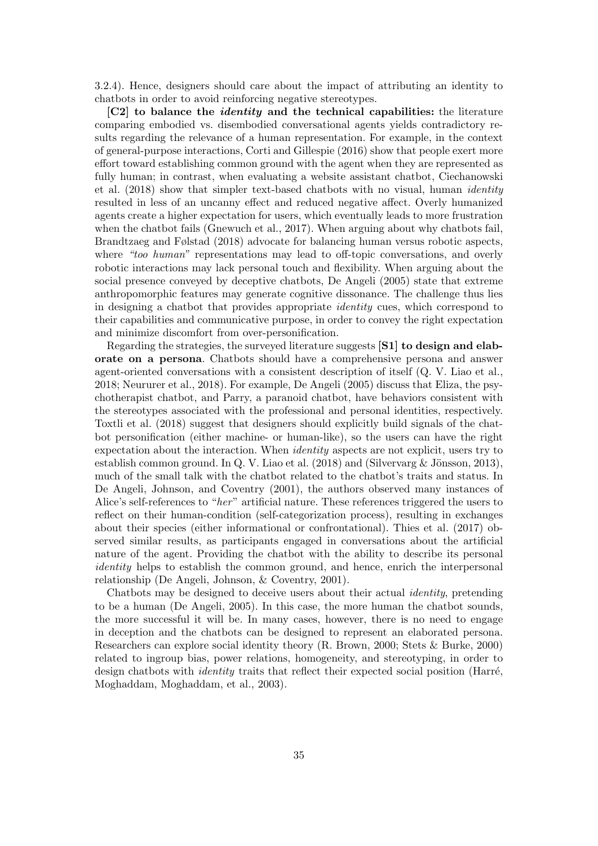3.2.4). Hence, designers should care about the impact of attributing an identity to chatbots in order to avoid reinforcing negative stereotypes.

[C2] to balance the *identity* and the technical capabilities: the literature comparing embodied vs. disembodied conversational agents yields contradictory results regarding the relevance of a human representation. For example, in the context of general-purpose interactions, Corti and Gillespie (2016) show that people exert more effort toward establishing common ground with the agent when they are represented as fully human; in contrast, when evaluating a website assistant chatbot, Ciechanowski et al. (2018) show that simpler text-based chatbots with no visual, human identity resulted in less of an uncanny effect and reduced negative affect. Overly humanized agents create a higher expectation for users, which eventually leads to more frustration when the chatbot fails (Gnewuch et al., 2017). When arguing about why chatbots fail, Brandtzaeg and Følstad (2018) advocate for balancing human versus robotic aspects, where "too human" representations may lead to off-topic conversations, and overly robotic interactions may lack personal touch and flexibility. When arguing about the social presence conveyed by deceptive chatbots, De Angeli (2005) state that extreme anthropomorphic features may generate cognitive dissonance. The challenge thus lies in designing a chatbot that provides appropriate identity cues, which correspond to their capabilities and communicative purpose, in order to convey the right expectation and minimize discomfort from over-personification.

Regarding the strategies, the surveyed literature suggests [S1] to design and elaborate on a persona. Chatbots should have a comprehensive persona and answer agent-oriented conversations with a consistent description of itself (Q. V. Liao et al., 2018; Neururer et al., 2018). For example, De Angeli (2005) discuss that Eliza, the psychotherapist chatbot, and Parry, a paranoid chatbot, have behaviors consistent with the stereotypes associated with the professional and personal identities, respectively. Toxtli et al. (2018) suggest that designers should explicitly build signals of the chatbot personification (either machine- or human-like), so the users can have the right expectation about the interaction. When identity aspects are not explicit, users try to establish common ground. In Q. V. Liao et al.  $(2018)$  and  $(Silvervarg \& Jönsson, 2013)$ , much of the small talk with the chatbot related to the chatbot's traits and status. In De Angeli, Johnson, and Coventry (2001), the authors observed many instances of Alice's self-references to "her" artificial nature. These references triggered the users to reflect on their human-condition (self-categorization process), resulting in exchanges about their species (either informational or confrontational). Thies et al. (2017) observed similar results, as participants engaged in conversations about the artificial nature of the agent. Providing the chatbot with the ability to describe its personal identity helps to establish the common ground, and hence, enrich the interpersonal relationship (De Angeli, Johnson, & Coventry, 2001).

Chatbots may be designed to deceive users about their actual identity, pretending to be a human (De Angeli, 2005). In this case, the more human the chatbot sounds, the more successful it will be. In many cases, however, there is no need to engage in deception and the chatbots can be designed to represent an elaborated persona. Researchers can explore social identity theory (R. Brown, 2000; Stets & Burke, 2000) related to ingroup bias, power relations, homogeneity, and stereotyping, in order to design chatbots with *identity* traits that reflect their expected social position (Harré, Moghaddam, Moghaddam, et al., 2003).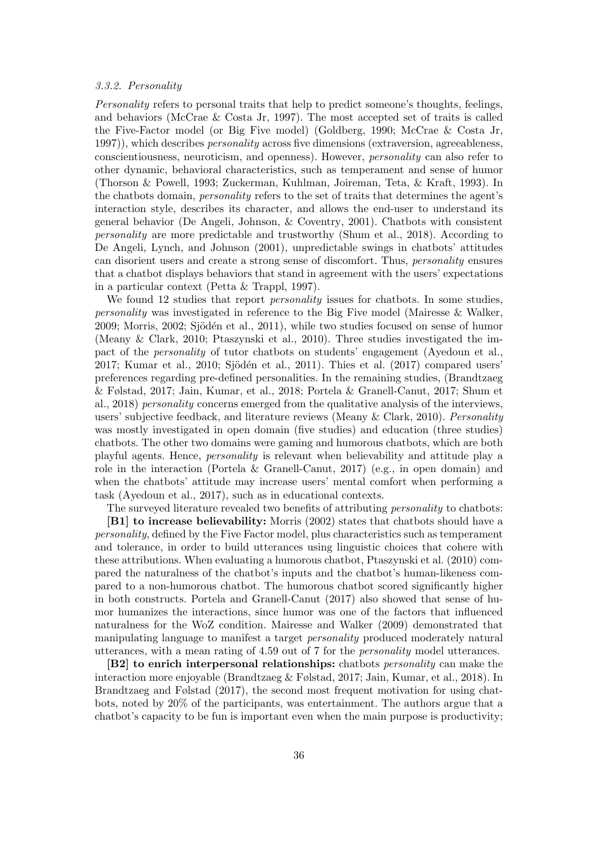# 3.3.2. Personality

Personality refers to personal traits that help to predict someone's thoughts, feelings, and behaviors (McCrae & Costa Jr, 1997). The most accepted set of traits is called the Five-Factor model (or Big Five model) (Goldberg, 1990; McCrae & Costa Jr, 1997), which describes *personality* across five dimensions (extraversion, agreeableness, conscientiousness, neuroticism, and openness). However, personality can also refer to other dynamic, behavioral characteristics, such as temperament and sense of humor (Thorson & Powell, 1993; Zuckerman, Kuhlman, Joireman, Teta, & Kraft, 1993). In the chatbots domain, personality refers to the set of traits that determines the agent's interaction style, describes its character, and allows the end-user to understand its general behavior (De Angeli, Johnson, & Coventry, 2001). Chatbots with consistent personality are more predictable and trustworthy (Shum et al., 2018). According to De Angeli, Lynch, and Johnson (2001), unpredictable swings in chatbots' attitudes can disorient users and create a strong sense of discomfort. Thus, personality ensures that a chatbot displays behaviors that stand in agreement with the users' expectations in a particular context (Petta & Trappl, 1997).

We found 12 studies that report *personality* issues for chatbots. In some studies, personality was investigated in reference to the Big Five model (Mairesse & Walker,  $2009$ ; Morris,  $2002$ ; Sjödén et al.,  $2011$ ), while two studies focused on sense of humor (Meany & Clark, 2010; Ptaszynski et al., 2010). Three studies investigated the impact of the personality of tutor chatbots on students' engagement (Ayedoun et al., 2017; Kumar et al., 2010; Sjödén et al., 2011). Thies et al.  $(2017)$  compared users' preferences regarding pre-defined personalities. In the remaining studies, (Brandtzaeg & Følstad, 2017; Jain, Kumar, et al., 2018; Portela & Granell-Canut, 2017; Shum et al., 2018) personality concerns emerged from the qualitative analysis of the interviews, users' subjective feedback, and literature reviews (Meany  $\&$  Clark, 2010). Personality was mostly investigated in open domain (five studies) and education (three studies) chatbots. The other two domains were gaming and humorous chatbots, which are both playful agents. Hence, personality is relevant when believability and attitude play a role in the interaction (Portela & Granell-Canut, 2017) (e.g., in open domain) and when the chatbots' attitude may increase users' mental comfort when performing a task (Ayedoun et al., 2017), such as in educational contexts.

The surveyed literature revealed two benefits of attributing *personality* to chatbots: [B1] to increase believability: Morris (2002) states that chatbots should have a personality, defined by the Five Factor model, plus characteristics such as temperament and tolerance, in order to build utterances using linguistic choices that cohere with these attributions. When evaluating a humorous chatbot, Ptaszynski et al. (2010) compared the naturalness of the chatbot's inputs and the chatbot's human-likeness compared to a non-humorous chatbot. The humorous chatbot scored significantly higher in both constructs. Portela and Granell-Canut (2017) also showed that sense of humor humanizes the interactions, since humor was one of the factors that influenced naturalness for the WoZ condition. Mairesse and Walker (2009) demonstrated that manipulating language to manifest a target personality produced moderately natural utterances, with a mean rating of 4.59 out of 7 for the personality model utterances.

[B2] to enrich interpersonal relationships: chatbots *personality* can make the interaction more enjoyable (Brandtzaeg & Følstad, 2017; Jain, Kumar, et al., 2018). In Brandtzaeg and Følstad (2017), the second most frequent motivation for using chatbots, noted by 20% of the participants, was entertainment. The authors argue that a chatbot's capacity to be fun is important even when the main purpose is productivity;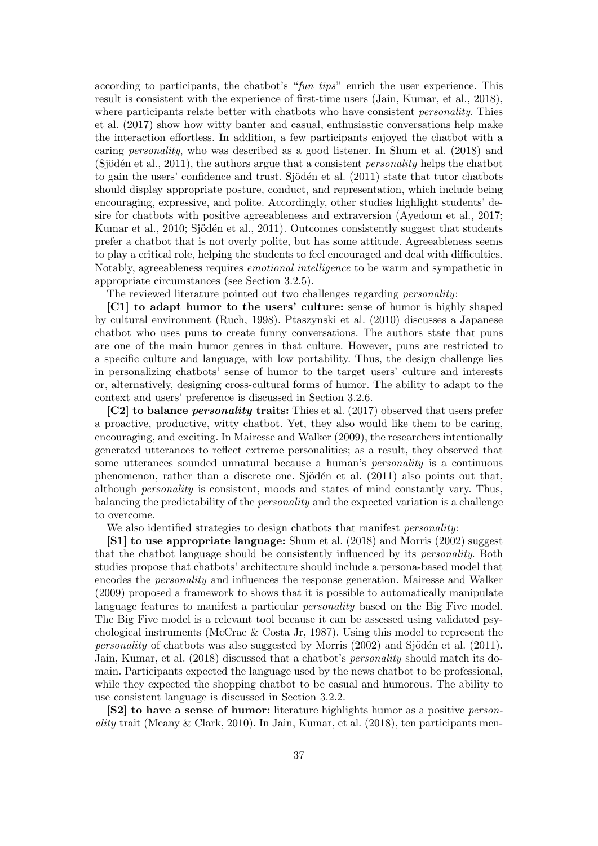according to participants, the chatbot's "fun tips" enrich the user experience. This result is consistent with the experience of first-time users (Jain, Kumar, et al., 2018), where participants relate better with chatbots who have consistent *personality*. Thies et al. (2017) show how witty banter and casual, enthusiastic conversations help make the interaction effortless. In addition, a few participants enjoyed the chatbot with a caring personality, who was described as a good listener. In Shum et al. (2018) and (Sjödén et al., 2011), the authors argue that a consistent *personality* helps the chatbot to gain the users' confidence and trust. Sjödén et al.  $(2011)$  state that tutor chatbots should display appropriate posture, conduct, and representation, which include being encouraging, expressive, and polite. Accordingly, other studies highlight students' desire for chatbots with positive agreeableness and extraversion (Ayedoun et al., 2017; Kumar et al., 2010; Sjödén et al., 2011). Outcomes consistently suggest that students prefer a chatbot that is not overly polite, but has some attitude. Agreeableness seems to play a critical role, helping the students to feel encouraged and deal with difficulties. Notably, agreeableness requires emotional intelligence to be warm and sympathetic in appropriate circumstances (see Section 3.2.5).

The reviewed literature pointed out two challenges regarding personality:

[C1] to adapt humor to the users' culture: sense of humor is highly shaped by cultural environment (Ruch, 1998). Ptaszynski et al. (2010) discusses a Japanese chatbot who uses puns to create funny conversations. The authors state that puns are one of the main humor genres in that culture. However, puns are restricted to a specific culture and language, with low portability. Thus, the design challenge lies in personalizing chatbots' sense of humor to the target users' culture and interests or, alternatively, designing cross-cultural forms of humor. The ability to adapt to the context and users' preference is discussed in Section 3.2.6.

[C2] to balance *personality* traits: Thies et al. (2017) observed that users prefer a proactive, productive, witty chatbot. Yet, they also would like them to be caring, encouraging, and exciting. In Mairesse and Walker (2009), the researchers intentionally generated utterances to reflect extreme personalities; as a result, they observed that some utterances sounded unnatural because a human's personality is a continuous phenomenon, rather than a discrete one. Sjödén et al.  $(2011)$  also points out that, although personality is consistent, moods and states of mind constantly vary. Thus, balancing the predictability of the personality and the expected variation is a challenge to overcome.

We also identified strategies to design chatbots that manifest *personality*:

[S1] to use appropriate language: Shum et al. (2018) and Morris (2002) suggest that the chatbot language should be consistently influenced by its personality. Both studies propose that chatbots' architecture should include a persona-based model that encodes the personality and influences the response generation. Mairesse and Walker (2009) proposed a framework to shows that it is possible to automatically manipulate language features to manifest a particular personality based on the Big Five model. The Big Five model is a relevant tool because it can be assessed using validated psychological instruments (McCrae & Costa Jr, 1987). Using this model to represent the *personality* of chatbots was also suggested by Morris  $(2002)$  and Sjödén et al.  $(2011)$ . Jain, Kumar, et al. (2018) discussed that a chatbot's personality should match its domain. Participants expected the language used by the news chatbot to be professional, while they expected the shopping chatbot to be casual and humorous. The ability to use consistent language is discussed in Section 3.2.2.

[S2] to have a sense of humor: literature highlights humor as a positive personality trait (Meany  $&$  Clark, 2010). In Jain, Kumar, et al. (2018), ten participants men-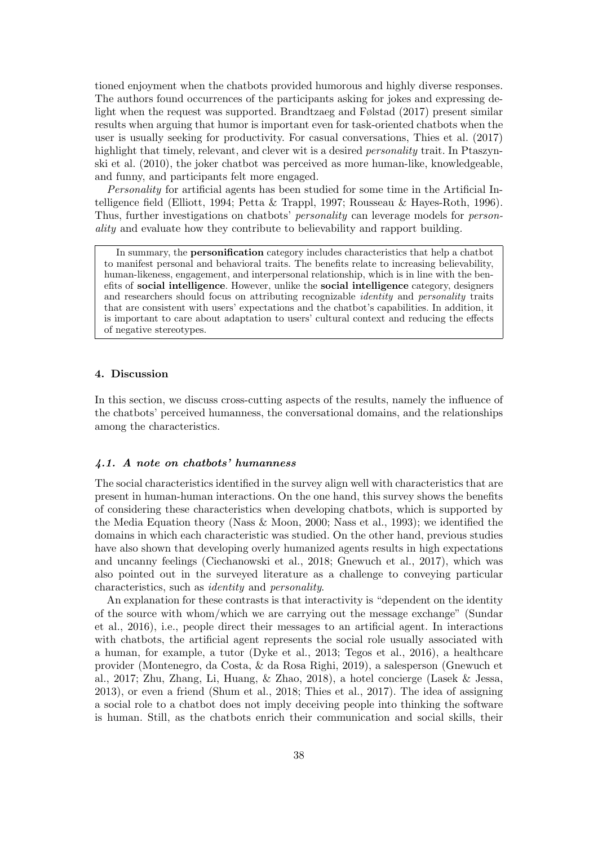tioned enjoyment when the chatbots provided humorous and highly diverse responses. The authors found occurrences of the participants asking for jokes and expressing delight when the request was supported. Brandtzaeg and Følstad (2017) present similar results when arguing that humor is important even for task-oriented chatbots when the user is usually seeking for productivity. For casual conversations, Thies et al. (2017) highlight that timely, relevant, and clever wit is a desired *personality* trait. In Ptaszynski et al. (2010), the joker chatbot was perceived as more human-like, knowledgeable, and funny, and participants felt more engaged.

Personality for artificial agents has been studied for some time in the Artificial Intelligence field (Elliott, 1994; Petta & Trappl, 1997; Rousseau & Hayes-Roth, 1996). Thus, further investigations on chatbots' *personality* can leverage models for *person*ality and evaluate how they contribute to believability and rapport building.

In summary, the personification category includes characteristics that help a chatbot to manifest personal and behavioral traits. The benefits relate to increasing believability, human-likeness, engagement, and interpersonal relationship, which is in line with the benefits of social intelligence. However, unlike the social intelligence category, designers and researchers should focus on attributing recognizable identity and personality traits that are consistent with users' expectations and the chatbot's capabilities. In addition, it is important to care about adaptation to users' cultural context and reducing the effects of negative stereotypes.

#### 4. Discussion

In this section, we discuss cross-cutting aspects of the results, namely the influence of the chatbots' perceived humanness, the conversational domains, and the relationships among the characteristics.

#### 4.1. A note on chatbots' humanness

The social characteristics identified in the survey align well with characteristics that are present in human-human interactions. On the one hand, this survey shows the benefits of considering these characteristics when developing chatbots, which is supported by the Media Equation theory (Nass & Moon, 2000; Nass et al., 1993); we identified the domains in which each characteristic was studied. On the other hand, previous studies have also shown that developing overly humanized agents results in high expectations and uncanny feelings (Ciechanowski et al., 2018; Gnewuch et al., 2017), which was also pointed out in the surveyed literature as a challenge to conveying particular characteristics, such as identity and personality.

An explanation for these contrasts is that interactivity is "dependent on the identity of the source with whom/which we are carrying out the message exchange" (Sundar et al., 2016), i.e., people direct their messages to an artificial agent. In interactions with chatbots, the artificial agent represents the social role usually associated with a human, for example, a tutor (Dyke et al., 2013; Tegos et al., 2016), a healthcare provider (Montenegro, da Costa, & da Rosa Righi, 2019), a salesperson (Gnewuch et al., 2017; Zhu, Zhang, Li, Huang, & Zhao, 2018), a hotel concierge (Lasek & Jessa, 2013), or even a friend (Shum et al., 2018; Thies et al., 2017). The idea of assigning a social role to a chatbot does not imply deceiving people into thinking the software is human. Still, as the chatbots enrich their communication and social skills, their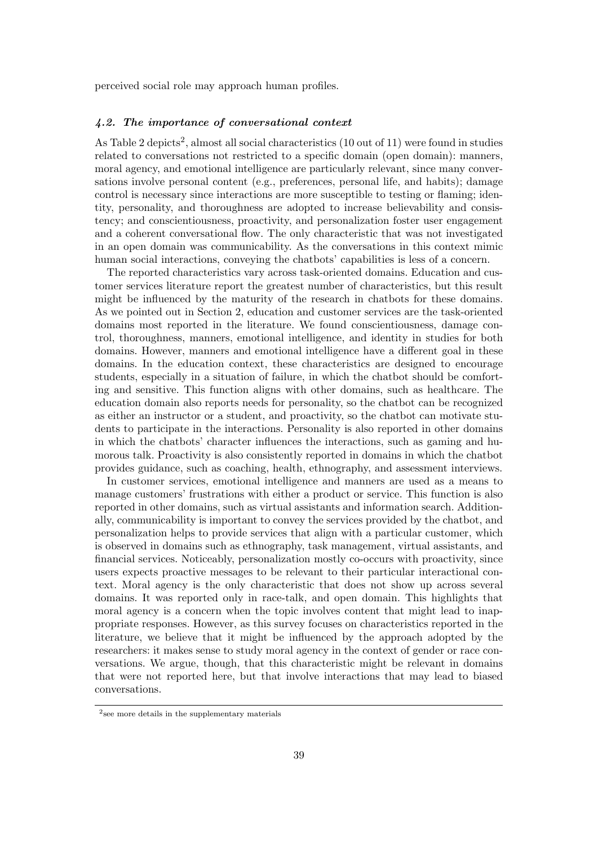perceived social role may approach human profiles.

## 4.2. The importance of conversational context

As Table 2 depicts<sup>2</sup>, almost all social characteristics  $(10 \text{ out of } 11)$  were found in studies related to conversations not restricted to a specific domain (open domain): manners, moral agency, and emotional intelligence are particularly relevant, since many conversations involve personal content (e.g., preferences, personal life, and habits); damage control is necessary since interactions are more susceptible to testing or flaming; identity, personality, and thoroughness are adopted to increase believability and consistency; and conscientiousness, proactivity, and personalization foster user engagement and a coherent conversational flow. The only characteristic that was not investigated in an open domain was communicability. As the conversations in this context mimic human social interactions, conveying the chatbots' capabilities is less of a concern.

The reported characteristics vary across task-oriented domains. Education and customer services literature report the greatest number of characteristics, but this result might be influenced by the maturity of the research in chatbots for these domains. As we pointed out in Section 2, education and customer services are the task-oriented domains most reported in the literature. We found conscientiousness, damage control, thoroughness, manners, emotional intelligence, and identity in studies for both domains. However, manners and emotional intelligence have a different goal in these domains. In the education context, these characteristics are designed to encourage students, especially in a situation of failure, in which the chatbot should be comforting and sensitive. This function aligns with other domains, such as healthcare. The education domain also reports needs for personality, so the chatbot can be recognized as either an instructor or a student, and proactivity, so the chatbot can motivate students to participate in the interactions. Personality is also reported in other domains in which the chatbots' character influences the interactions, such as gaming and humorous talk. Proactivity is also consistently reported in domains in which the chatbot provides guidance, such as coaching, health, ethnography, and assessment interviews.

In customer services, emotional intelligence and manners are used as a means to manage customers' frustrations with either a product or service. This function is also reported in other domains, such as virtual assistants and information search. Additionally, communicability is important to convey the services provided by the chatbot, and personalization helps to provide services that align with a particular customer, which is observed in domains such as ethnography, task management, virtual assistants, and financial services. Noticeably, personalization mostly co-occurs with proactivity, since users expects proactive messages to be relevant to their particular interactional context. Moral agency is the only characteristic that does not show up across several domains. It was reported only in race-talk, and open domain. This highlights that moral agency is a concern when the topic involves content that might lead to inappropriate responses. However, as this survey focuses on characteristics reported in the literature, we believe that it might be influenced by the approach adopted by the researchers: it makes sense to study moral agency in the context of gender or race conversations. We argue, though, that this characteristic might be relevant in domains that were not reported here, but that involve interactions that may lead to biased conversations.

<sup>2</sup> see more details in the supplementary materials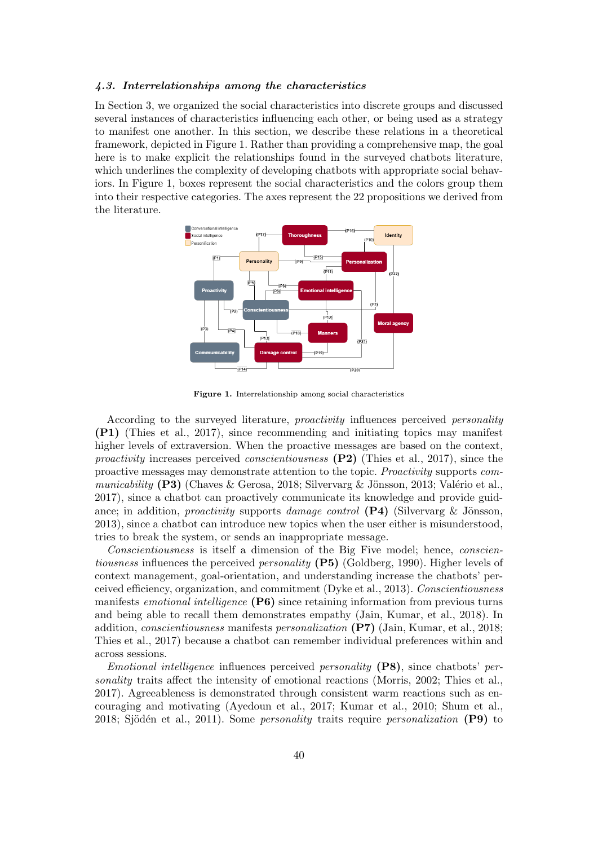# 4.3. Interrelationships among the characteristics

In Section 3, we organized the social characteristics into discrete groups and discussed several instances of characteristics influencing each other, or being used as a strategy to manifest one another. In this section, we describe these relations in a theoretical framework, depicted in Figure 1. Rather than providing a comprehensive map, the goal here is to make explicit the relationships found in the surveyed chatbots literature, which underlines the complexity of developing chatbots with appropriate social behaviors. In Figure 1, boxes represent the social characteristics and the colors group them into their respective categories. The axes represent the 22 propositions we derived from the literature.



Figure 1. Interrelationship among social characteristics

According to the surveyed literature, *proactivity* influences perceived *personality* (P1) (Thies et al., 2017), since recommending and initiating topics may manifest higher levels of extraversion. When the proactive messages are based on the context, *proactivity* increases perceived *conscientiousness* (P2) (Thies et al., 2017), since the proactive messages may demonstrate attention to the topic. Proactivity supports communicability  $(P3)$  (Chaves & Gerosa, 2018; Silvervarg & Jönsson, 2013; Valério et al., 2017), since a chatbot can proactively communicate its knowledge and provide guidance; in addition, proactivity supports damage control  $(P4)$  (Silvervarg & Jönsson, 2013), since a chatbot can introduce new topics when the user either is misunderstood, tries to break the system, or sends an inappropriate message.

Conscientiousness is itself a dimension of the Big Five model; hence, conscientiousness influences the perceived *personality* (P5) (Goldberg, 1990). Higher levels of context management, goal-orientation, and understanding increase the chatbots' perceived efficiency, organization, and commitment (Dyke et al., 2013). Conscientiousness manifests emotional intelligence (P6) since retaining information from previous turns and being able to recall them demonstrates empathy (Jain, Kumar, et al., 2018). In addition, conscientiousness manifests personalization (P7) (Jain, Kumar, et al., 2018; Thies et al., 2017) because a chatbot can remember individual preferences within and across sessions.

Emotional intelligence influences perceived personality (P8), since chatbots' personality traits affect the intensity of emotional reactions (Morris, 2002; Thies et al., 2017). Agreeableness is demonstrated through consistent warm reactions such as encouraging and motivating (Ayedoun et al., 2017; Kumar et al., 2010; Shum et al., 2018; Sjödén et al., 2011). Some *personality* traits require *personalization* (P9) to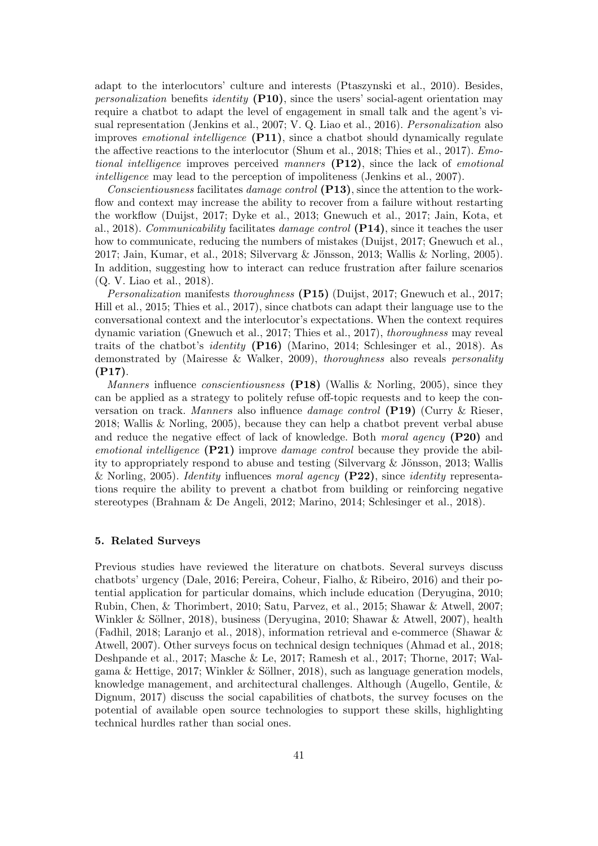adapt to the interlocutors' culture and interests (Ptaszynski et al., 2010). Besides, *personalization* benefits *identity*  $(P10)$ , since the users' social-agent orientation may require a chatbot to adapt the level of engagement in small talk and the agent's visual representation (Jenkins et al., 2007; V. Q. Liao et al., 2016). Personalization also improves emotional intelligence (P11), since a chatbot should dynamically regulate the affective reactions to the interlocutor (Shum et al., 2018; Thies et al., 2017). Emotional intelligence improves perceived manners (P12), since the lack of emotional intelligence may lead to the perception of impoliteness (Jenkins et al., 2007).

Conscientiousness facilitates damage control (P13), since the attention to the workflow and context may increase the ability to recover from a failure without restarting the workflow (Duijst, 2017; Dyke et al., 2013; Gnewuch et al., 2017; Jain, Kota, et al., 2018). Communicability facilitates damage control (P14), since it teaches the user how to communicate, reducing the numbers of mistakes (Duijst, 2017; Gnewuch et al., 2017; Jain, Kumar, et al., 2018; Silvervarg & Jönsson, 2013; Wallis & Norling, 2005). In addition, suggesting how to interact can reduce frustration after failure scenarios (Q. V. Liao et al., 2018).

Personalization manifests thoroughness (P15) (Duijst, 2017; Gnewuch et al., 2017; Hill et al., 2015; Thies et al., 2017), since chatbots can adapt their language use to the conversational context and the interlocutor's expectations. When the context requires dynamic variation (Gnewuch et al., 2017; Thies et al., 2017), thoroughness may reveal traits of the chatbot's identity (P16) (Marino, 2014; Schlesinger et al., 2018). As demonstrated by (Mairesse & Walker, 2009), thoroughness also reveals personality (P17).

*Manners* influence *conscientiousness* (P18) (Wallis & Norling, 2005), since they can be applied as a strategy to politely refuse off-topic requests and to keep the conversation on track. Manners also influence damage control (P19) (Curry & Rieser, 2018; Wallis & Norling, 2005), because they can help a chatbot prevent verbal abuse and reduce the negative effect of lack of knowledge. Both moral agency (P20) and emotional intelligence  $(P21)$  improve damage control because they provide the ability to appropriately respond to abuse and testing (Silvervarg  $\&$  Jönsson, 2013; Wallis & Norling, 2005). Identity influences moral agency  $(P22)$ , since identity representations require the ability to prevent a chatbot from building or reinforcing negative stereotypes (Brahnam & De Angeli, 2012; Marino, 2014; Schlesinger et al., 2018).

#### 5. Related Surveys

Previous studies have reviewed the literature on chatbots. Several surveys discuss chatbots' urgency (Dale, 2016; Pereira, Coheur, Fialho, & Ribeiro, 2016) and their potential application for particular domains, which include education (Deryugina, 2010; Rubin, Chen, & Thorimbert, 2010; Satu, Parvez, et al., 2015; Shawar & Atwell, 2007; Winkler & Söllner, 2018), business (Deryugina, 2010; Shawar & Atwell, 2007), health (Fadhil, 2018; Laranjo et al., 2018), information retrieval and e-commerce (Shawar & Atwell, 2007). Other surveys focus on technical design techniques (Ahmad et al., 2018; Deshpande et al., 2017; Masche & Le, 2017; Ramesh et al., 2017; Thorne, 2017; Walgama & Hettige, 2017; Winkler & Söllner, 2018), such as language generation models, knowledge management, and architectural challenges. Although (Augello, Gentile, & Dignum, 2017) discuss the social capabilities of chatbots, the survey focuses on the potential of available open source technologies to support these skills, highlighting technical hurdles rather than social ones.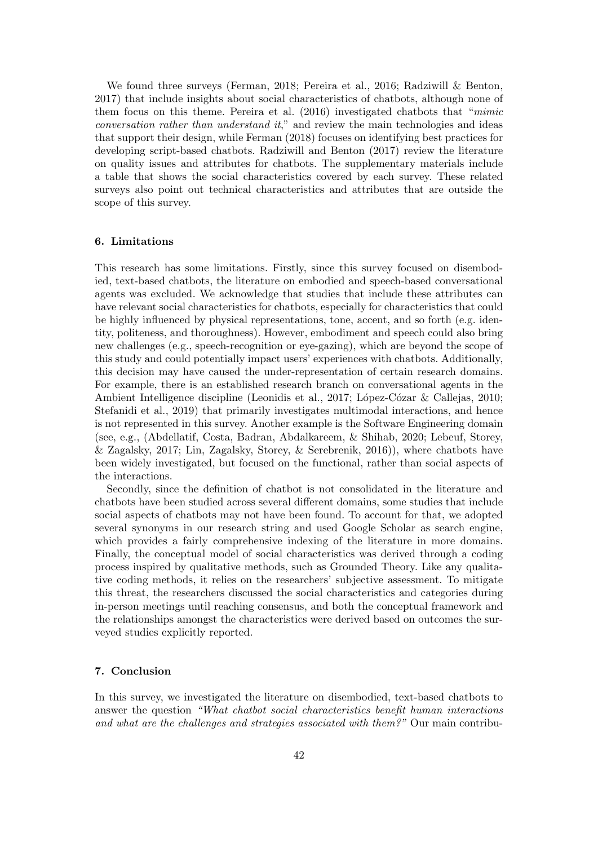We found three surveys (Ferman, 2018; Pereira et al., 2016; Radziwill & Benton, 2017) that include insights about social characteristics of chatbots, although none of them focus on this theme. Pereira et al. (2016) investigated chatbots that "mimic conversation rather than understand it," and review the main technologies and ideas that support their design, while Ferman (2018) focuses on identifying best practices for developing script-based chatbots. Radziwill and Benton (2017) review the literature on quality issues and attributes for chatbots. The supplementary materials include a table that shows the social characteristics covered by each survey. These related surveys also point out technical characteristics and attributes that are outside the scope of this survey.

## 6. Limitations

This research has some limitations. Firstly, since this survey focused on disembodied, text-based chatbots, the literature on embodied and speech-based conversational agents was excluded. We acknowledge that studies that include these attributes can have relevant social characteristics for chatbots, especially for characteristics that could be highly influenced by physical representations, tone, accent, and so forth (e.g. identity, politeness, and thoroughness). However, embodiment and speech could also bring new challenges (e.g., speech-recognition or eye-gazing), which are beyond the scope of this study and could potentially impact users' experiences with chatbots. Additionally, this decision may have caused the under-representation of certain research domains. For example, there is an established research branch on conversational agents in the Ambient Intelligence discipline (Leonidis et al., 2017; López-Cózar & Callejas, 2010; Stefanidi et al., 2019) that primarily investigates multimodal interactions, and hence is not represented in this survey. Another example is the Software Engineering domain (see, e.g., (Abdellatif, Costa, Badran, Abdalkareem, & Shihab, 2020; Lebeuf, Storey, & Zagalsky, 2017; Lin, Zagalsky, Storey, & Serebrenik, 2016)), where chatbots have been widely investigated, but focused on the functional, rather than social aspects of the interactions.

Secondly, since the definition of chatbot is not consolidated in the literature and chatbots have been studied across several different domains, some studies that include social aspects of chatbots may not have been found. To account for that, we adopted several synonyms in our research string and used Google Scholar as search engine, which provides a fairly comprehensive indexing of the literature in more domains. Finally, the conceptual model of social characteristics was derived through a coding process inspired by qualitative methods, such as Grounded Theory. Like any qualitative coding methods, it relies on the researchers' subjective assessment. To mitigate this threat, the researchers discussed the social characteristics and categories during in-person meetings until reaching consensus, and both the conceptual framework and the relationships amongst the characteristics were derived based on outcomes the surveyed studies explicitly reported.

# 7. Conclusion

In this survey, we investigated the literature on disembodied, text-based chatbots to answer the question "What chatbot social characteristics benefit human interactions and what are the challenges and strategies associated with them?" Our main contribu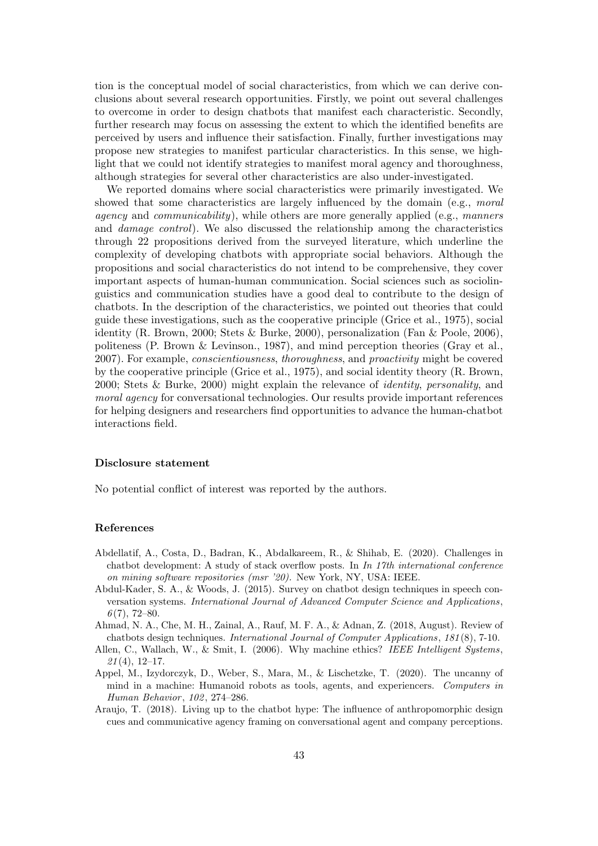tion is the conceptual model of social characteristics, from which we can derive conclusions about several research opportunities. Firstly, we point out several challenges to overcome in order to design chatbots that manifest each characteristic. Secondly, further research may focus on assessing the extent to which the identified benefits are perceived by users and influence their satisfaction. Finally, further investigations may propose new strategies to manifest particular characteristics. In this sense, we highlight that we could not identify strategies to manifest moral agency and thoroughness, although strategies for several other characteristics are also under-investigated.

We reported domains where social characteristics were primarily investigated. We showed that some characteristics are largely influenced by the domain (e.g., moral *agency* and *communicability*), while others are more generally applied (e.g., manners and damage control). We also discussed the relationship among the characteristics through 22 propositions derived from the surveyed literature, which underline the complexity of developing chatbots with appropriate social behaviors. Although the propositions and social characteristics do not intend to be comprehensive, they cover important aspects of human-human communication. Social sciences such as sociolinguistics and communication studies have a good deal to contribute to the design of chatbots. In the description of the characteristics, we pointed out theories that could guide these investigations, such as the cooperative principle (Grice et al., 1975), social identity (R. Brown, 2000; Stets & Burke, 2000), personalization (Fan & Poole, 2006), politeness (P. Brown & Levinson., 1987), and mind perception theories (Gray et al., 2007). For example, conscientiousness, thoroughness, and proactivity might be covered by the cooperative principle (Grice et al., 1975), and social identity theory (R. Brown, 2000; Stets & Burke, 2000) might explain the relevance of identity, personality, and moral agency for conversational technologies. Our results provide important references for helping designers and researchers find opportunities to advance the human-chatbot interactions field.

## Disclosure statement

No potential conflict of interest was reported by the authors.

## References

- Abdellatif, A., Costa, D., Badran, K., Abdalkareem, R., & Shihab, E. (2020). Challenges in chatbot development: A study of stack overflow posts. In In 17th international conference on mining software repositories (msr '20). New York, NY, USA: IEEE.
- Abdul-Kader, S. A., & Woods, J. (2015). Survey on chatbot design techniques in speech conversation systems. International Journal of Advanced Computer Science and Applications,  $6(7)$ , 72–80.
- Ahmad, N. A., Che, M. H., Zainal, A., Rauf, M. F. A., & Adnan, Z. (2018, August). Review of chatbots design techniques. International Journal of Computer Applications, 181 (8), 7-10.
- Allen, C., Wallach, W., & Smit, I. (2006). Why machine ethics? IEEE Intelligent Systems,  $21(4)$ , 12-17.
- Appel, M., Izydorczyk, D., Weber, S., Mara, M., & Lischetzke, T. (2020). The uncanny of mind in a machine: Humanoid robots as tools, agents, and experiencers. Computers in Human Behavior, 102, 274-286.
- Araujo, T. (2018). Living up to the chatbot hype: The influence of anthropomorphic design cues and communicative agency framing on conversational agent and company perceptions.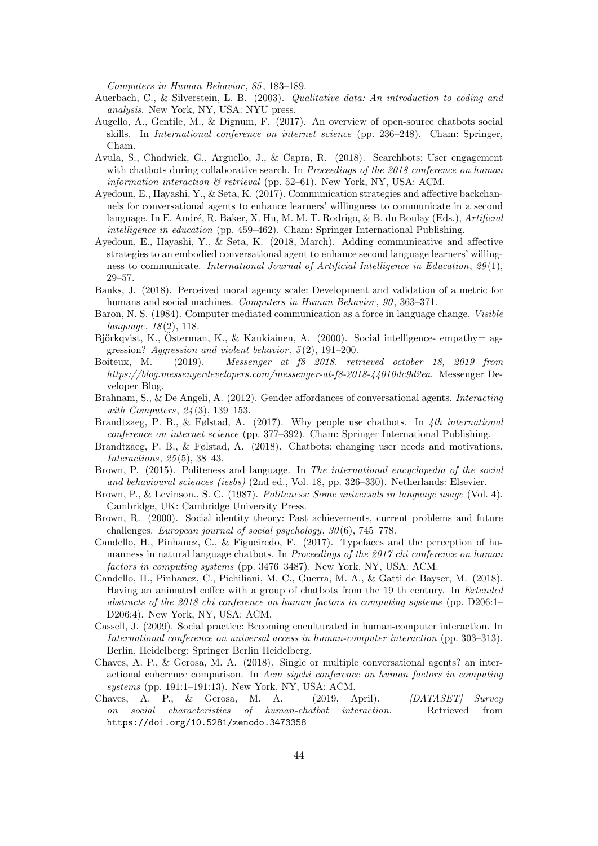Computers in Human Behavior, 85, 183-189.

- Auerbach, C., & Silverstein, L. B. (2003). Qualitative data: An introduction to coding and analysis. New York, NY, USA: NYU press.
- Augello, A., Gentile, M., & Dignum, F. (2017). An overview of open-source chatbots social skills. In International conference on internet science (pp. 236–248). Cham: Springer, Cham.
- Avula, S., Chadwick, G., Arguello, J., & Capra, R. (2018). Searchbots: User engagement with chatbots during collaborative search. In Proceedings of the 2018 conference on human information interaction  $\mathcal B$  retrieval (pp. 52–61). New York, NY, USA: ACM.
- Ayedoun, E., Hayashi, Y., & Seta, K. (2017). Communication strategies and affective backchannels for conversational agents to enhance learners' willingness to communicate in a second language. In E. André, R. Baker, X. Hu, M. M. T. Rodrigo, & B. du Boulay (Eds.), Artificial intelligence in education (pp. 459–462). Cham: Springer International Publishing.
- Ayedoun, E., Hayashi, Y., & Seta, K. (2018, March). Adding communicative and affective strategies to an embodied conversational agent to enhance second language learners' willingness to communicate. International Journal of Artificial Intelligence in Education, 29 (1), 29–57.
- Banks, J. (2018). Perceived moral agency scale: Development and validation of a metric for humans and social machines. Computers in Human Behavior, 90, 363-371.
- Baron, N. S. (1984). Computer mediated communication as a force in language change. Visible  $language, 18(2), 118.$
- Björkqvist, K., Österman, K., & Kaukiainen, A. (2000). Social intelligence- empathy= aggression? Aggression and violent behavior,  $5(2)$ , 191–200.
- Boiteux, M. (2019). Messenger at f8 2018. retrieved october 18, 2019 from https://blog.messengerdevelopers.com/messenger-at-f8-2018-44010dc9d2ea. Messenger Developer Blog.
- Brahnam, S., & De Angeli, A. (2012). Gender affordances of conversational agents. Interacting with Computers, 24 (3), 139–153.
- Brandtzaeg, P. B., & Følstad, A. (2017). Why people use chatbots. In  $4th$  international conference on internet science (pp. 377–392). Cham: Springer International Publishing.
- Brandtzaeg, P. B., & Følstad, A. (2018). Chatbots: changing user needs and motivations. Interactions, 25 (5), 38–43.
- Brown, P. (2015). Politeness and language. In The international encyclopedia of the social and behavioural sciences (iesbs) (2nd ed., Vol. 18, pp. 326–330). Netherlands: Elsevier.
- Brown, P., & Levinson., S. C. (1987). Politeness: Some universals in language usage (Vol. 4). Cambridge, UK: Cambridge University Press.
- Brown, R. (2000). Social identity theory: Past achievements, current problems and future challenges. European journal of social psychology, 30 (6), 745–778.
- Candello, H., Pinhanez, C., & Figueiredo, F. (2017). Typefaces and the perception of humanness in natural language chatbots. In *Proceedings of the 2017 chi conference on human* factors in computing systems (pp. 3476–3487). New York, NY, USA: ACM.
- Candello, H., Pinhanez, C., Pichiliani, M. C., Guerra, M. A., & Gatti de Bayser, M. (2018). Having an animated coffee with a group of chatbots from the 19 th century. In Extended abstracts of the 2018 chi conference on human factors in computing systems (pp. D206:1– D206:4). New York, NY, USA: ACM.
- Cassell, J. (2009). Social practice: Becoming enculturated in human-computer interaction. In International conference on universal access in human-computer interaction (pp. 303–313). Berlin, Heidelberg: Springer Berlin Heidelberg.
- Chaves, A. P., & Gerosa, M. A. (2018). Single or multiple conversational agents? an interactional coherence comparison. In Acm sigchi conference on human factors in computing systems (pp. 191:1–191:13). New York, NY, USA: ACM.
- Chaves, A. P., & Gerosa, M. A. (2019, April). [DATASET] Survey on social characteristics of human-chatbot interaction. Retrieved from https://doi.org/10.5281/zenodo.3473358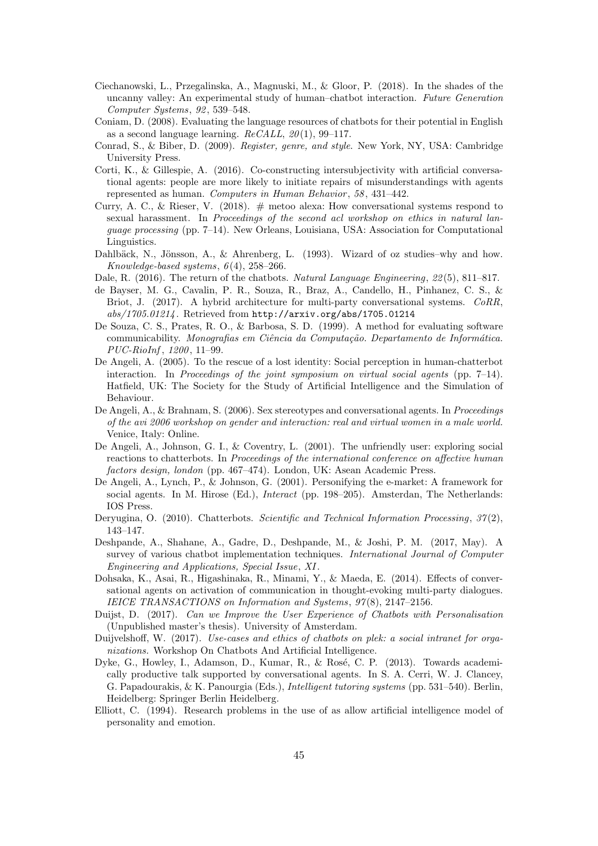- Ciechanowski, L., Przegalinska, A., Magnuski, M., & Gloor, P. (2018). In the shades of the uncanny valley: An experimental study of human–chatbot interaction. Future Generation Computer Systems, 92 , 539–548.
- Coniam, D. (2008). Evaluating the language resources of chatbots for their potential in English as a second language learning.  $ReCALL, 20(1), 99-117$ .
- Conrad, S., & Biber, D. (2009). Register, genre, and style. New York, NY, USA: Cambridge University Press.
- Corti, K., & Gillespie, A. (2016). Co-constructing intersubjectivity with artificial conversational agents: people are more likely to initiate repairs of misunderstandings with agents represented as human. Computers in Human Behavior, 58, 431-442.
- Curry, A. C., & Rieser, V. (2018).  $\#$  metoo alexa: How conversational systems respond to sexual harassment. In Proceedings of the second acl workshop on ethics in natural language processing (pp. 7–14). New Orleans, Louisiana, USA: Association for Computational Linguistics.
- Dahlbäck, N., Jönsson, A., & Ahrenberg, L. (1993). Wizard of oz studies–why and how.  $Knowledge-based systems, 6(4), 258-266.$
- Dale, R. (2016). The return of the chatbots. Natural Language Engineering, 22(5), 811–817.
- de Bayser, M. G., Cavalin, P. R., Souza, R., Braz, A., Candello, H., Pinhanez, C. S., & Briot, J. (2017). A hybrid architecture for multi-party conversational systems. CoRR, abs/1705.01214 . Retrieved from http://arxiv.org/abs/1705.01214
- De Souza, C. S., Prates, R. O., & Barbosa, S. D. (1999). A method for evaluating software communicability. Monografias em Ciência da Computação. Departamento de Informática. PUC-RioInf , 1200 , 11–99.
- De Angeli, A. (2005). To the rescue of a lost identity: Social perception in human-chatterbot interaction. In Proceedings of the joint symposium on virtual social agents (pp. 7–14). Hatfield, UK: The Society for the Study of Artificial Intelligence and the Simulation of Behaviour.
- De Angeli, A., & Brahnam, S. (2006). Sex stereotypes and conversational agents. In Proceedings of the avi 2006 workshop on gender and interaction: real and virtual women in a male world. Venice, Italy: Online.
- De Angeli, A., Johnson, G. I., & Coventry, L. (2001). The unfriendly user: exploring social reactions to chatterbots. In *Proceedings of the international conference on affective human* factors design, london (pp. 467–474). London, UK: Asean Academic Press.
- De Angeli, A., Lynch, P., & Johnson, G. (2001). Personifying the e-market: A framework for social agents. In M. Hirose (Ed.), *Interact* (pp. 198–205). Amsterdan, The Netherlands: IOS Press.
- Deryugina, O. (2010). Chatterbots. Scientific and Technical Information Processing, 37(2), 143–147.
- Deshpande, A., Shahane, A., Gadre, D., Deshpande, M., & Joshi, P. M. (2017, May). A survey of various chatbot implementation techniques. International Journal of Computer Engineering and Applications, Special Issue, XI.
- Dohsaka, K., Asai, R., Higashinaka, R., Minami, Y., & Maeda, E. (2014). Effects of conversational agents on activation of communication in thought-evoking multi-party dialogues. IEICE TRANSACTIONS on Information and Systems, 97 (8), 2147–2156.
- Duijst, D. (2017). Can we Improve the User Experience of Chatbots with Personalisation (Unpublished master's thesis). University of Amsterdam.
- Duijvelshoff, W. (2017). Use-cases and ethics of chatbots on plek: a social intranet for organizations. Workshop On Chatbots And Artificial Intelligence.
- Dyke, G., Howley, I., Adamson, D., Kumar, R., & Rosé, C. P. (2013). Towards academically productive talk supported by conversational agents. In S. A. Cerri, W. J. Clancey, G. Papadourakis, & K. Panourgia (Eds.), Intelligent tutoring systems (pp. 531–540). Berlin, Heidelberg: Springer Berlin Heidelberg.
- Elliott, C. (1994). Research problems in the use of as allow artificial intelligence model of personality and emotion.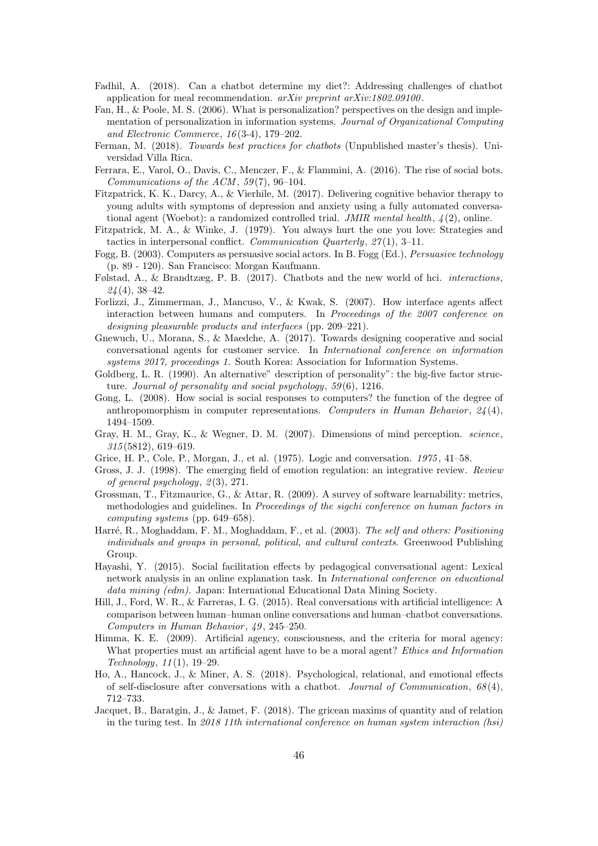- Fadhil, A. (2018). Can a chatbot determine my diet?: Addressing challenges of chatbot application for meal recommendation. arXiv preprint arXiv:1802.09100.
- Fan, H., & Poole, M. S. (2006). What is personalization? perspectives on the design and implementation of personalization in information systems. Journal of Organizational Computing and Electronic Commerce, 16 (3-4), 179–202.
- Ferman, M. (2018). Towards best practices for chatbots (Unpublished master's thesis). Universidad Villa Rica.
- Ferrara, E., Varol, O., Davis, C., Menczer, F., & Flammini, A. (2016). The rise of social bots. Communications of the ACM,  $59(7)$ ,  $96-104$ .
- Fitzpatrick, K. K., Darcy, A., & Vierhile, M. (2017). Delivering cognitive behavior therapy to young adults with symptoms of depression and anxiety using a fully automated conversational agent (Woebot): a randomized controlled trial. JMIR mental health,  $\frac{1}{2}$ , online.
- Fitzpatrick, M. A., & Winke, J. (1979). You always hurt the one you love: Strategies and tactics in interpersonal conflict. Communication Quarterly,  $27(1)$ , 3-11.
- Fogg, B. (2003). Computers as persuasive social actors. In B. Fogg (Ed.), Persuasive technology (p. 89 - 120). San Francisco: Morgan Kaufmann.
- Følstad, A., & Brandtzæg, P. B. (2017). Chatbots and the new world of hci. interactions,  $24(4)$ , 38-42.
- Forlizzi, J., Zimmerman, J., Mancuso, V., & Kwak, S. (2007). How interface agents affect interaction between humans and computers. In Proceedings of the 2007 conference on designing pleasurable products and interfaces (pp. 209–221).
- Gnewuch, U., Morana, S., & Maedche, A. (2017). Towards designing cooperative and social conversational agents for customer service. In International conference on information systems 2017, proceedings 1. South Korea: Association for Information Systems.
- Goldberg, L. R. (1990). An alternative" description of personality": the big-five factor structure. Journal of personality and social psychology,  $59(6)$ , 1216.
- Gong, L. (2008). How social is social responses to computers? the function of the degree of anthropomorphism in computer representations. Computers in Human Behavior,  $24(4)$ , 1494–1509.
- Gray, H. M., Gray, K., & Wegner, D. M. (2007). Dimensions of mind perception. science, 315 (5812), 619–619.
- Grice, H. P., Cole, P., Morgan, J., et al. (1975). Logic and conversation. 1975 , 41–58.
- Gross, J. J. (1998). The emerging field of emotion regulation: an integrative review. Review of general psychology,  $2(3)$ , 271.
- Grossman, T., Fitzmaurice, G., & Attar, R. (2009). A survey of software learnability: metrics, methodologies and guidelines. In Proceedings of the sigchi conference on human factors in computing systems (pp. 649–658).
- Harré, R., Moghaddam, F. M., Moghaddam, F., et al. (2003). The self and others: Positioning individuals and groups in personal, political, and cultural contexts. Greenwood Publishing Group.
- Hayashi, Y. (2015). Social facilitation effects by pedagogical conversational agent: Lexical network analysis in an online explanation task. In International conference on educational data mining (edm). Japan: International Educational Data Mining Society.
- Hill, J., Ford, W. R., & Farreras, I. G. (2015). Real conversations with artificial intelligence: A comparison between human–human online conversations and human–chatbot conversations. Computers in Human Behavior, 49, 245-250.
- Himma, K. E. (2009). Artificial agency, consciousness, and the criteria for moral agency: What properties must an artificial agent have to be a moral agent? *Ethics and Information* Technology, 11 (1), 19–29.
- Ho, A., Hancock, J., & Miner, A. S. (2018). Psychological, relational, and emotional effects of self-disclosure after conversations with a chatbot. Journal of Communication,  $68(4)$ , 712–733.
- Jacquet, B., Baratgin, J., & Jamet, F. (2018). The gricean maxims of quantity and of relation in the turing test. In 2018 11th international conference on human system interaction (hsi)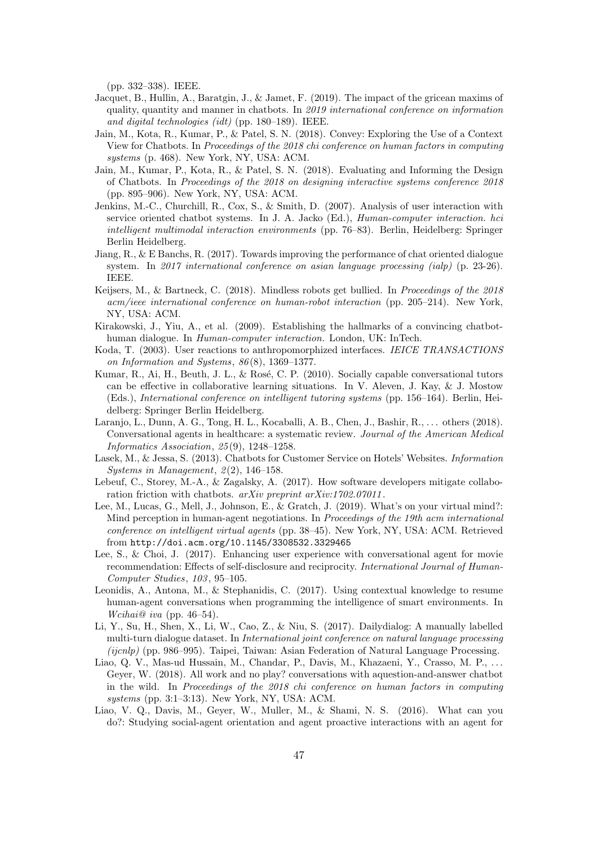(pp. 332–338). IEEE.

- Jacquet, B., Hullin, A., Baratgin, J., & Jamet, F. (2019). The impact of the gricean maxims of quality, quantity and manner in chatbots. In 2019 international conference on information and digital technologies (idt) (pp. 180–189). IEEE.
- Jain, M., Kota, R., Kumar, P., & Patel, S. N. (2018). Convey: Exploring the Use of a Context View for Chatbots. In Proceedings of the 2018 chi conference on human factors in computing systems (p. 468). New York, NY, USA: ACM.
- Jain, M., Kumar, P., Kota, R., & Patel, S. N. (2018). Evaluating and Informing the Design of Chatbots. In Proceedings of the 2018 on designing interactive systems conference 2018 (pp. 895–906). New York, NY, USA: ACM.
- Jenkins, M.-C., Churchill, R., Cox, S., & Smith, D. (2007). Analysis of user interaction with service oriented chatbot systems. In J. A. Jacko (Ed.), Human-computer interaction. hci intelligent multimodal interaction environments (pp. 76–83). Berlin, Heidelberg: Springer Berlin Heidelberg.
- Jiang, R., & E Banchs, R. (2017). Towards improving the performance of chat oriented dialogue system. In 2017 international conference on asian language processing (ialp) (p. 23-26). IEEE.
- Keijsers, M., & Bartneck, C. (2018). Mindless robots get bullied. In Proceedings of the 2018 acm/ieee international conference on human-robot interaction (pp. 205–214). New York, NY, USA: ACM.
- Kirakowski, J., Yiu, A., et al. (2009). Establishing the hallmarks of a convincing chatbothuman dialogue. In Human-computer interaction. London, UK: InTech.
- Koda, T. (2003). User reactions to anthropomorphized interfaces. IEICE TRANSACTIONS on Information and Systems, 86 (8), 1369–1377.
- Kumar, R., Ai, H., Beuth, J. L., & Rosé, C. P. (2010). Socially capable conversational tutors can be effective in collaborative learning situations. In V. Aleven, J. Kay, & J. Mostow (Eds.), International conference on intelligent tutoring systems (pp. 156–164). Berlin, Heidelberg: Springer Berlin Heidelberg.
- Laranjo, L., Dunn, A. G., Tong, H. L., Kocaballi, A. B., Chen, J., Bashir, R., . . . others (2018). Conversational agents in healthcare: a systematic review. Journal of the American Medical Informatics Association, 25 (9), 1248–1258.
- Lasek, M., & Jessa, S. (2013). Chatbots for Customer Service on Hotels' Websites. Information Systems in Management,  $2(2)$ , 146-158.
- Lebeuf, C., Storey, M.-A., & Zagalsky, A. (2017). How software developers mitigate collaboration friction with chatbots.  $arXiv$  preprint  $arXiv:1702.07011$ .
- Lee, M., Lucas, G., Mell, J., Johnson, E., & Gratch, J. (2019). What's on your virtual mind?: Mind perception in human-agent negotiations. In Proceedings of the 19th acm international conference on intelligent virtual agents (pp. 38–45). New York, NY, USA: ACM. Retrieved from http://doi.acm.org/10.1145/3308532.3329465
- Lee, S., & Choi, J. (2017). Enhancing user experience with conversational agent for movie recommendation: Effects of self-disclosure and reciprocity. International Journal of Human-Computer Studies, 103 , 95–105.
- Leonidis, A., Antona, M., & Stephanidis, C. (2017). Using contextual knowledge to resume human-agent conversations when programming the intelligence of smart environments. In Wcihai@ iva (pp. 46–54).
- Li, Y., Su, H., Shen, X., Li, W., Cao, Z., & Niu, S. (2017). Dailydialog: A manually labelled multi-turn dialogue dataset. In *International joint conference on natural language processing* (ijcnlp) (pp. 986–995). Taipei, Taiwan: Asian Federation of Natural Language Processing.
- Liao, Q. V., Mas-ud Hussain, M., Chandar, P., Davis, M., Khazaeni, Y., Crasso, M. P., . . . Geyer, W. (2018). All work and no play? conversations with aquestion-and-answer chatbot in the wild. In Proceedings of the 2018 chi conference on human factors in computing systems (pp. 3:1–3:13). New York, NY, USA: ACM.
- Liao, V. Q., Davis, M., Geyer, W., Muller, M., & Shami, N. S. (2016). What can you do?: Studying social-agent orientation and agent proactive interactions with an agent for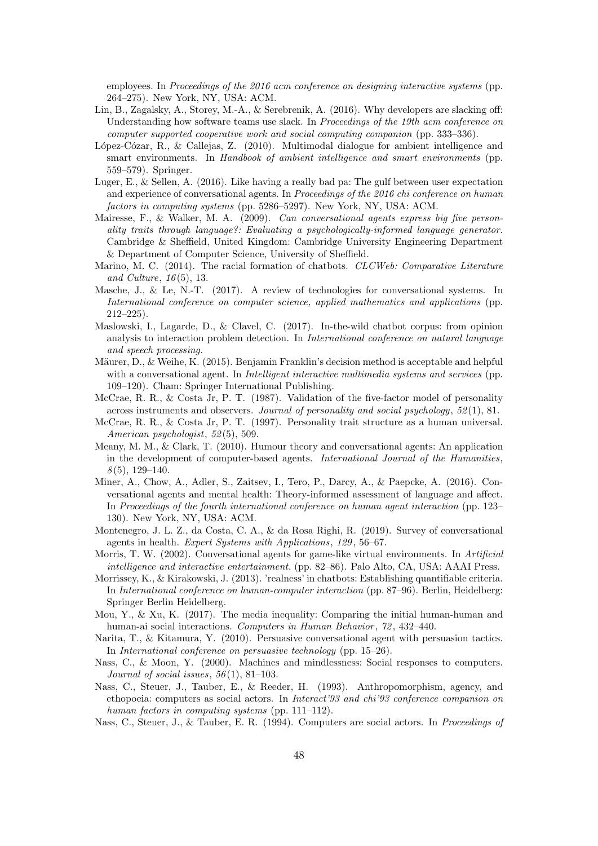employees. In Proceedings of the 2016 acm conference on designing interactive systems (pp. 264–275). New York, NY, USA: ACM.

- Lin, B., Zagalsky, A., Storey, M.-A., & Serebrenik, A. (2016). Why developers are slacking off: Understanding how software teams use slack. In Proceedings of the 19th acm conference on computer supported cooperative work and social computing companion (pp. 333–336).
- López-Cózar, R., & Callejas, Z. (2010). Multimodal dialogue for ambient intelligence and smart environments. In Handbook of ambient intelligence and smart environments (pp. 559–579). Springer.
- Luger, E., & Sellen, A. (2016). Like having a really bad pa: The gulf between user expectation and experience of conversational agents. In Proceedings of the 2016 chi conference on human factors in computing systems (pp. 5286–5297). New York, NY, USA: ACM.
- Mairesse, F., & Walker, M. A. (2009). Can conversational agents express big five personality traits through language?: Evaluating a psychologically-informed language generator. Cambridge & Sheffield, United Kingdom: Cambridge University Engineering Department & Department of Computer Science, University of Sheffield.
- Marino, M. C. (2014). The racial formation of chatbots. *CLCWeb: Comparative Literature* and Culture,  $16(5)$ , 13.
- Masche, J., & Le, N.-T. (2017). A review of technologies for conversational systems. In International conference on computer science, applied mathematics and applications (pp. 212–225).
- Maslowski, I., Lagarde, D., & Clavel, C. (2017). In-the-wild chatbot corpus: from opinion analysis to interaction problem detection. In International conference on natural language and speech processing.
- Mäurer, D., & Weihe, K. (2015). Benjamin Franklin's decision method is acceptable and helpful with a conversational agent. In *Intelligent interactive multimedia systems and services* (pp. 109–120). Cham: Springer International Publishing.
- McCrae, R. R., & Costa Jr, P. T. (1987). Validation of the five-factor model of personality across instruments and observers. Journal of personality and social psychology, 52 (1), 81.
- McCrae, R. R., & Costa Jr, P. T. (1997). Personality trait structure as a human universal. American psychologist, 52(5), 509.
- Meany, M. M., & Clark, T. (2010). Humour theory and conversational agents: An application in the development of computer-based agents. International Journal of the Humanities,  $8(5)$ , 129-140.
- Miner, A., Chow, A., Adler, S., Zaitsev, I., Tero, P., Darcy, A., & Paepcke, A. (2016). Conversational agents and mental health: Theory-informed assessment of language and affect. In Proceedings of the fourth international conference on human agent interaction (pp. 123– 130). New York, NY, USA: ACM.
- Montenegro, J. L. Z., da Costa, C. A., & da Rosa Righi, R. (2019). Survey of conversational agents in health. Expert Systems with Applications, 129 , 56–67.
- Morris, T. W. (2002). Conversational agents for game-like virtual environments. In Artificial intelligence and interactive entertainment. (pp. 82–86). Palo Alto, CA, USA: AAAI Press.
- Morrissey, K., & Kirakowski, J. (2013). 'realness' in chatbots: Establishing quantifiable criteria. In International conference on human-computer interaction (pp. 87–96). Berlin, Heidelberg: Springer Berlin Heidelberg.
- Mou, Y., & Xu, K. (2017). The media inequality: Comparing the initial human-human and human-ai social interactions. Computers in Human Behavior, 72, 432–440.
- Narita, T., & Kitamura, Y. (2010). Persuasive conversational agent with persuasion tactics. In International conference on persuasive technology (pp. 15–26).
- Nass, C., & Moon, Y. (2000). Machines and mindlessness: Social responses to computers. Journal of social issues,  $56(1)$ , 81-103.
- Nass, C., Steuer, J., Tauber, E., & Reeder, H. (1993). Anthropomorphism, agency, and ethopoeia: computers as social actors. In Interact'93 and chi'93 conference companion on human factors in computing systems (pp. 111–112).
- Nass, C., Steuer, J., & Tauber, E. R. (1994). Computers are social actors. In Proceedings of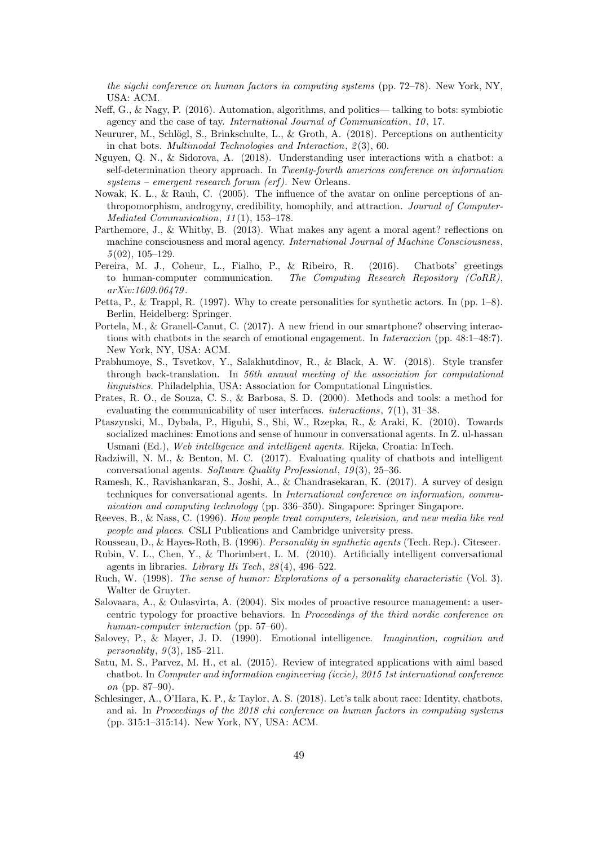the sigchi conference on human factors in computing systems (pp. 72–78). New York, NY, USA: ACM.

- Neff, G., & Nagy, P. (2016). Automation, algorithms, and politics— talking to bots: symbiotic agency and the case of tay. International Journal of Communication, 10, 17.
- Neururer, M., Schlögl, S., Brinkschulte, L., & Groth, A.  $(2018)$ . Perceptions on authenticity in chat bots. *Multimodal Technologies and Interaction*,  $2(3)$ , 60.
- Nguyen, Q. N., & Sidorova, A. (2018). Understanding user interactions with a chatbot: a self-determination theory approach. In Twenty-fourth americas conference on information systems – emergent research forum (erf ). New Orleans.
- Nowak, K. L., & Rauh, C. (2005). The influence of the avatar on online perceptions of anthropomorphism, androgyny, credibility, homophily, and attraction. Journal of Computer-Mediated Communication, 11(1), 153-178.
- Parthemore, J., & Whitby, B. (2013). What makes any agent a moral agent? reflections on machine consciousness and moral agency. International Journal of Machine Consciousness,  $5(02)$ ,  $105-129$ .
- Pereira, M. J., Coheur, L., Fialho, P., & Ribeiro, R. (2016). Chatbots' greetings to human-computer communication. The Computing Research Repository (CoRR), arXiv:1609.06479 .
- Petta, P., & Trappl, R. (1997). Why to create personalities for synthetic actors. In (pp. 1–8). Berlin, Heidelberg: Springer.
- Portela, M., & Granell-Canut, C. (2017). A new friend in our smartphone? observing interactions with chatbots in the search of emotional engagement. In Interaccion (pp. 48:1–48:7). New York, NY, USA: ACM.
- Prabhumoye, S., Tsvetkov, Y., Salakhutdinov, R., & Black, A. W. (2018). Style transfer through back-translation. In 56th annual meeting of the association for computational linguistics. Philadelphia, USA: Association for Computational Linguistics.
- Prates, R. O., de Souza, C. S., & Barbosa, S. D. (2000). Methods and tools: a method for evaluating the communicability of user interfaces. *interactions*,  $7(1)$ , 31–38.
- Ptaszynski, M., Dybala, P., Higuhi, S., Shi, W., Rzepka, R., & Araki, K. (2010). Towards socialized machines: Emotions and sense of humour in conversational agents. In Z. ul-hassan Usmani (Ed.), Web intelligence and intelligent agents. Rijeka, Croatia: InTech.
- Radziwill, N. M., & Benton, M. C. (2017). Evaluating quality of chatbots and intelligent conversational agents. Software Quality Professional,  $19(3)$ ,  $25-36$ .
- Ramesh, K., Ravishankaran, S., Joshi, A., & Chandrasekaran, K. (2017). A survey of design techniques for conversational agents. In International conference on information, communication and computing technology (pp. 336–350). Singapore: Springer Singapore.
- Reeves, B., & Nass, C. (1996). How people treat computers, television, and new media like real people and places. CSLI Publications and Cambridge university press.
- Rousseau, D., & Hayes-Roth, B. (1996). Personality in synthetic agents (Tech. Rep.). Citeseer.
- Rubin, V. L., Chen, Y., & Thorimbert, L. M. (2010). Artificially intelligent conversational agents in libraries. Library Hi Tech,  $28(4)$ ,  $496-522$ .
- Ruch, W. (1998). The sense of humor: Explorations of a personality characteristic (Vol. 3). Walter de Gruyter.
- Salovaara, A., & Oulasvirta, A. (2004). Six modes of proactive resource management: a usercentric typology for proactive behaviors. In Proceedings of the third nordic conference on human-computer interaction (pp. 57–60).
- Salovey, P., & Mayer, J. D. (1990). Emotional intelligence. Imagination, cognition and personality,  $9(3)$ ,  $185-211$ .
- Satu, M. S., Parvez, M. H., et al. (2015). Review of integrated applications with aiml based chatbot. In Computer and information engineering (iccie), 2015 1st international conference on (pp. 87–90).
- Schlesinger, A., O'Hara, K. P., & Taylor, A. S. (2018). Let's talk about race: Identity, chatbots, and ai. In Proceedings of the 2018 chi conference on human factors in computing systems (pp. 315:1–315:14). New York, NY, USA: ACM.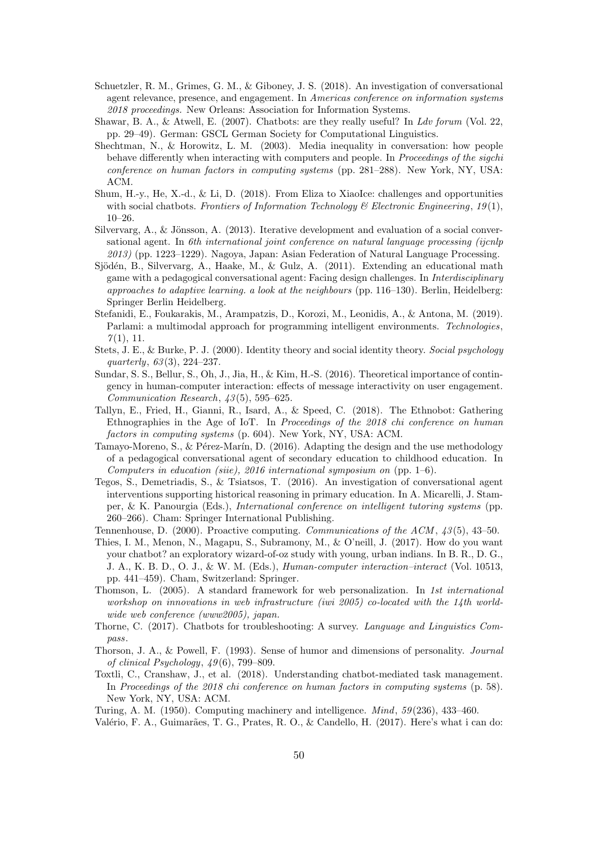- Schuetzler, R. M., Grimes, G. M., & Giboney, J. S. (2018). An investigation of conversational agent relevance, presence, and engagement. In Americas conference on information systems 2018 proceedings. New Orleans: Association for Information Systems.
- Shawar, B. A., & Atwell, E. (2007). Chatbots: are they really useful? In Ldv forum (Vol. 22, pp. 29–49). German: GSCL German Society for Computational Linguistics.
- Shechtman, N., & Horowitz, L. M. (2003). Media inequality in conversation: how people behave differently when interacting with computers and people. In Proceedings of the sigchi conference on human factors in computing systems (pp. 281–288). New York, NY, USA: ACM.
- Shum, H.-y., He, X.-d., & Li, D. (2018). From Eliza to XiaoIce: challenges and opportunities with social chatbots. Frontiers of Information Technology & Electronic Engineering, 19(1), 10–26.
- Silvervarg, A., & Jönsson, A. (2013). Iterative development and evaluation of a social conversational agent. In 6th international joint conference on natural language processing (ijcnlp 2013) (pp. 1223–1229). Nagoya, Japan: Asian Federation of Natural Language Processing.
- Sjödén, B., Silvervarg, A., Haake, M., & Gulz, A.  $(2011)$ . Extending an educational math game with a pedagogical conversational agent: Facing design challenges. In Interdisciplinary approaches to adaptive learning. a look at the neighbours (pp.  $116-130$ ). Berlin, Heidelberg: Springer Berlin Heidelberg.
- Stefanidi, E., Foukarakis, M., Arampatzis, D., Korozi, M., Leonidis, A., & Antona, M. (2019). Parlami: a multimodal approach for programming intelligent environments. Technologies,  $7(1), 11.$
- Stets, J. E., & Burke, P. J. (2000). Identity theory and social identity theory. Social psychology quarterly,  $63(3)$ ,  $224-237$ .
- Sundar, S. S., Bellur, S., Oh, J., Jia, H., & Kim, H.-S. (2016). Theoretical importance of contingency in human-computer interaction: effects of message interactivity on user engagement. Communication Research, 43 (5), 595–625.
- Tallyn, E., Fried, H., Gianni, R., Isard, A., & Speed, C. (2018). The Ethnobot: Gathering Ethnographies in the Age of IoT. In Proceedings of the 2018 chi conference on human factors in computing systems (p. 604). New York, NY, USA: ACM.
- Tamayo-Moreno, S., & Pérez-Marín, D. (2016). Adapting the design and the use methodology of a pedagogical conversational agent of secondary education to childhood education. In Computers in education (siie),  $2016$  international symposium on (pp. 1–6).
- Tegos, S., Demetriadis, S., & Tsiatsos, T. (2016). An investigation of conversational agent interventions supporting historical reasoning in primary education. In A. Micarelli, J. Stamper, & K. Panourgia (Eds.), International conference on intelligent tutoring systems (pp. 260–266). Cham: Springer International Publishing.
- Tennenhouse, D. (2000). Proactive computing. Communications of the  $ACM$ ,  $43(5)$ , 43–50.
- Thies, I. M., Menon, N., Magapu, S., Subramony, M., & O'neill, J. (2017). How do you want your chatbot? an exploratory wizard-of-oz study with young, urban indians. In B. R., D. G., J. A., K. B. D., O. J., & W. M. (Eds.), Human-computer interaction–interact (Vol. 10513, pp. 441–459). Cham, Switzerland: Springer.
- Thomson, L. (2005). A standard framework for web personalization. In 1st international workshop on innovations in web infrastructure (iwi 2005) co-located with the 14th worldwide web conference (www2005), japan.
- Thorne, C. (2017). Chatbots for troubleshooting: A survey. Language and Linguistics Compass.
- Thorson, J. A., & Powell, F. (1993). Sense of humor and dimensions of personality. Journal of clinical Psychology,  $49(6)$ , 799–809.
- Toxtli, C., Cranshaw, J., et al. (2018). Understanding chatbot-mediated task management. In Proceedings of the 2018 chi conference on human factors in computing systems (p. 58). New York, NY, USA: ACM.

Turing, A. M. (1950). Computing machinery and intelligence. Mind, 59 (236), 433–460.

Valério, F. A., Guimarães, T. G., Prates, R. O., & Candello, H. (2017). Here's what i can do: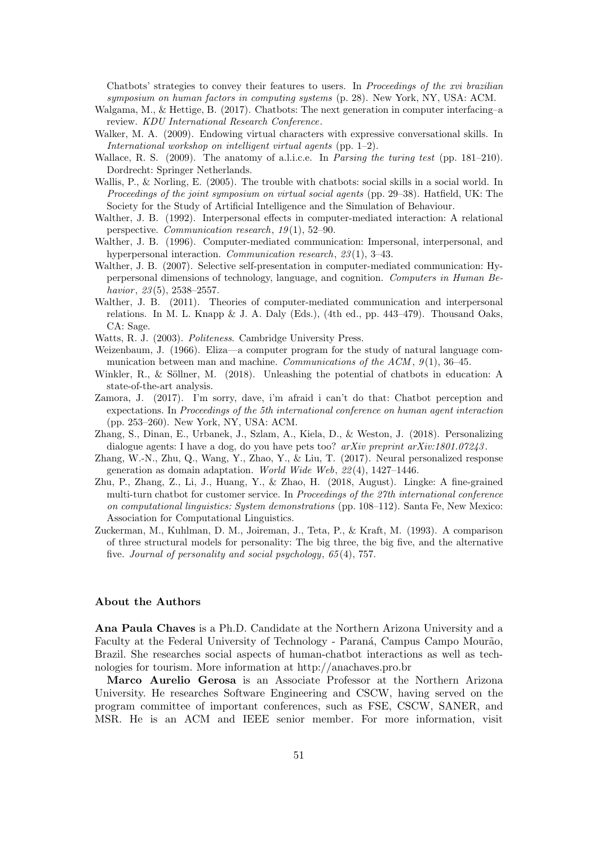Chatbots' strategies to convey their features to users. In Proceedings of the xvi brazilian symposium on human factors in computing systems (p. 28). New York, NY, USA: ACM.

- Walgama, M., & Hettige, B. (2017). Chatbots: The next generation in computer interfacing–a review. KDU International Research Conference.
- Walker, M. A. (2009). Endowing virtual characters with expressive conversational skills. In International workshop on intelligent virtual agents (pp. 1–2).
- Wallace, R. S. (2009). The anatomy of a.l.i.c.e. In Parsing the turing test (pp. 181–210). Dordrecht: Springer Netherlands.
- Wallis, P., & Norling, E. (2005). The trouble with chatbots: social skills in a social world. In Proceedings of the joint symposium on virtual social agents (pp. 29–38). Hatfield, UK: The Society for the Study of Artificial Intelligence and the Simulation of Behaviour.
- Walther, J. B. (1992). Interpersonal effects in computer-mediated interaction: A relational perspective. Communication research,  $19(1)$ , 52–90.
- Walther, J. B. (1996). Computer-mediated communication: Impersonal, interpersonal, and hyperpersonal interaction. Communication research, 23(1), 3-43.
- Walther, J. B. (2007). Selective self-presentation in computer-mediated communication: Hyperpersonal dimensions of technology, language, and cognition. Computers in Human Behavior,  $23(5)$ ,  $2538-2557$ .
- Walther, J. B. (2011). Theories of computer-mediated communication and interpersonal relations. In M. L. Knapp  $\&$  J. A. Daly (Eds.), (4th ed., pp. 443–479). Thousand Oaks, CA: Sage.
- Watts, R. J. (2003). Politeness. Cambridge University Press.
- Weizenbaum, J. (1966). Eliza—a computer program for the study of natural language communication between man and machine. Communications of the  $ACM$ ,  $9(1)$ ,  $36-45$ .
- Winkler, R., & Söllner, M.  $(2018)$ . Unleashing the potential of chatbots in education: A state-of-the-art analysis.
- Zamora, J. (2017). I'm sorry, dave, i'm afraid i can't do that: Chatbot perception and expectations. In Proceedings of the 5th international conference on human agent interaction (pp. 253–260). New York, NY, USA: ACM.
- Zhang, S., Dinan, E., Urbanek, J., Szlam, A., Kiela, D., & Weston, J. (2018). Personalizing dialogue agents: I have a dog, do you have pets too?  $arXiv$  preprint  $arXiv:1801.07243$ .
- Zhang, W.-N., Zhu, Q., Wang, Y., Zhao, Y., & Liu, T. (2017). Neural personalized response generation as domain adaptation. World Wide Web,  $22(4)$ , 1427–1446.
- Zhu, P., Zhang, Z., Li, J., Huang, Y., & Zhao, H. (2018, August). Lingke: A fine-grained multi-turn chatbot for customer service. In Proceedings of the 27th international conference on computational linguistics: System demonstrations (pp. 108–112). Santa Fe, New Mexico: Association for Computational Linguistics.
- Zuckerman, M., Kuhlman, D. M., Joireman, J., Teta, P., & Kraft, M. (1993). A comparison of three structural models for personality: The big three, the big five, and the alternative five. Journal of personality and social psychology, 65 (4), 757.

## About the Authors

Ana Paula Chaves is a Ph.D. Candidate at the Northern Arizona University and a Faculty at the Federal University of Technology - Paraná, Campus Campo Mourão, Brazil. She researches social aspects of human-chatbot interactions as well as technologies for tourism. More information at http://anachaves.pro.br

Marco Aurelio Gerosa is an Associate Professor at the Northern Arizona University. He researches Software Engineering and CSCW, having served on the program committee of important conferences, such as FSE, CSCW, SANER, and MSR. He is an ACM and IEEE senior member. For more information, visit